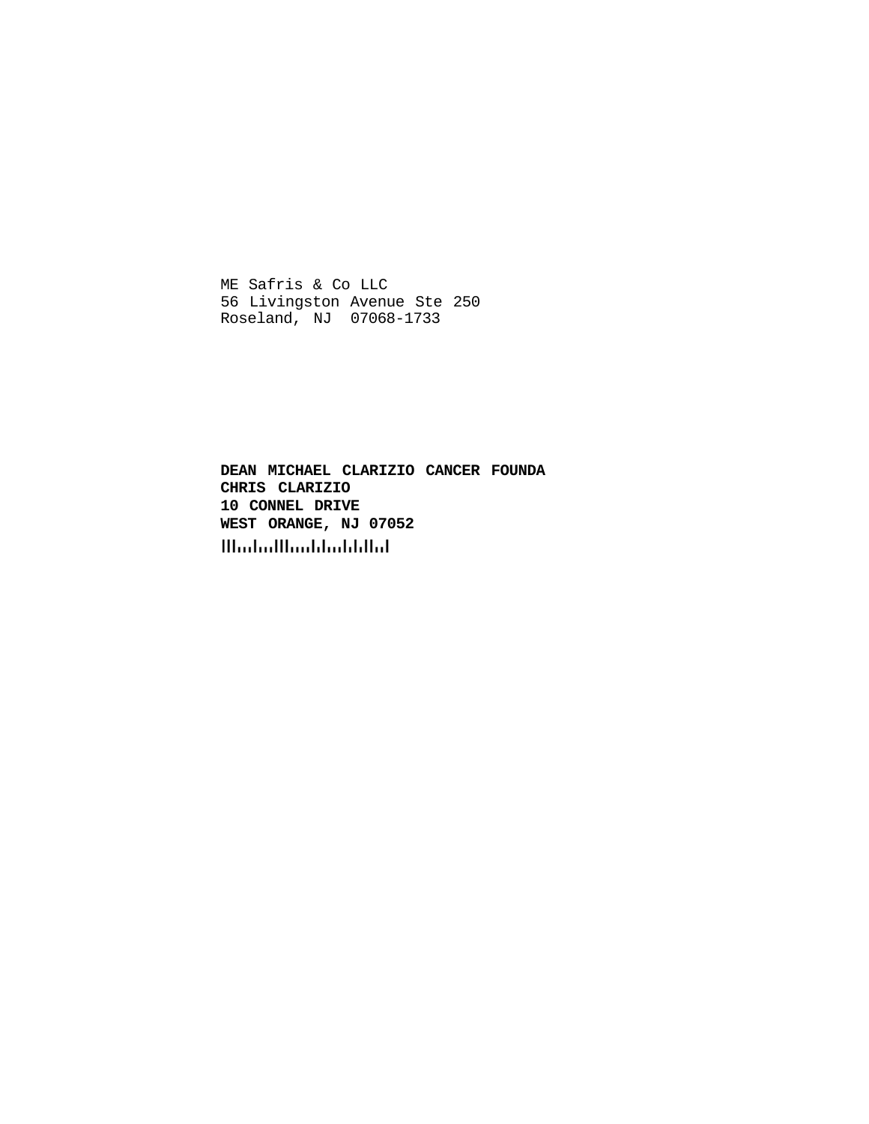ME Safris & Co LLC 56 Livingston Avenue Ste 250 Roseland, NJ 07068-1733

**DEAN MICHAEL CLARIZIO CANCER FOUNDA CHRIS CLARIZIO 10 CONNEL DRIVE WEST ORANGE, NJ 07052**Madadhaddadddlal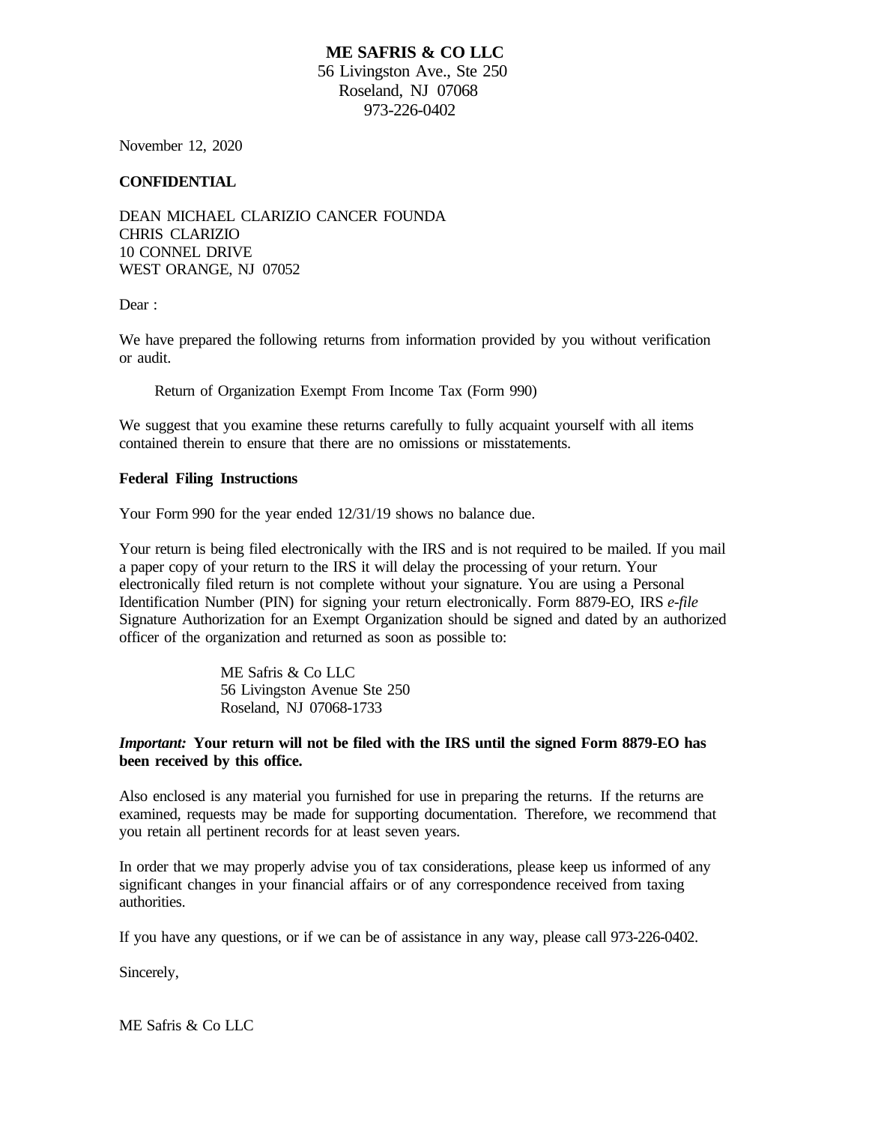## **ME SAFRIS & CO LLC**

 56 Livingston Ave., Ste 250 Roseland, NJ 07068 973-226-0402

November 12, 2020

#### **CONFIDENTIAL**

DEAN MICHAEL CLARIZIO CANCER FOUNDA CHRIS CLARIZIO 10 CONNEL DRIVE WEST ORANGE, NJ 07052

Dear:

We have prepared the following returns from information provided by you without verification or audit.

Return of Organization Exempt From Income Tax (Form 990)

We suggest that you examine these returns carefully to fully acquaint yourself with all items contained therein to ensure that there are no omissions or misstatements.

#### **Federal Filing Instructions**

Your Form 990 for the year ended 12/31/19 shows no balance due.

Your return is being filed electronically with the IRS and is not required to be mailed. If you mail a paper copy of your return to the IRS it will delay the processing of your return. Your electronically filed return is not complete without your signature. You are using a Personal Identification Number (PIN) for signing your return electronically. Form 8879-EO, IRS *e-file* Signature Authorization for an Exempt Organization should be signed and dated by an authorized officer of the organization and returned as soon as possible to:

> ME Safris & Co LLC 56 Livingston Avenue Ste 250 Roseland, NJ 07068-1733

### *Important:* **Your return will not be filed with the IRS until the signed Form 8879-EO has been received by this office.**

Also enclosed is any material you furnished for use in preparing the returns. If the returns are examined, requests may be made for supporting documentation. Therefore, we recommend that you retain all pertinent records for at least seven years.

In order that we may properly advise you of tax considerations, please keep us informed of any significant changes in your financial affairs or of any correspondence received from taxing authorities.

If you have any questions, or if we can be of assistance in any way, please call 973-226-0402.

Sincerely,

ME Safris & Co LLC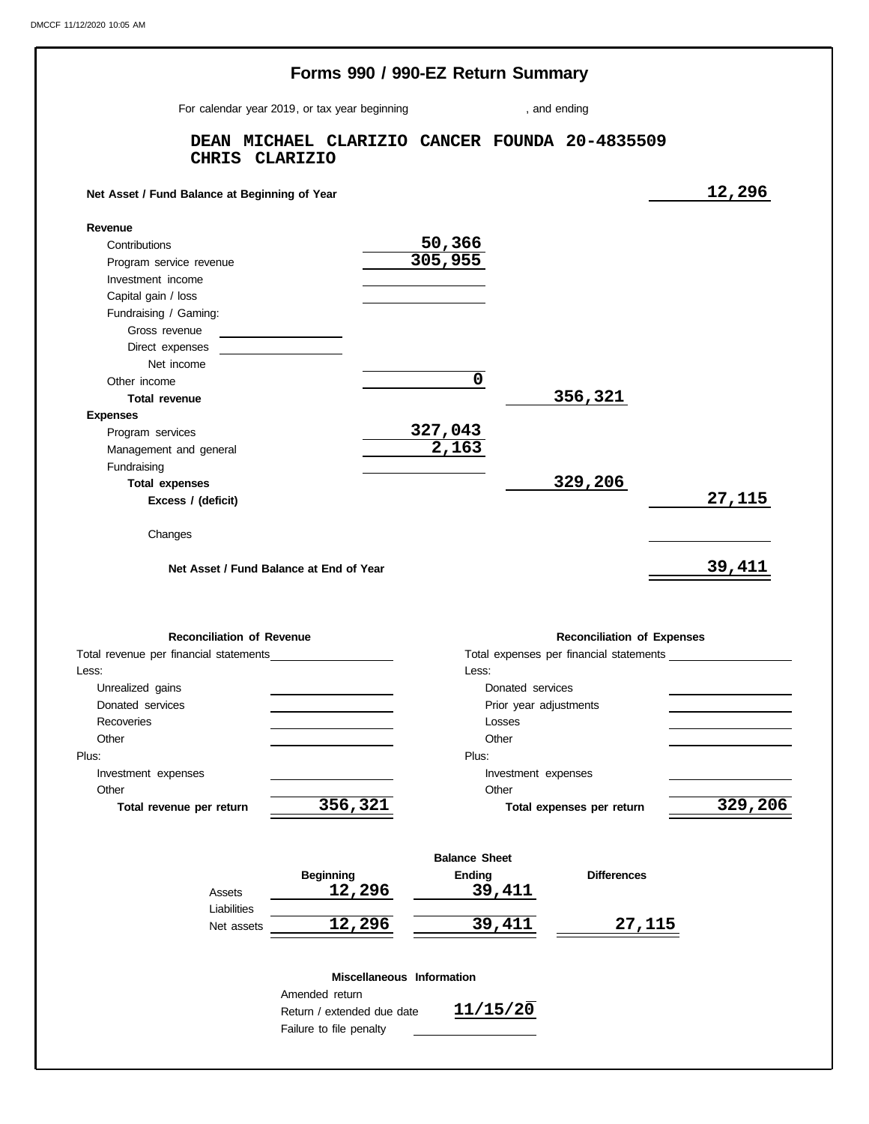|                                                          | For calendar year 2019, or tax year beginning  |                         | , and ending           |                                   |                                                    |
|----------------------------------------------------------|------------------------------------------------|-------------------------|------------------------|-----------------------------------|----------------------------------------------------|
| CHRIS CLARIZIO                                           | DEAN MICHAEL CLARIZIO CANCER FOUNDA 20-4835509 |                         |                        |                                   |                                                    |
| Net Asset / Fund Balance at Beginning of Year            |                                                |                         |                        |                                   | 12,296                                             |
| Revenue                                                  |                                                |                         |                        |                                   |                                                    |
| Contributions                                            |                                                | 50,366                  |                        |                                   |                                                    |
| Program service revenue                                  |                                                | 305,955                 |                        |                                   |                                                    |
| Investment income                                        |                                                |                         |                        |                                   |                                                    |
| Capital gain / loss                                      |                                                |                         |                        |                                   |                                                    |
| Fundraising / Gaming:                                    |                                                |                         |                        |                                   |                                                    |
| Gross revenue                                            | the control of the control of the              |                         |                        |                                   |                                                    |
| Direct expenses<br>Net income                            |                                                |                         |                        |                                   |                                                    |
| Other income                                             |                                                | $\mathbf 0$             |                        |                                   |                                                    |
| <b>Total revenue</b>                                     |                                                |                         |                        | 356,321                           |                                                    |
| <b>Expenses</b>                                          |                                                |                         |                        |                                   |                                                    |
| Program services                                         |                                                |                         |                        |                                   |                                                    |
| Management and general                                   |                                                | $\frac{327,043}{2,163}$ |                        |                                   |                                                    |
| Fundraising                                              |                                                |                         |                        |                                   |                                                    |
| <b>Total expenses</b>                                    |                                                |                         |                        | 329,206                           |                                                    |
| Excess / (deficit)                                       |                                                |                         |                        |                                   | 27,115                                             |
| Changes                                                  | Net Asset / Fund Balance at End of Year        |                         |                        |                                   | 39,411                                             |
|                                                          |                                                |                         |                        |                                   |                                                    |
| <b>Reconciliation of Revenue</b>                         |                                                |                         |                        | <b>Reconciliation of Expenses</b> |                                                    |
|                                                          |                                                | Less:                   |                        |                                   |                                                    |
| Unrealized gains                                         |                                                |                         | Donated services       |                                   |                                                    |
| Donated services                                         |                                                |                         | Prior year adjustments |                                   |                                                    |
| Recoveries                                               |                                                |                         | Losses                 |                                   |                                                    |
| Other                                                    |                                                |                         | Other                  |                                   |                                                    |
|                                                          |                                                | Plus:                   |                        |                                   |                                                    |
| Investment expenses                                      |                                                |                         | Investment expenses    |                                   |                                                    |
| Other<br>Total revenue per return                        |                                                |                         | Other                  |                                   |                                                    |
|                                                          | 356,321                                        |                         |                        | Total expenses per return         |                                                    |
|                                                          |                                                | <b>Balance Sheet</b>    |                        |                                   |                                                    |
|                                                          | <b>Beginning</b>                               | <b>Ending</b>           |                        | <b>Differences</b>                |                                                    |
| Assets                                                   | 12,296                                         |                         | 39,411                 |                                   |                                                    |
| Liabilities                                              |                                                |                         |                        |                                   |                                                    |
| Net assets                                               | 12,296                                         |                         | 39,411                 | <u>27,115</u>                     |                                                    |
|                                                          |                                                |                         |                        |                                   |                                                    |
|                                                          | Miscellaneous Information                      |                         |                        |                                   |                                                    |
| Total revenue per financial statements<br>Less:<br>Plus: | Amended return<br>Return / extended due date   |                         | 11/15/20               |                                   | Total expenses per financial statements<br>329,206 |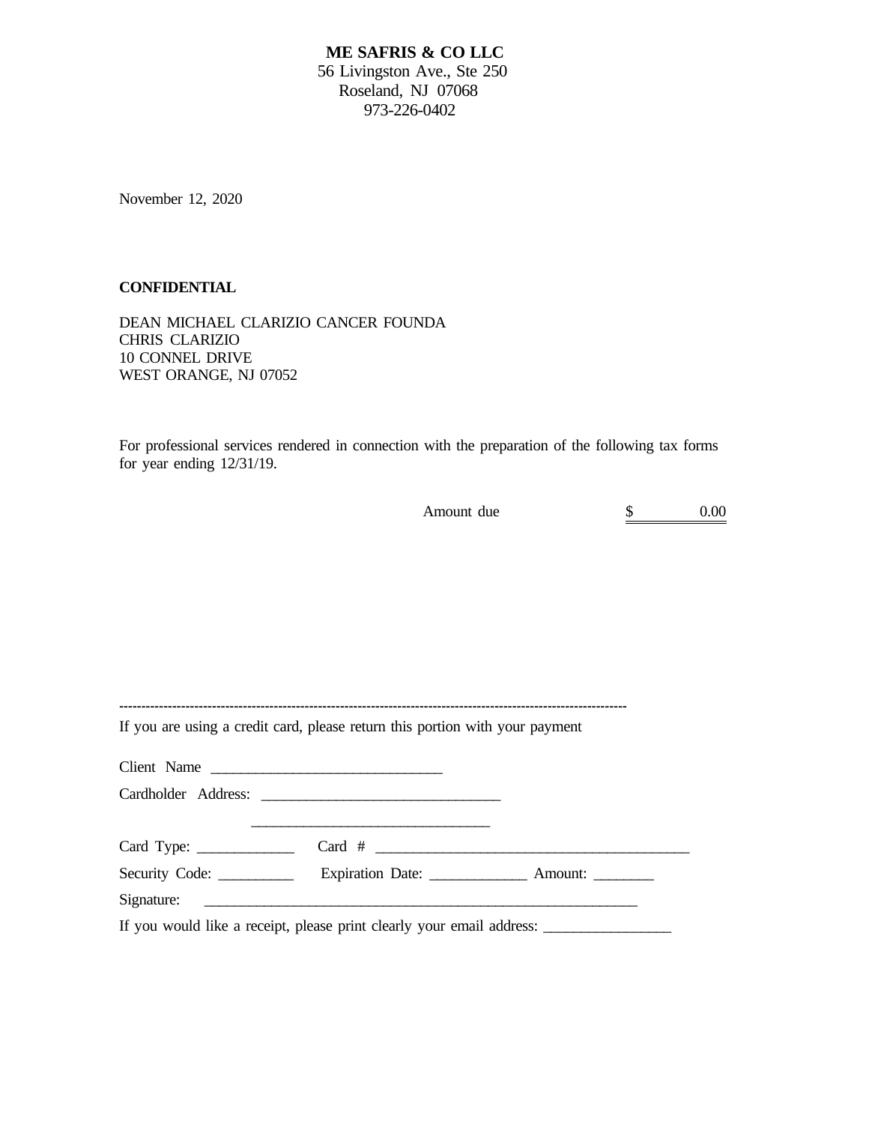## **ME SAFRIS & CO LLC** 56 Livingston Ave., Ste 250 Roseland, NJ 07068 973-226-0402

November 12, 2020

#### **CONFIDENTIAL**

DEAN MICHAEL CLARIZIO CANCER FOUNDA CHRIS CLARIZIO 10 CONNEL DRIVE WEST ORANGE, NJ 07052

For professional services rendered in connection with the preparation of the following tax forms for year ending 12/31/19.

| Amount due | 0.00 |
|------------|------|
|            |      |

If you are using a credit card, please return this portion with your payment

| Client Name                                                                                                                                                                                                                                                                                                                                                                                                 |                                                                                                                                                                                                                                                                                                                       |                                                                       |
|-------------------------------------------------------------------------------------------------------------------------------------------------------------------------------------------------------------------------------------------------------------------------------------------------------------------------------------------------------------------------------------------------------------|-----------------------------------------------------------------------------------------------------------------------------------------------------------------------------------------------------------------------------------------------------------------------------------------------------------------------|-----------------------------------------------------------------------|
|                                                                                                                                                                                                                                                                                                                                                                                                             | Cardholder Address: 2008. 2009. 2010. 2010. 2010. 2010. 2010. 2010. 2010. 2010. 2010. 2010. 2010. 2010. 2010. 2010. 2010. 2010. 2010. 2010. 2010. 2010. 2010. 2010. 2010. 2010. 2010. 2010. 2010. 2010. 2010. 2010. 2010. 2010                                                                                        |                                                                       |
|                                                                                                                                                                                                                                                                                                                                                                                                             |                                                                                                                                                                                                                                                                                                                       |                                                                       |
| Card Type: $\frac{1}{\sqrt{1-\frac{1}{2}}\sqrt{1-\frac{1}{2}}\sqrt{1-\frac{1}{2}}\sqrt{1-\frac{1}{2}}\sqrt{1-\frac{1}{2}}\sqrt{1-\frac{1}{2}}\sqrt{1-\frac{1}{2}}\sqrt{1-\frac{1}{2}}\sqrt{1-\frac{1}{2}}\sqrt{1-\frac{1}{2}}\sqrt{1-\frac{1}{2}}\sqrt{1-\frac{1}{2}}\sqrt{1-\frac{1}{2}}\sqrt{1-\frac{1}{2}}\sqrt{1-\frac{1}{2}}\sqrt{1-\frac{1}{2}}\sqrt{1-\frac{1}{2}}\sqrt{1-\frac{1}{2}}\sqrt{1-\frac$ | Card # $\frac{1}{2}$ $\frac{1}{2}$ $\frac{1}{2}$ $\frac{1}{2}$ $\frac{1}{2}$ $\frac{1}{2}$ $\frac{1}{2}$ $\frac{1}{2}$ $\frac{1}{2}$ $\frac{1}{2}$ $\frac{1}{2}$ $\frac{1}{2}$ $\frac{1}{2}$ $\frac{1}{2}$ $\frac{1}{2}$ $\frac{1}{2}$ $\frac{1}{2}$ $\frac{1}{2}$ $\frac{1}{2}$ $\frac{1}{2}$ $\frac{1}{2}$ $\frac{$ |                                                                       |
|                                                                                                                                                                                                                                                                                                                                                                                                             | Security Code: ______________ Expiration Date: ________________ Amount: ________                                                                                                                                                                                                                                      |                                                                       |
|                                                                                                                                                                                                                                                                                                                                                                                                             |                                                                                                                                                                                                                                                                                                                       |                                                                       |
|                                                                                                                                                                                                                                                                                                                                                                                                             |                                                                                                                                                                                                                                                                                                                       | If you would like a receipt, please print clearly your email address: |

-------------------------------------------------------------------------------------------------------------------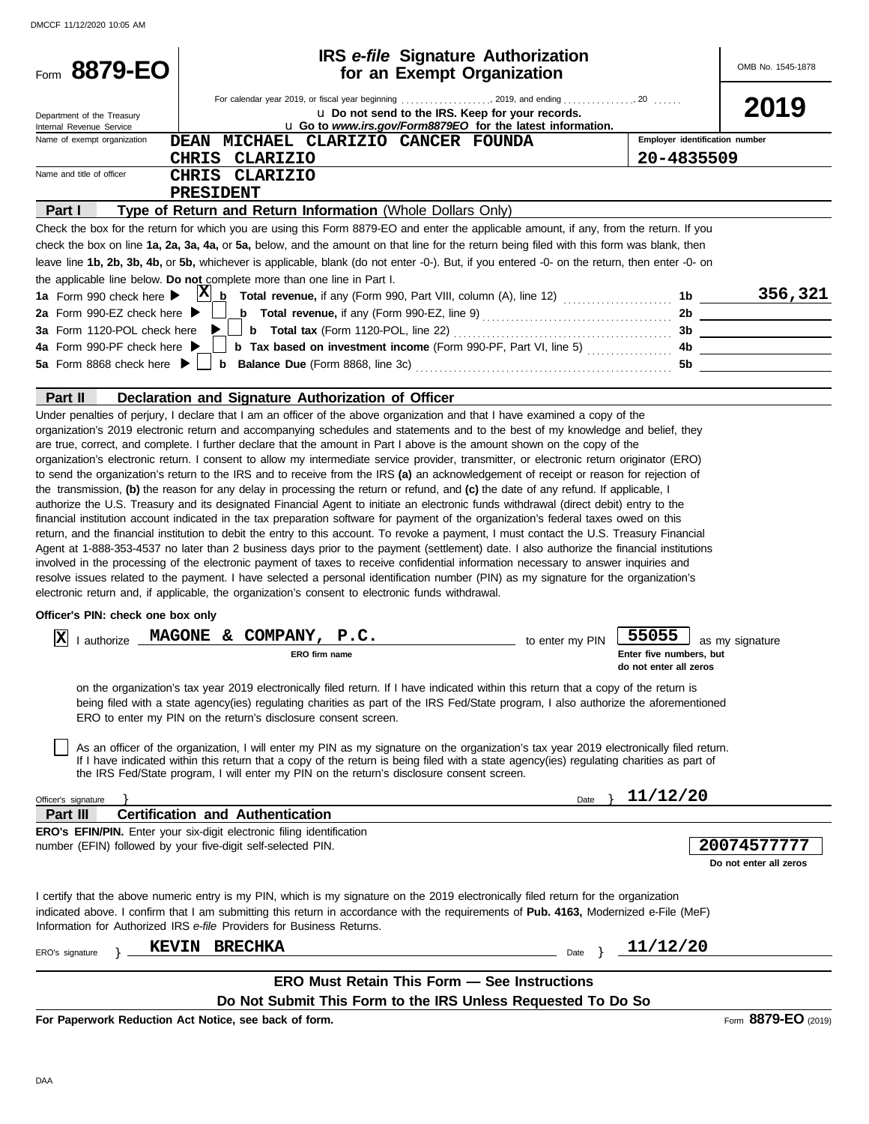| Form 8879-EO                                           | <b>IRS</b> e-file Signature Authorization<br>for an Exempt Organization                                                                                                                                                                                                                                                                                                                                                                                                                                                                                                                                                                                                                                                                                                                                                                                                                                                                                                                                                                                                                                                                                                                                                                                                                                                                                                                                                                                                                                              |                 |                                                            | OMB No. 1545-1878                     |
|--------------------------------------------------------|----------------------------------------------------------------------------------------------------------------------------------------------------------------------------------------------------------------------------------------------------------------------------------------------------------------------------------------------------------------------------------------------------------------------------------------------------------------------------------------------------------------------------------------------------------------------------------------------------------------------------------------------------------------------------------------------------------------------------------------------------------------------------------------------------------------------------------------------------------------------------------------------------------------------------------------------------------------------------------------------------------------------------------------------------------------------------------------------------------------------------------------------------------------------------------------------------------------------------------------------------------------------------------------------------------------------------------------------------------------------------------------------------------------------------------------------------------------------------------------------------------------------|-----------------|------------------------------------------------------------|---------------------------------------|
| Department of the Treasury<br>Internal Revenue Service | For calendar year 2019, or fiscal year beginning  2019, and ending  20<br>u Do not send to the IRS. Keep for your records.<br>u Go to www.irs.gov/Form8879EO for the latest information.                                                                                                                                                                                                                                                                                                                                                                                                                                                                                                                                                                                                                                                                                                                                                                                                                                                                                                                                                                                                                                                                                                                                                                                                                                                                                                                             |                 |                                                            | 2019                                  |
| Name of exempt organization                            | MICHAEL CLARIZIO CANCER FOUNDA<br><b>DEAN</b>                                                                                                                                                                                                                                                                                                                                                                                                                                                                                                                                                                                                                                                                                                                                                                                                                                                                                                                                                                                                                                                                                                                                                                                                                                                                                                                                                                                                                                                                        |                 | Employer identification number                             |                                       |
|                                                        | <b>CLARIZIO</b><br><b>CHRIS</b>                                                                                                                                                                                                                                                                                                                                                                                                                                                                                                                                                                                                                                                                                                                                                                                                                                                                                                                                                                                                                                                                                                                                                                                                                                                                                                                                                                                                                                                                                      |                 | 20-4835509                                                 |                                       |
| Name and title of officer                              | <b>CLARIZIO</b><br><b>CHRIS</b>                                                                                                                                                                                                                                                                                                                                                                                                                                                                                                                                                                                                                                                                                                                                                                                                                                                                                                                                                                                                                                                                                                                                                                                                                                                                                                                                                                                                                                                                                      |                 |                                                            |                                       |
|                                                        | <b>PRESIDENT</b>                                                                                                                                                                                                                                                                                                                                                                                                                                                                                                                                                                                                                                                                                                                                                                                                                                                                                                                                                                                                                                                                                                                                                                                                                                                                                                                                                                                                                                                                                                     |                 |                                                            |                                       |
| Part I                                                 | Type of Return and Return Information (Whole Dollars Only)                                                                                                                                                                                                                                                                                                                                                                                                                                                                                                                                                                                                                                                                                                                                                                                                                                                                                                                                                                                                                                                                                                                                                                                                                                                                                                                                                                                                                                                           |                 |                                                            |                                       |
|                                                        | Check the box for the return for which you are using this Form 8879-EO and enter the applicable amount, if any, from the return. If you<br>check the box on line 1a, 2a, 3a, 4a, or 5a, below, and the amount on that line for the return being filed with this form was blank, then                                                                                                                                                                                                                                                                                                                                                                                                                                                                                                                                                                                                                                                                                                                                                                                                                                                                                                                                                                                                                                                                                                                                                                                                                                 |                 |                                                            |                                       |
|                                                        | leave line 1b, 2b, 3b, 4b, or 5b, whichever is applicable, blank (do not enter -0-). But, if you entered -0- on the return, then enter -0- on                                                                                                                                                                                                                                                                                                                                                                                                                                                                                                                                                                                                                                                                                                                                                                                                                                                                                                                                                                                                                                                                                                                                                                                                                                                                                                                                                                        |                 |                                                            |                                       |
| 1a Form 990 check here $\blacktriangleright$           | the applicable line below. Do not complete more than one line in Part I.<br>$ \mathbf{x} $<br>b                                                                                                                                                                                                                                                                                                                                                                                                                                                                                                                                                                                                                                                                                                                                                                                                                                                                                                                                                                                                                                                                                                                                                                                                                                                                                                                                                                                                                      |                 |                                                            | 1b $\frac{356}{321}$                  |
| 2a Form 990-EZ check here $\blacktriangleright$        |                                                                                                                                                                                                                                                                                                                                                                                                                                                                                                                                                                                                                                                                                                                                                                                                                                                                                                                                                                                                                                                                                                                                                                                                                                                                                                                                                                                                                                                                                                                      |                 |                                                            |                                       |
| 3a Form 1120-POL check here                            | <b>b</b> Total revenue, if any (Form 990-EZ, line 9) $\ldots$ $\ldots$ $\ldots$ $\ldots$ $\ldots$ $\ldots$ 2b                                                                                                                                                                                                                                                                                                                                                                                                                                                                                                                                                                                                                                                                                                                                                                                                                                                                                                                                                                                                                                                                                                                                                                                                                                                                                                                                                                                                        |                 | 3 <sub>b</sub>                                             |                                       |
| 4a Form 990-PF check here $\blacktriangleright$        | <b>b</b> Total tax (Form 1120-POL, line 22) $\ldots$ $\ldots$ $\ldots$ $\ldots$ $\ldots$ $\ldots$<br>b Tax based on investment income (Form 990-PF, Part VI, line 5)  4b                                                                                                                                                                                                                                                                                                                                                                                                                                                                                                                                                                                                                                                                                                                                                                                                                                                                                                                                                                                                                                                                                                                                                                                                                                                                                                                                             |                 |                                                            |                                       |
| 5a Form 8868 check here $\blacktriangleright$          |                                                                                                                                                                                                                                                                                                                                                                                                                                                                                                                                                                                                                                                                                                                                                                                                                                                                                                                                                                                                                                                                                                                                                                                                                                                                                                                                                                                                                                                                                                                      |                 |                                                            |                                       |
|                                                        |                                                                                                                                                                                                                                                                                                                                                                                                                                                                                                                                                                                                                                                                                                                                                                                                                                                                                                                                                                                                                                                                                                                                                                                                                                                                                                                                                                                                                                                                                                                      |                 |                                                            |                                       |
| Part II                                                | Declaration and Signature Authorization of Officer                                                                                                                                                                                                                                                                                                                                                                                                                                                                                                                                                                                                                                                                                                                                                                                                                                                                                                                                                                                                                                                                                                                                                                                                                                                                                                                                                                                                                                                                   |                 |                                                            |                                       |
|                                                        | are true, correct, and complete. I further declare that the amount in Part I above is the amount shown on the copy of the<br>organization's electronic return. I consent to allow my intermediate service provider, transmitter, or electronic return originator (ERO)<br>to send the organization's return to the IRS and to receive from the IRS (a) an acknowledgement of receipt or reason for rejection of<br>the transmission, (b) the reason for any delay in processing the return or refund, and (c) the date of any refund. If applicable, I<br>authorize the U.S. Treasury and its designated Financial Agent to initiate an electronic funds withdrawal (direct debit) entry to the<br>financial institution account indicated in the tax preparation software for payment of the organization's federal taxes owed on this<br>return, and the financial institution to debit the entry to this account. To revoke a payment, I must contact the U.S. Treasury Financial<br>Agent at 1-888-353-4537 no later than 2 business days prior to the payment (settlement) date. I also authorize the financial institutions<br>involved in the processing of the electronic payment of taxes to receive confidential information necessary to answer inquiries and<br>resolve issues related to the payment. I have selected a personal identification number (PIN) as my signature for the organization's<br>electronic return and, if applicable, the organization's consent to electronic funds withdrawal. |                 |                                                            |                                       |
| Officer's PIN: check one box only                      |                                                                                                                                                                                                                                                                                                                                                                                                                                                                                                                                                                                                                                                                                                                                                                                                                                                                                                                                                                                                                                                                                                                                                                                                                                                                                                                                                                                                                                                                                                                      |                 |                                                            |                                       |
| X<br>I authorize _                                     | MAGONE & COMPANY, P.C.<br><b>ERO</b> firm name                                                                                                                                                                                                                                                                                                                                                                                                                                                                                                                                                                                                                                                                                                                                                                                                                                                                                                                                                                                                                                                                                                                                                                                                                                                                                                                                                                                                                                                                       | to enter my PIN | 55055<br>Enter five numbers, but<br>do not enter all zeros | as my signature                       |
|                                                        | on the organization's tax year 2019 electronically filed return. If I have indicated within this return that a copy of the return is<br>being filed with a state agency(ies) regulating charities as part of the IRS Fed/State program, I also authorize the aforementioned<br>ERO to enter my PIN on the return's disclosure consent screen.<br>As an officer of the organization, I will enter my PIN as my signature on the organization's tax year 2019 electronically filed return.<br>If I have indicated within this return that a copy of the return is being filed with a state agency(ies) regulating charities as part of<br>the IRS Fed/State program, I will enter my PIN on the return's disclosure consent screen.                                                                                                                                                                                                                                                                                                                                                                                                                                                                                                                                                                                                                                                                                                                                                                                    |                 |                                                            |                                       |
| Officer's signature                                    |                                                                                                                                                                                                                                                                                                                                                                                                                                                                                                                                                                                                                                                                                                                                                                                                                                                                                                                                                                                                                                                                                                                                                                                                                                                                                                                                                                                                                                                                                                                      | Date            | 11/12/20                                                   |                                       |
| Part III                                               | <b>Certification and Authentication</b>                                                                                                                                                                                                                                                                                                                                                                                                                                                                                                                                                                                                                                                                                                                                                                                                                                                                                                                                                                                                                                                                                                                                                                                                                                                                                                                                                                                                                                                                              |                 |                                                            |                                       |
|                                                        | <b>ERO's EFIN/PIN.</b> Enter your six-digit electronic filing identification<br>number (EFIN) followed by your five-digit self-selected PIN.                                                                                                                                                                                                                                                                                                                                                                                                                                                                                                                                                                                                                                                                                                                                                                                                                                                                                                                                                                                                                                                                                                                                                                                                                                                                                                                                                                         |                 |                                                            | 20074577777<br>Do not enter all zeros |
|                                                        | I certify that the above numeric entry is my PIN, which is my signature on the 2019 electronically filed return for the organization<br>indicated above. I confirm that I am submitting this return in accordance with the requirements of Pub. 4163, Modernized e-File (MeF)<br>Information for Authorized IRS e-file Providers for Business Returns.                                                                                                                                                                                                                                                                                                                                                                                                                                                                                                                                                                                                                                                                                                                                                                                                                                                                                                                                                                                                                                                                                                                                                               |                 |                                                            |                                       |
| <b>KEVIN</b><br>ERO's signature                        | <b>BRECHKA</b>                                                                                                                                                                                                                                                                                                                                                                                                                                                                                                                                                                                                                                                                                                                                                                                                                                                                                                                                                                                                                                                                                                                                                                                                                                                                                                                                                                                                                                                                                                       | Date            | 11/12/20                                                   |                                       |
|                                                        |                                                                                                                                                                                                                                                                                                                                                                                                                                                                                                                                                                                                                                                                                                                                                                                                                                                                                                                                                                                                                                                                                                                                                                                                                                                                                                                                                                                                                                                                                                                      |                 |                                                            |                                       |
|                                                        | <b>ERO Must Retain This Form - See Instructions</b>                                                                                                                                                                                                                                                                                                                                                                                                                                                                                                                                                                                                                                                                                                                                                                                                                                                                                                                                                                                                                                                                                                                                                                                                                                                                                                                                                                                                                                                                  |                 |                                                            |                                       |
|                                                        | Do Not Submit This Form to the IRS Unless Requested To Do So                                                                                                                                                                                                                                                                                                                                                                                                                                                                                                                                                                                                                                                                                                                                                                                                                                                                                                                                                                                                                                                                                                                                                                                                                                                                                                                                                                                                                                                         |                 |                                                            |                                       |
|                                                        | For Paperwork Reduction Act Notice, see back of form.                                                                                                                                                                                                                                                                                                                                                                                                                                                                                                                                                                                                                                                                                                                                                                                                                                                                                                                                                                                                                                                                                                                                                                                                                                                                                                                                                                                                                                                                |                 |                                                            | Form 8879-EO (2019)                   |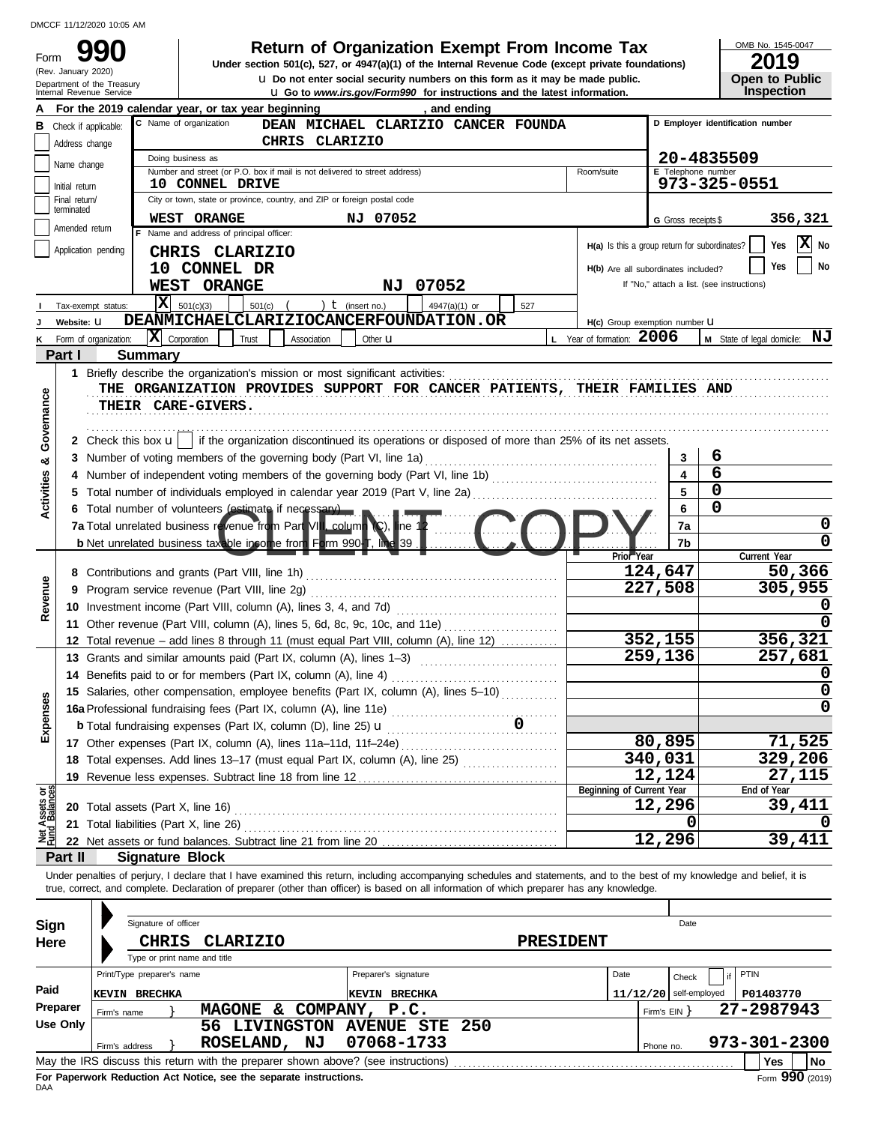Department of the Treasury

(Rev. January 2020)

Form

# **990 2019 2019 2019 2019 2019 2019 2019 2019 2019 2019 2019 2019 2019 2019 2019 2019 2019 2019 2019 2019 2019 2019 2019 2019 2019 2019 2019 2019 2019 2019 2019**

 $\bf{u}$  Do not enter social security numbers on this form as it may be made public. **Under section 501(c), 527, or 4947(a)(1) of the Internal Revenue Code (except private foundations)** OMB No. 1545-0047

| ZV I J         |
|----------------|
| Open to Public |
| Inenaction     |

|                                | un unu          | Internal Revenue Service                                                                                                                                                   |                                          |                 |                                                                            |                      | <b>u</b> Go to <i>www.irs.gov/Form990</i> for instructions and the latest information. |     |                             |                                               |                          |                                            | Inspection                       |
|--------------------------------|-----------------|----------------------------------------------------------------------------------------------------------------------------------------------------------------------------|------------------------------------------|-----------------|----------------------------------------------------------------------------|----------------------|----------------------------------------------------------------------------------------|-----|-----------------------------|-----------------------------------------------|--------------------------|--------------------------------------------|----------------------------------|
|                                |                 | For the 2019 calendar year, or tax year beginning                                                                                                                          |                                          |                 |                                                                            |                      | and ending                                                                             |     |                             |                                               |                          |                                            |                                  |
| в                              |                 | Check if applicable:                                                                                                                                                       | C Name of organization                   |                 |                                                                            |                      | DEAN MICHAEL CLARIZIO CANCER FOUNDA                                                    |     |                             |                                               |                          |                                            | D Employer identification number |
|                                | Address change  |                                                                                                                                                                            | CHRIS CLARIZIO                           |                 |                                                                            |                      |                                                                                        |     |                             |                                               |                          |                                            |                                  |
|                                |                 | Doing business as                                                                                                                                                          |                                          |                 |                                                                            |                      |                                                                                        |     |                             |                                               |                          | 20-4835509                                 |                                  |
|                                | Name change     |                                                                                                                                                                            |                                          |                 | Number and street (or P.O. box if mail is not delivered to street address) |                      |                                                                                        |     | Room/suite                  |                                               | E Telephone number       |                                            |                                  |
|                                | Initial return  |                                                                                                                                                                            | <b>10 CONNEL DRIVE</b>                   |                 |                                                                            |                      |                                                                                        |     |                             |                                               |                          | 973-325-0551                               |                                  |
|                                | Final return/   |                                                                                                                                                                            |                                          |                 | City or town, state or province, country, and ZIP or foreign postal code   |                      |                                                                                        |     |                             |                                               |                          |                                            |                                  |
|                                | terminated      |                                                                                                                                                                            | <b>WEST ORANGE</b>                       |                 |                                                                            | NJ 07052             |                                                                                        |     |                             |                                               | G Gross receipts \$      |                                            | 356,321                          |
|                                | Amended return  |                                                                                                                                                                            | F Name and address of principal officer: |                 |                                                                            |                      |                                                                                        |     |                             |                                               |                          |                                            |                                  |
|                                |                 | Application pending                                                                                                                                                        | CHRIS CLARIZIO                           |                 |                                                                            |                      |                                                                                        |     |                             | H(a) Is this a group return for subordinates? |                          |                                            | X No<br>Yes                      |
|                                |                 |                                                                                                                                                                            | 10 CONNEL DR                             |                 |                                                                            |                      |                                                                                        |     |                             | H(b) Are all subordinates included?           |                          |                                            | No<br>Yes                        |
|                                |                 |                                                                                                                                                                            | <b>WEST ORANGE</b>                       |                 |                                                                            |                      | NJ 07052                                                                               |     |                             |                                               |                          | If "No," attach a list. (see instructions) |                                  |
|                                |                 |                                                                                                                                                                            |                                          |                 |                                                                            |                      |                                                                                        |     |                             |                                               |                          |                                            |                                  |
|                                |                 | X <br>Tax-exempt status:                                                                                                                                                   | 501(c)(3)                                | 501(c)          |                                                                            | ) $t$ (insert no.)   | 4947(a)(1) or                                                                          | 527 |                             |                                               |                          |                                            |                                  |
|                                | Website: U      |                                                                                                                                                                            |                                          |                 |                                                                            |                      | DEANMICHAELCLARIZIOCANCERFOUNDATION.OR                                                 |     |                             | H(c) Group exemption number U                 |                          |                                            |                                  |
| κ                              |                 | Form of organization:                                                                                                                                                      | X Corporation                            | Trust           | Association                                                                | Other <b>u</b>       |                                                                                        |     | L Year of formation: $2006$ |                                               |                          |                                            | M State of legal domicile: NJ    |
|                                | Part I          | <b>Summary</b>                                                                                                                                                             |                                          |                 |                                                                            |                      |                                                                                        |     |                             |                                               |                          |                                            |                                  |
|                                |                 | 1 Briefly describe the organization's mission or most significant activities:                                                                                              |                                          |                 |                                                                            |                      |                                                                                        |     |                             |                                               |                          |                                            |                                  |
|                                |                 |                                                                                                                                                                            |                                          |                 |                                                                            |                      | THE ORGANIZATION PROVIDES SUPPORT FOR CANCER PATIENTS, THEIR FAMILIES AND              |     |                             |                                               |                          |                                            |                                  |
| Governance                     |                 | THEIR CARE-GIVERS.                                                                                                                                                         |                                          |                 |                                                                            |                      |                                                                                        |     |                             |                                               |                          |                                            |                                  |
|                                |                 |                                                                                                                                                                            |                                          |                 |                                                                            |                      |                                                                                        |     |                             |                                               |                          |                                            |                                  |
|                                |                 | 2 Check this box $u$   if the organization discontinued its operations or disposed of more than 25% of its net assets.                                                     |                                          |                 |                                                                            |                      |                                                                                        |     |                             |                                               |                          |                                            |                                  |
|                                |                 |                                                                                                                                                                            |                                          |                 |                                                                            |                      |                                                                                        |     |                             |                                               |                          |                                            |                                  |
| න්                             |                 | 3 Number of voting members of the governing body (Part VI, line 1a)                                                                                                        |                                          |                 |                                                                            |                      |                                                                                        |     |                             |                                               | 3                        | 6                                          |                                  |
| <b>Activities</b>              |                 |                                                                                                                                                                            |                                          |                 |                                                                            |                      |                                                                                        |     |                             |                                               |                          | 6                                          |                                  |
|                                |                 |                                                                                                                                                                            |                                          |                 |                                                                            |                      |                                                                                        |     |                             |                                               | 5                        | 0                                          |                                  |
|                                |                 | 6 Total number of volunteers (estimate if neoessary)                                                                                                                       |                                          |                 |                                                                            |                      |                                                                                        |     |                             |                                               | 6                        | 0                                          |                                  |
|                                |                 | 7a Total unrelated business revenue from Part VIII_column (C), line 1                                                                                                      |                                          |                 |                                                                            |                      |                                                                                        |     |                             |                                               | 7a                       |                                            | 0                                |
|                                |                 | <b>b</b> Net unrelated business taxable income from Form 990-T, line 39                                                                                                    |                                          |                 |                                                                            |                      |                                                                                        |     |                             |                                               | 7b                       |                                            | 0                                |
|                                |                 |                                                                                                                                                                            |                                          |                 |                                                                            |                      |                                                                                        |     |                             | Prior Year                                    |                          |                                            | Current Year                     |
|                                |                 | 8 Contributions and grants (Part VIII, line 1h)                                                                                                                            |                                          |                 |                                                                            |                      |                                                                                        |     |                             |                                               | 124,647                  |                                            | 50,366                           |
| Revenue                        | 9               | Program service revenue (Part VIII, line 2g)                                                                                                                               |                                          |                 |                                                                            |                      |                                                                                        |     |                             |                                               | 227,508                  |                                            | 305,955                          |
|                                |                 | 10 Investment income (Part VIII, column (A), lines 3, 4, and 7d) [                                                                                                         |                                          |                 |                                                                            |                      |                                                                                        |     |                             |                                               |                          |                                            |                                  |
|                                |                 | 11 Other revenue (Part VIII, column (A), lines 5, 6d, 8c, 9c, 10c, and 11e)                                                                                                |                                          |                 |                                                                            |                      |                                                                                        |     |                             |                                               |                          |                                            |                                  |
|                                |                 | 12 Total revenue - add lines 8 through 11 (must equal Part VIII, column (A), line 12)                                                                                      |                                          |                 |                                                                            |                      |                                                                                        |     |                             |                                               | 352,155                  |                                            | 356,321                          |
|                                |                 | 13 Grants and similar amounts paid (Part IX, column (A), lines 1-3)                                                                                                        |                                          |                 |                                                                            |                      |                                                                                        |     |                             |                                               | 259,136                  |                                            | 257,681                          |
|                                |                 |                                                                                                                                                                            |                                          |                 |                                                                            |                      |                                                                                        |     |                             |                                               |                          |                                            |                                  |
|                                |                 | 14 Benefits paid to or for members (Part IX, column (A), line 4)                                                                                                           |                                          |                 |                                                                            |                      |                                                                                        |     |                             |                                               |                          |                                            |                                  |
|                                |                 | 15 Salaries, other compensation, employee benefits (Part IX, column (A), lines 5-10)                                                                                       |                                          |                 |                                                                            |                      |                                                                                        |     |                             |                                               |                          |                                            | 0                                |
| enses                          |                 |                                                                                                                                                                            |                                          |                 |                                                                            |                      |                                                                                        |     |                             |                                               |                          |                                            | 0                                |
| Exp                            |                 | <b>b</b> Total fundraising expenses (Part IX, column (D), line 25) <b>u</b>                                                                                                |                                          |                 |                                                                            |                      |                                                                                        |     |                             |                                               |                          |                                            |                                  |
|                                |                 | 17 Other expenses (Part IX, column (A), lines 11a-11d, 11f-24e)                                                                                                            |                                          |                 |                                                                            |                      |                                                                                        |     |                             |                                               | 80,895                   |                                            | 71,525                           |
|                                |                 | 18 Total expenses. Add lines 13-17 (must equal Part IX, column (A), line 25)                                                                                               |                                          |                 |                                                                            |                      |                                                                                        |     |                             |                                               | 340,031                  |                                            | 329,206                          |
|                                |                 | 19 Revenue less expenses. Subtract line 18 from line 12                                                                                                                    |                                          |                 |                                                                            |                      |                                                                                        |     |                             |                                               | 12,124                   |                                            | 27,115                           |
| Net Assets or<br>Fund Balances |                 |                                                                                                                                                                            |                                          |                 |                                                                            |                      |                                                                                        |     |                             | Beginning of Current Year                     |                          |                                            | End of Year                      |
|                                |                 | 20 Total assets (Part X, line 16)                                                                                                                                          |                                          |                 |                                                                            |                      |                                                                                        |     |                             |                                               | 12,296                   |                                            | 39,411                           |
|                                |                 | 21 Total liabilities (Part X, line 26)                                                                                                                                     |                                          |                 |                                                                            |                      |                                                                                        |     |                             |                                               | O                        |                                            |                                  |
|                                |                 | 22 Net assets or fund balances. Subtract line 21 from line 20                                                                                                              |                                          |                 |                                                                            |                      |                                                                                        |     |                             |                                               | 12,296                   |                                            | 39,411                           |
|                                | Part II         | <b>Signature Block</b>                                                                                                                                                     |                                          |                 |                                                                            |                      |                                                                                        |     |                             |                                               |                          |                                            |                                  |
|                                |                 | Under penalties of perjury, I declare that I have examined this return, including accompanying schedules and statements, and to the best of my knowledge and belief, it is |                                          |                 |                                                                            |                      |                                                                                        |     |                             |                                               |                          |                                            |                                  |
|                                |                 | true, correct, and complete. Declaration of preparer (other than officer) is based on all information of which preparer has any knowledge.                                 |                                          |                 |                                                                            |                      |                                                                                        |     |                             |                                               |                          |                                            |                                  |
|                                |                 |                                                                                                                                                                            |                                          |                 |                                                                            |                      |                                                                                        |     |                             |                                               |                          |                                            |                                  |
|                                |                 |                                                                                                                                                                            |                                          |                 |                                                                            |                      |                                                                                        |     |                             |                                               |                          |                                            |                                  |
| <b>Sign</b>                    |                 | Signature of officer                                                                                                                                                       |                                          |                 |                                                                            |                      |                                                                                        |     |                             |                                               | Date                     |                                            |                                  |
| Here                           |                 | <b>CHRIS</b>                                                                                                                                                               |                                          | <b>CLARIZIO</b> |                                                                            |                      |                                                                                        |     | <b>PRESIDENT</b>            |                                               |                          |                                            |                                  |
|                                |                 |                                                                                                                                                                            | Type or print name and title             |                 |                                                                            |                      |                                                                                        |     |                             |                                               |                          |                                            |                                  |
|                                |                 | Print/Type preparer's name                                                                                                                                                 |                                          |                 |                                                                            | Preparer's signature |                                                                                        |     |                             | Date                                          | Check                    |                                            | PTIN                             |
| Paid                           |                 | KEVIN BRECHKA                                                                                                                                                              |                                          |                 |                                                                            | KEVIN BRECHKA        |                                                                                        |     |                             |                                               | $11/12/20$ self-employed |                                            | P01403770                        |
|                                | Preparer        | Firm's name                                                                                                                                                                |                                          |                 | MAGONE & COMPANY, P.C.                                                     |                      |                                                                                        |     |                             |                                               | Firm's EIN               |                                            | 27-2987943                       |
|                                | <b>Use Only</b> |                                                                                                                                                                            |                                          |                 | 56 LIVINGSTON AVENUE STE                                                   |                      | 250                                                                                    |     |                             |                                               |                          |                                            |                                  |
|                                |                 |                                                                                                                                                                            |                                          |                 | ROSELAND, NJ                                                               | 07068-1733           |                                                                                        |     |                             |                                               |                          |                                            | 973-301-2300                     |
|                                |                 | Firm's address<br>May the IRS discuss this return with the preparer shown above? (see instructions)                                                                        |                                          |                 |                                                                            |                      |                                                                                        |     |                             |                                               | Phone no.                |                                            |                                  |
|                                |                 |                                                                                                                                                                            |                                          |                 |                                                                            |                      |                                                                                        |     |                             |                                               |                          |                                            | Yes<br>No                        |

| Sign     |             | Signature of officer         |       |                     |    |                                                                                   |                  |      |              | Date                     |      |              |        |      |
|----------|-------------|------------------------------|-------|---------------------|----|-----------------------------------------------------------------------------------|------------------|------|--------------|--------------------------|------|--------------|--------|------|
| Here     |             | Type or print name and title | CHRIS | CLARIZIO            |    |                                                                                   | <b>PRESIDENT</b> |      |              |                          |      |              |        |      |
|          |             | Print/Type preparer's name   |       |                     |    | Preparer's signature                                                              |                  | Date |              | Check                    | if I | PTIN         |        |      |
| Paid     |             | KEVIN BRECHKA                |       |                     |    | KEVIN BRECHKA                                                                     |                  |      |              | $11/12/20$ self-employed |      | P01403770    |        |      |
| Preparer | Firm's name |                              |       | <b>MAGONE &amp;</b> |    | COMPANY, P.C.                                                                     |                  |      | Firm's EIN Y |                          |      | 27-2987943   |        |      |
| Use Only |             |                              |       | 56 LIVINGSTON       |    | <b>AVENUE</b><br><b>STE 250</b>                                                   |                  |      |              |                          |      |              |        |      |
|          |             | Firm's address               |       | ROSELAND,           | NJ | 07068-1733                                                                        |                  |      | Phone no.    |                          |      | 973-301-2300 |        |      |
|          |             |                              |       |                     |    | May the IRS discuss this return with the preparer shown above? (see instructions) |                  |      |              |                          |      | <b>Yes</b>   |        | l No |
|          |             |                              |       |                     |    |                                                                                   |                  |      |              |                          |      |              | $\sim$ |      |

**For Paperwork Reduction Act Notice, see the separate instructions.**<br>DAA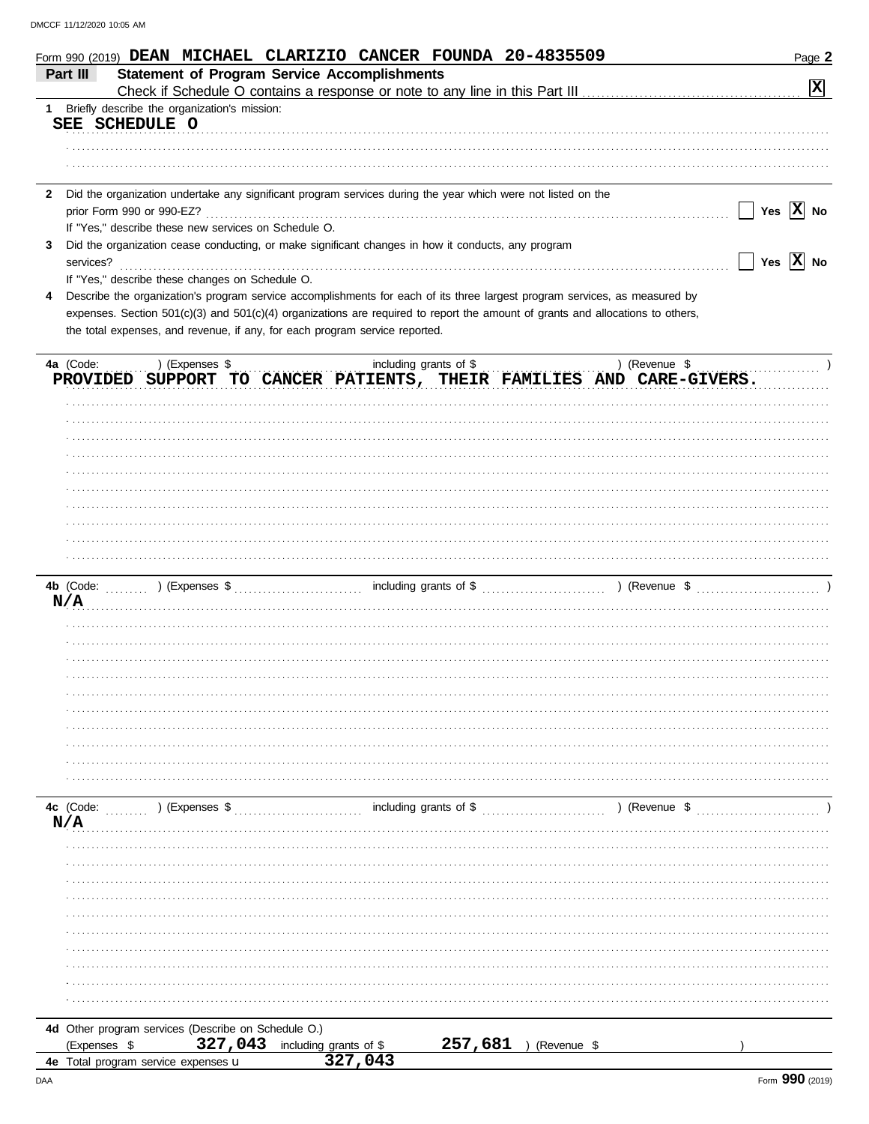|              | Form 990 (2019) DEAN MICHAEL CLARIZIO CANCER FOUNDA 20-4835509                                                                                                                                                | Page 2                                      |
|--------------|---------------------------------------------------------------------------------------------------------------------------------------------------------------------------------------------------------------|---------------------------------------------|
|              | <b>Statement of Program Service Accomplishments</b><br>Part III                                                                                                                                               |                                             |
|              |                                                                                                                                                                                                               | $\boxed{\mathbf{x}}$                        |
| 1            | Briefly describe the organization's mission:                                                                                                                                                                  |                                             |
|              | SEE SCHEDULE O                                                                                                                                                                                                |                                             |
|              |                                                                                                                                                                                                               |                                             |
|              |                                                                                                                                                                                                               |                                             |
| $\mathbf{2}$ | Did the organization undertake any significant program services during the year which were not listed on the                                                                                                  |                                             |
|              | prior Form 990 or 990-EZ?                                                                                                                                                                                     | Yes $\boxed{\mathbf{X}}$ No<br>$\mathbf{I}$ |
|              | If "Yes," describe these new services on Schedule O.                                                                                                                                                          |                                             |
| 3            | Did the organization cease conducting, or make significant changes in how it conducts, any program                                                                                                            |                                             |
|              | services?                                                                                                                                                                                                     | Yes $\boxed{\mathbf{X}}$ No<br>$\mathbf{I}$ |
|              | If "Yes," describe these changes on Schedule O.                                                                                                                                                               |                                             |
| 4            | Describe the organization's program service accomplishments for each of its three largest program services, as measured by                                                                                    |                                             |
|              | expenses. Section 501(c)(3) and 501(c)(4) organizations are required to report the amount of grants and allocations to others,<br>the total expenses, and revenue, if any, for each program service reported. |                                             |
|              |                                                                                                                                                                                                               |                                             |
|              | 4a (Code:<br>) (Expenses \$<br>including grants of \$<br>) (Revenue \$                                                                                                                                        |                                             |
|              | SUPPORT TO CANCER PATIENTS, THEIR FAMILIES AND CARE-GIVERS.<br><b>PROVIDED</b>                                                                                                                                |                                             |
|              |                                                                                                                                                                                                               |                                             |
|              |                                                                                                                                                                                                               |                                             |
|              |                                                                                                                                                                                                               |                                             |
|              |                                                                                                                                                                                                               |                                             |
|              |                                                                                                                                                                                                               |                                             |
|              |                                                                                                                                                                                                               |                                             |
|              |                                                                                                                                                                                                               |                                             |
|              |                                                                                                                                                                                                               |                                             |
|              |                                                                                                                                                                                                               |                                             |
|              |                                                                                                                                                                                                               |                                             |
|              | 4b (Code:                                                                                                                                                                                                     |                                             |
|              | N/A                                                                                                                                                                                                           |                                             |
|              |                                                                                                                                                                                                               |                                             |
|              |                                                                                                                                                                                                               |                                             |
|              |                                                                                                                                                                                                               |                                             |
|              |                                                                                                                                                                                                               |                                             |
|              |                                                                                                                                                                                                               |                                             |
|              |                                                                                                                                                                                                               |                                             |
|              |                                                                                                                                                                                                               |                                             |
|              |                                                                                                                                                                                                               |                                             |
|              |                                                                                                                                                                                                               |                                             |
|              |                                                                                                                                                                                                               |                                             |
|              | 4c (Code:<br>including grants of \$<br>) (Revenue \$<br>) (Expenses \$                                                                                                                                        |                                             |
|              | N/A                                                                                                                                                                                                           |                                             |
|              |                                                                                                                                                                                                               |                                             |
|              |                                                                                                                                                                                                               |                                             |
|              |                                                                                                                                                                                                               |                                             |
|              |                                                                                                                                                                                                               |                                             |
|              |                                                                                                                                                                                                               |                                             |
|              |                                                                                                                                                                                                               |                                             |
|              |                                                                                                                                                                                                               |                                             |
|              |                                                                                                                                                                                                               |                                             |
|              |                                                                                                                                                                                                               |                                             |
|              |                                                                                                                                                                                                               |                                             |
|              | 4d Other program services (Describe on Schedule O.)                                                                                                                                                           |                                             |
|              | 327,043<br>257,681<br>(Expenses \$<br>(Revenue \$<br>including grants of \$                                                                                                                                   |                                             |
|              | 327,043<br>4e Total program service expenses u                                                                                                                                                                |                                             |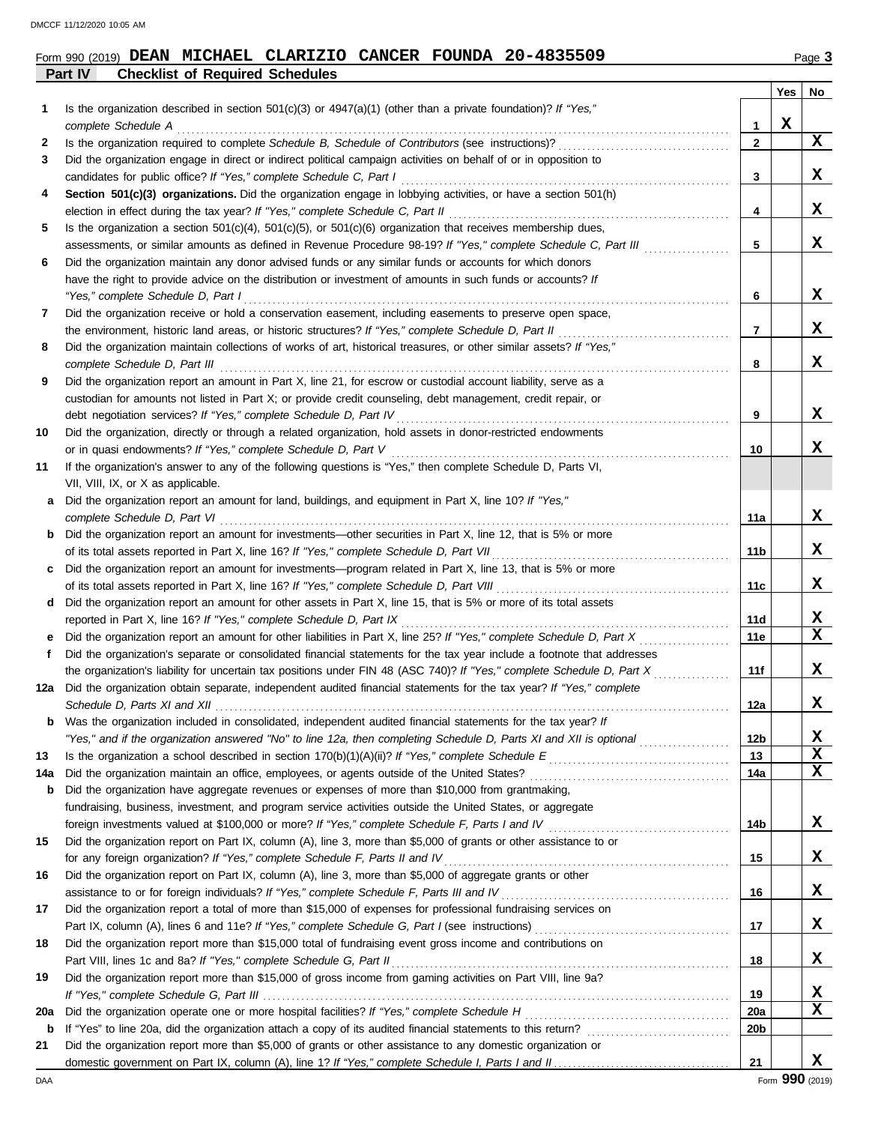#### **Part IV Checklist of Required Schedules Form 990 (2019) DEAN MICHAEL CLARIZIO CANCER FOUNDA 20-4835509** Page 3

| 1        | Is the organization described in section $501(c)(3)$ or $4947(a)(1)$ (other than a private foundation)? If "Yes,"                                                                               |                 | Yes | No               |
|----------|-------------------------------------------------------------------------------------------------------------------------------------------------------------------------------------------------|-----------------|-----|------------------|
|          | complete Schedule A                                                                                                                                                                             | 1               | X   | x                |
| 2        | Is the organization required to complete Schedule B, Schedule of Contributors (see instructions)?                                                                                               | $\mathbf{2}$    |     |                  |
| 3        | Did the organization engage in direct or indirect political campaign activities on behalf of or in opposition to<br>candidates for public office? If "Yes," complete Schedule C, Part I         | 3               |     | x                |
| 4        | Section 501(c)(3) organizations. Did the organization engage in lobbying activities, or have a section 501(h)                                                                                   |                 |     |                  |
|          | election in effect during the tax year? If "Yes," complete Schedule C, Part II                                                                                                                  | 4               |     | x                |
| 5        | Is the organization a section $501(c)(4)$ , $501(c)(5)$ , or $501(c)(6)$ organization that receives membership dues,                                                                            |                 |     |                  |
|          | assessments, or similar amounts as defined in Revenue Procedure 98-19? If "Yes," complete Schedule C, Part III                                                                                  | 5               |     | x                |
| 6        | Did the organization maintain any donor advised funds or any similar funds or accounts for which donors                                                                                         |                 |     |                  |
|          | have the right to provide advice on the distribution or investment of amounts in such funds or accounts? If                                                                                     |                 |     |                  |
|          | "Yes," complete Schedule D, Part I                                                                                                                                                              | 6               |     | x                |
| 7        | Did the organization receive or hold a conservation easement, including easements to preserve open space,                                                                                       |                 |     |                  |
|          | the environment, historic land areas, or historic structures? If "Yes," complete Schedule D, Part II                                                                                            | 7               |     | x                |
| 8        | Did the organization maintain collections of works of art, historical treasures, or other similar assets? If "Yes,"<br>complete Schedule D, Part III                                            | 8               |     | x                |
| 9        | Did the organization report an amount in Part X, line 21, for escrow or custodial account liability, serve as a                                                                                 |                 |     |                  |
|          | custodian for amounts not listed in Part X; or provide credit counseling, debt management, credit repair, or                                                                                    |                 |     |                  |
|          | debt negotiation services? If "Yes," complete Schedule D, Part IV                                                                                                                               | 9               |     | x                |
| 10       | Did the organization, directly or through a related organization, hold assets in donor-restricted endowments                                                                                    |                 |     |                  |
|          | or in quasi endowments? If "Yes," complete Schedule D, Part V                                                                                                                                   | 10              |     | X                |
| 11       | If the organization's answer to any of the following questions is "Yes," then complete Schedule D, Parts VI,                                                                                    |                 |     |                  |
|          | VII, VIII, IX, or X as applicable.                                                                                                                                                              |                 |     |                  |
| a        | Did the organization report an amount for land, buildings, and equipment in Part X, line 10? If "Yes,"<br>complete Schedule D, Part VI                                                          | 11a             |     | x                |
| b        | Did the organization report an amount for investments—other securities in Part X, line 12, that is 5% or more                                                                                   |                 |     |                  |
|          | of its total assets reported in Part X, line 16? If "Yes," complete Schedule D, Part VII                                                                                                        | 11b             |     | x                |
| c        | Did the organization report an amount for investments—program related in Part X, line 13, that is 5% or more                                                                                    |                 |     |                  |
|          |                                                                                                                                                                                                 | 11c             |     | x                |
| d        | Did the organization report an amount for other assets in Part X, line 15, that is 5% or more of its total assets                                                                               |                 |     |                  |
|          | reported in Part X, line 16? If "Yes," complete Schedule D, Part IX                                                                                                                             | 11d             |     | x                |
| е        | Did the organization report an amount for other liabilities in Part X, line 25? If "Yes," complete Schedule D, Part X                                                                           | 11e             |     | $\mathbf x$      |
| f        | Did the organization's separate or consolidated financial statements for the tax year include a footnote that addresses                                                                         |                 |     |                  |
|          | the organization's liability for uncertain tax positions under FIN 48 (ASC 740)? If "Yes," complete Schedule D, Part X                                                                          | 11f             |     | X                |
| 12a      | Did the organization obtain separate, independent audited financial statements for the tax year? If "Yes," complete                                                                             |                 |     |                  |
|          |                                                                                                                                                                                                 | 12a             |     | X                |
| b        | Was the organization included in consolidated, independent audited financial statements for the tax year? If                                                                                    |                 |     |                  |
|          | "Yes," and if the organization answered "No" to line 12a, then completing Schedule D, Parts XI and XII is optional                                                                              | 12 <sub>b</sub> |     | X<br>$\mathbf x$ |
| 13       |                                                                                                                                                                                                 | 13              |     | X                |
| 14a<br>b | Did the organization maintain an office, employees, or agents outside of the United States?<br>Did the organization have aggregate revenues or expenses of more than \$10,000 from grantmaking, | 14a             |     |                  |
|          | fundraising, business, investment, and program service activities outside the United States, or aggregate                                                                                       |                 |     |                  |
|          |                                                                                                                                                                                                 | 14b             |     | X                |
| 15       | Did the organization report on Part IX, column (A), line 3, more than \$5,000 of grants or other assistance to or                                                                               |                 |     |                  |
|          | for any foreign organization? If "Yes," complete Schedule F, Parts II and IV                                                                                                                    | 15              |     | X                |
| 16       | Did the organization report on Part IX, column (A), line 3, more than \$5,000 of aggregate grants or other                                                                                      |                 |     |                  |
|          | assistance to or for foreign individuals? If "Yes," complete Schedule F, Parts III and IV                                                                                                       | 16              |     | X                |
| 17       | Did the organization report a total of more than \$15,000 of expenses for professional fundraising services on                                                                                  |                 |     |                  |
|          |                                                                                                                                                                                                 | 17              |     | X                |
| 18       | Did the organization report more than \$15,000 total of fundraising event gross income and contributions on                                                                                     |                 |     |                  |
|          | Part VIII, lines 1c and 8a? If "Yes," complete Schedule G, Part II                                                                                                                              | 18              |     | X                |
| 19       | Did the organization report more than \$15,000 of gross income from gaming activities on Part VIII, line 9a?                                                                                    |                 |     |                  |
|          |                                                                                                                                                                                                 | 19              |     | X                |
| 20a      |                                                                                                                                                                                                 | <b>20a</b>      |     | $\mathbf x$      |
| b        |                                                                                                                                                                                                 | 20 <sub>b</sub> |     |                  |
| 21       | Did the organization report more than \$5,000 of grants or other assistance to any domestic organization or                                                                                     | 21              |     | X.               |
|          |                                                                                                                                                                                                 |                 |     |                  |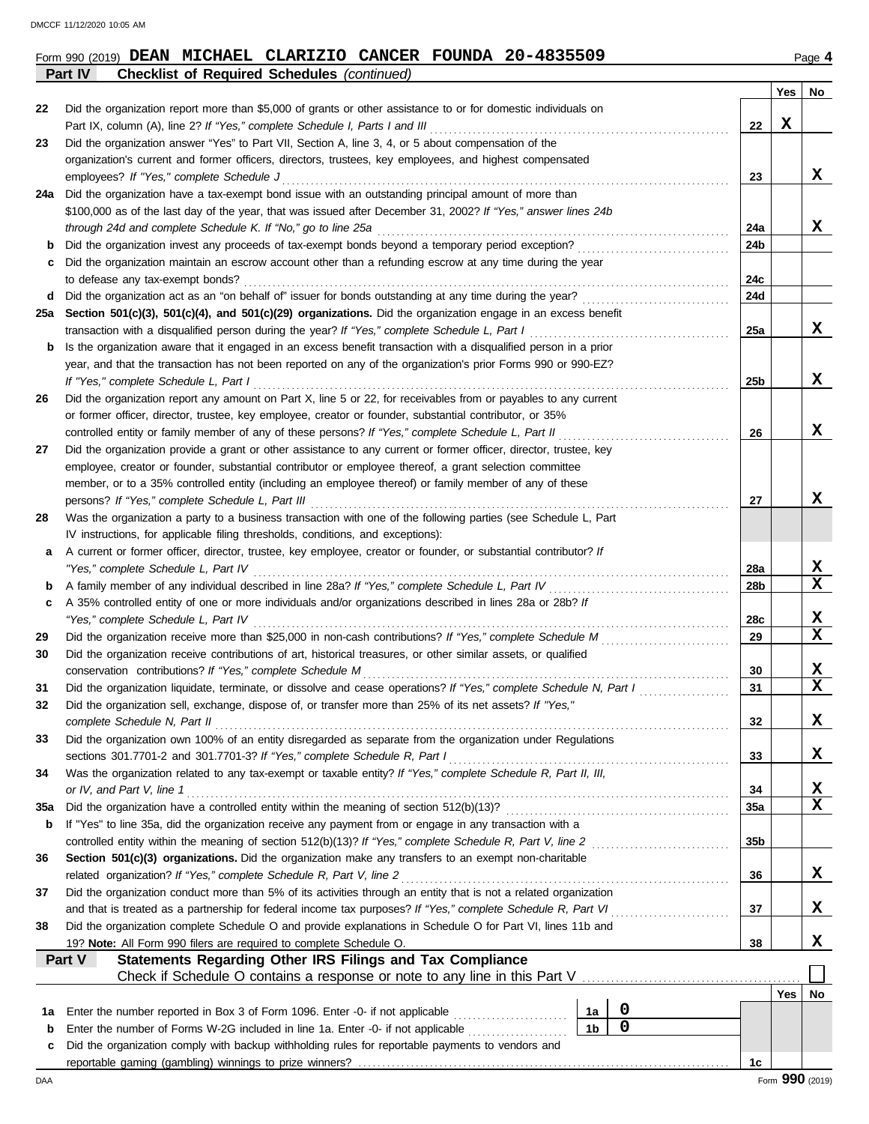### **Form 990 (2019) DEAN MICHAEL CLARIZIO CANCER FOUNDA 20-4835509** Page 4 **Part IV Checklist of Required Schedules** *(continued)*

|     |                                                                                                                    |                |             |                 | Yes | No          |
|-----|--------------------------------------------------------------------------------------------------------------------|----------------|-------------|-----------------|-----|-------------|
| 22  | Did the organization report more than \$5,000 of grants or other assistance to or for domestic individuals on      |                |             |                 |     |             |
|     | Part IX, column (A), line 2? If "Yes," complete Schedule I, Parts I and III                                        |                |             | 22              | x   |             |
| 23  | Did the organization answer "Yes" to Part VII, Section A, line 3, 4, or 5 about compensation of the                |                |             |                 |     |             |
|     | organization's current and former officers, directors, trustees, key employees, and highest compensated            |                |             |                 |     |             |
|     | employees? If "Yes," complete Schedule J                                                                           |                |             | 23              |     | x           |
| 24a | Did the organization have a tax-exempt bond issue with an outstanding principal amount of more than                |                |             |                 |     |             |
|     | \$100,000 as of the last day of the year, that was issued after December 31, 2002? If "Yes," answer lines 24b      |                |             |                 |     |             |
|     | through 24d and complete Schedule K. If "No," go to line 25a                                                       |                |             | 24a             |     | x           |
| b   | Did the organization invest any proceeds of tax-exempt bonds beyond a temporary period exception?                  |                |             | 24b             |     |             |
| c   | Did the organization maintain an escrow account other than a refunding escrow at any time during the year          |                |             |                 |     |             |
|     | to defease any tax-exempt bonds?                                                                                   |                |             | 24c             |     |             |
| d   | Did the organization act as an "on behalf of" issuer for bonds outstanding at any time during the year?            |                |             | 24d             |     |             |
| 25a | Section 501(c)(3), 501(c)(4), and 501(c)(29) organizations. Did the organization engage in an excess benefit       |                |             |                 |     |             |
|     | transaction with a disqualified person during the year? If "Yes," complete Schedule L, Part I                      |                |             | 25a             |     | x           |
|     |                                                                                                                    |                |             |                 |     |             |
| b   | Is the organization aware that it engaged in an excess benefit transaction with a disqualified person in a prior   |                |             |                 |     |             |
|     | year, and that the transaction has not been reported on any of the organization's prior Forms 990 or 990-EZ?       |                |             |                 |     | x           |
|     | If "Yes," complete Schedule L, Part I                                                                              |                |             | 25 <sub>b</sub> |     |             |
| 26  | Did the organization report any amount on Part X, line 5 or 22, for receivables from or payables to any current    |                |             |                 |     |             |
|     | or former officer, director, trustee, key employee, creator or founder, substantial contributor, or 35%            |                |             |                 |     |             |
|     | controlled entity or family member of any of these persons? If "Yes," complete Schedule L, Part II                 |                |             | 26              |     | X           |
| 27  | Did the organization provide a grant or other assistance to any current or former officer, director, trustee, key  |                |             |                 |     |             |
|     | employee, creator or founder, substantial contributor or employee thereof, a grant selection committee             |                |             |                 |     |             |
|     | member, or to a 35% controlled entity (including an employee thereof) or family member of any of these             |                |             |                 |     |             |
|     | persons? If "Yes," complete Schedule L, Part III                                                                   |                |             | 27              |     | x           |
| 28  | Was the organization a party to a business transaction with one of the following parties (see Schedule L, Part     |                |             |                 |     |             |
|     | IV instructions, for applicable filing thresholds, conditions, and exceptions):                                    |                |             |                 |     |             |
| а   | A current or former officer, director, trustee, key employee, creator or founder, or substantial contributor? If   |                |             |                 |     |             |
|     | "Yes," complete Schedule L, Part IV                                                                                |                |             | 28a             |     | X           |
| b   | A family member of any individual described in line 28a? If "Yes," complete Schedule L, Part IV                    |                |             | 28b             |     | $\mathbf x$ |
| c   | A 35% controlled entity of one or more individuals and/or organizations described in lines 28a or 28b? If          |                |             |                 |     |             |
|     | "Yes," complete Schedule L, Part IV                                                                                |                |             | 28c             |     | х           |
| 29  | Did the organization receive more than \$25,000 in non-cash contributions? If "Yes," complete Schedule M           |                |             | 29              |     | $\mathbf x$ |
| 30  | Did the organization receive contributions of art, historical treasures, or other similar assets, or qualified     |                |             |                 |     |             |
|     | conservation contributions? If "Yes," complete Schedule M                                                          |                |             | 30              |     | X           |
| 31  | Did the organization liquidate, terminate, or dissolve and cease operations? If "Yes," complete Schedule N, Part I |                |             | 31              |     | $\mathbf x$ |
| 32  | Did the organization sell, exchange, dispose of, or transfer more than 25% of its net assets? If "Yes,"            |                |             |                 |     |             |
|     | complete Schedule N, Part II                                                                                       |                |             | 32              |     | x           |
| 33  | Did the organization own 100% of an entity disregarded as separate from the organization under Regulations         |                |             |                 |     |             |
|     | sections 301.7701-2 and 301.7701-3? If "Yes," complete Schedule R, Part I                                          |                |             | 33              |     | x           |
| 34  | Was the organization related to any tax-exempt or taxable entity? If "Yes," complete Schedule R, Part II, III,     |                |             |                 |     |             |
|     | or IV, and Part V, line 1                                                                                          |                |             | 34              |     | х           |
|     |                                                                                                                    |                |             |                 |     | X           |
| 35a | Did the organization have a controlled entity within the meaning of section 512(b)(13)?                            |                |             | <b>35a</b>      |     |             |
| b   | If "Yes" to line 35a, did the organization receive any payment from or engage in any transaction with a            |                |             |                 |     |             |
|     | controlled entity within the meaning of section 512(b)(13)? If "Yes," complete Schedule R, Part V, line 2          |                |             | 35b             |     |             |
| 36  | Section 501(c)(3) organizations. Did the organization make any transfers to an exempt non-charitable               |                |             |                 |     |             |
|     | related organization? If "Yes," complete Schedule R, Part V, line 2                                                |                |             | 36              |     | х           |
| 37  | Did the organization conduct more than 5% of its activities through an entity that is not a related organization   |                |             |                 |     |             |
|     | and that is treated as a partnership for federal income tax purposes? If "Yes," complete Schedule R, Part VI       |                |             | 37              |     | x           |
| 38  | Did the organization complete Schedule O and provide explanations in Schedule O for Part VI, lines 11b and         |                |             |                 |     |             |
|     | 19? Note: All Form 990 filers are required to complete Schedule O.                                                 |                |             | 38              |     | x           |
|     | Statements Regarding Other IRS Filings and Tax Compliance<br>Part V                                                |                |             |                 |     |             |
|     |                                                                                                                    |                |             |                 |     |             |
|     |                                                                                                                    |                |             |                 | Yes | No.         |
| 1а  | Enter the number reported in Box 3 of Form 1096. Enter -0- if not applicable                                       | 1a             | 0           |                 |     |             |
| b   | Enter the number of Forms W-2G included in line 1a. Enter -0- if not applicable                                    | 1 <sub>b</sub> | $\mathbf 0$ |                 |     |             |
| c   | Did the organization comply with backup withholding rules for reportable payments to vendors and                   |                |             |                 |     |             |
|     |                                                                                                                    |                |             | 1c              |     |             |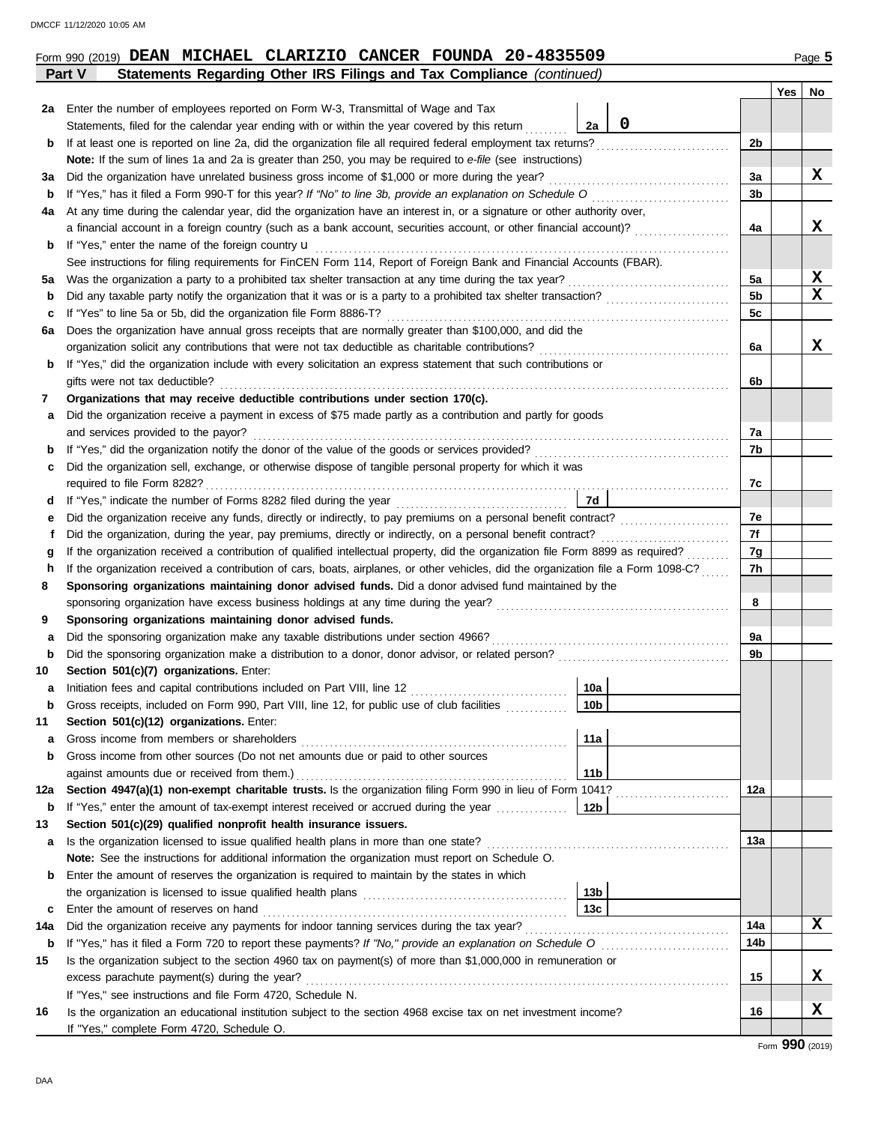#### **Part V Statements Regarding Other IRS Filings and Tax Compliance** *(continued)* **Form 990 (2019) DEAN MICHAEL CLARIZIO CANCER FOUNDA 20-4835509** Page 5

|--|--|

|             |                                                                                                                                                 |                 |   |                | Yes | No |  |  |  |
|-------------|-------------------------------------------------------------------------------------------------------------------------------------------------|-----------------|---|----------------|-----|----|--|--|--|
| 2a          | Enter the number of employees reported on Form W-3, Transmittal of Wage and Tax                                                                 |                 |   |                |     |    |  |  |  |
|             | Statements, filed for the calendar year ending with or within the year covered by this return                                                   | 2a              | 0 |                |     |    |  |  |  |
| b           | If at least one is reported on line 2a, did the organization file all required federal employment tax returns?                                  |                 |   | 2b             |     |    |  |  |  |
|             | Note: If the sum of lines 1a and 2a is greater than 250, you may be required to e-file (see instructions)                                       |                 |   |                |     |    |  |  |  |
| За          | Did the organization have unrelated business gross income of \$1,000 or more during the year?                                                   |                 |   |                |     |    |  |  |  |
| b           | If "Yes," has it filed a Form 990-T for this year? If "No" to line 3b, provide an explanation on Schedule O consequences                        |                 |   | 3b             |     |    |  |  |  |
| 4a          | At any time during the calendar year, did the organization have an interest in, or a signature or other authority over,                         |                 |   |                |     |    |  |  |  |
|             | a financial account in a foreign country (such as a bank account, securities account, or other financial account)?                              |                 |   | 4a             |     | x  |  |  |  |
| b           | If "Yes," enter the name of the foreign country $\mathbf u$                                                                                     |                 |   |                |     |    |  |  |  |
|             | See instructions for filing requirements for FinCEN Form 114, Report of Foreign Bank and Financial Accounts (FBAR).                             |                 |   |                |     |    |  |  |  |
| 5a          |                                                                                                                                                 |                 |   | 5a             |     | х  |  |  |  |
| b           |                                                                                                                                                 |                 |   | 5 <sub>b</sub> |     | X  |  |  |  |
| c           | If "Yes" to line 5a or 5b, did the organization file Form 8886-T?                                                                               |                 |   | 5c             |     |    |  |  |  |
| 6а          | Does the organization have annual gross receipts that are normally greater than \$100,000, and did the                                          |                 |   |                |     |    |  |  |  |
|             | organization solicit any contributions that were not tax deductible as charitable contributions?                                                |                 |   | 6a             |     | x  |  |  |  |
| b           | If "Yes," did the organization include with every solicitation an express statement that such contributions or                                  |                 |   |                |     |    |  |  |  |
|             | gifts were not tax deductible?                                                                                                                  |                 |   | 6b             |     |    |  |  |  |
| 7           | Organizations that may receive deductible contributions under section 170(c).                                                                   |                 |   |                |     |    |  |  |  |
| а           | Did the organization receive a payment in excess of \$75 made partly as a contribution and partly for goods                                     |                 |   |                |     |    |  |  |  |
|             | and services provided to the payor?                                                                                                             |                 |   | 7a             |     |    |  |  |  |
| b           |                                                                                                                                                 |                 |   | 7b             |     |    |  |  |  |
| с           | Did the organization sell, exchange, or otherwise dispose of tangible personal property for which it was                                        |                 |   |                |     |    |  |  |  |
|             |                                                                                                                                                 |                 |   | 7с             |     |    |  |  |  |
| d           |                                                                                                                                                 | 7d              |   |                |     |    |  |  |  |
| е           |                                                                                                                                                 |                 |   | 7e             |     |    |  |  |  |
| t           | Did the organization, during the year, pay premiums, directly or indirectly, on a personal benefit contract?                                    |                 |   | 7f             |     |    |  |  |  |
| g           | If the organization received a contribution of qualified intellectual property, did the organization file Form 8899 as required?                |                 |   | 7g             |     |    |  |  |  |
| h           | If the organization received a contribution of cars, boats, airplanes, or other vehicles, did the organization file a Form 1098-C?              |                 |   | 7h             |     |    |  |  |  |
| 8           | Sponsoring organizations maintaining donor advised funds. Did a donor advised fund maintained by the                                            |                 |   |                |     |    |  |  |  |
|             | sponsoring organization have excess business holdings at any time during the year?                                                              |                 |   | 8              |     |    |  |  |  |
| 9           | Sponsoring organizations maintaining donor advised funds.<br>Did the sponsoring organization make any taxable distributions under section 4966? |                 |   | 9a             |     |    |  |  |  |
| а<br>b      |                                                                                                                                                 |                 |   | 9b             |     |    |  |  |  |
| 10          | Section 501(c)(7) organizations. Enter:                                                                                                         |                 |   |                |     |    |  |  |  |
| а           | Initiation fees and capital contributions included on Part VIII, line 12                                                                        | 10a             |   |                |     |    |  |  |  |
| $\mathbf b$ | Gross receipts, included on Form 990, Part VIII, line 12, for public use of club facilities                                                     | 10 <sub>b</sub> |   |                |     |    |  |  |  |
| 11          | Section 501(c)(12) organizations. Enter:                                                                                                        |                 |   |                |     |    |  |  |  |
| а           |                                                                                                                                                 | 11a             |   |                |     |    |  |  |  |
| b           | Gross income from other sources (Do not net amounts due or paid to other sources                                                                |                 |   |                |     |    |  |  |  |
|             | against amounts due or received from them.)                                                                                                     | 11 <sub>b</sub> |   |                |     |    |  |  |  |
| 12a         | Section 4947(a)(1) non-exempt charitable trusts. Is the organization filing Form 990 in lieu of Form 1041?                                      |                 |   | 12a            |     |    |  |  |  |
| b           |                                                                                                                                                 |                 |   |                |     |    |  |  |  |
| 13          | Section 501(c)(29) qualified nonprofit health insurance issuers.                                                                                |                 |   |                |     |    |  |  |  |
| а           | Is the organization licensed to issue qualified health plans in more than one state?                                                            |                 |   | 13а            |     |    |  |  |  |
|             | Note: See the instructions for additional information the organization must report on Schedule O.                                               |                 |   |                |     |    |  |  |  |
| b           | Enter the amount of reserves the organization is required to maintain by the states in which                                                    |                 |   |                |     |    |  |  |  |
|             |                                                                                                                                                 | 13b             |   |                |     |    |  |  |  |
| c           |                                                                                                                                                 | 13 <sub>c</sub> |   |                |     |    |  |  |  |
| 14a         |                                                                                                                                                 |                 |   | 14a            |     | X  |  |  |  |
| b           |                                                                                                                                                 |                 |   | 14b            |     |    |  |  |  |
| 15          | Is the organization subject to the section 4960 tax on payment(s) of more than \$1,000,000 in remuneration or                                   |                 |   |                |     |    |  |  |  |
|             |                                                                                                                                                 |                 |   | 15             |     | x  |  |  |  |
|             | If "Yes," see instructions and file Form 4720, Schedule N.                                                                                      |                 |   |                |     |    |  |  |  |
| 16          | Is the organization an educational institution subject to the section 4968 excise tax on net investment income?                                 |                 |   | 16             |     | X  |  |  |  |
|             | If "Yes," complete Form 4720, Schedule O.                                                                                                       |                 |   |                |     |    |  |  |  |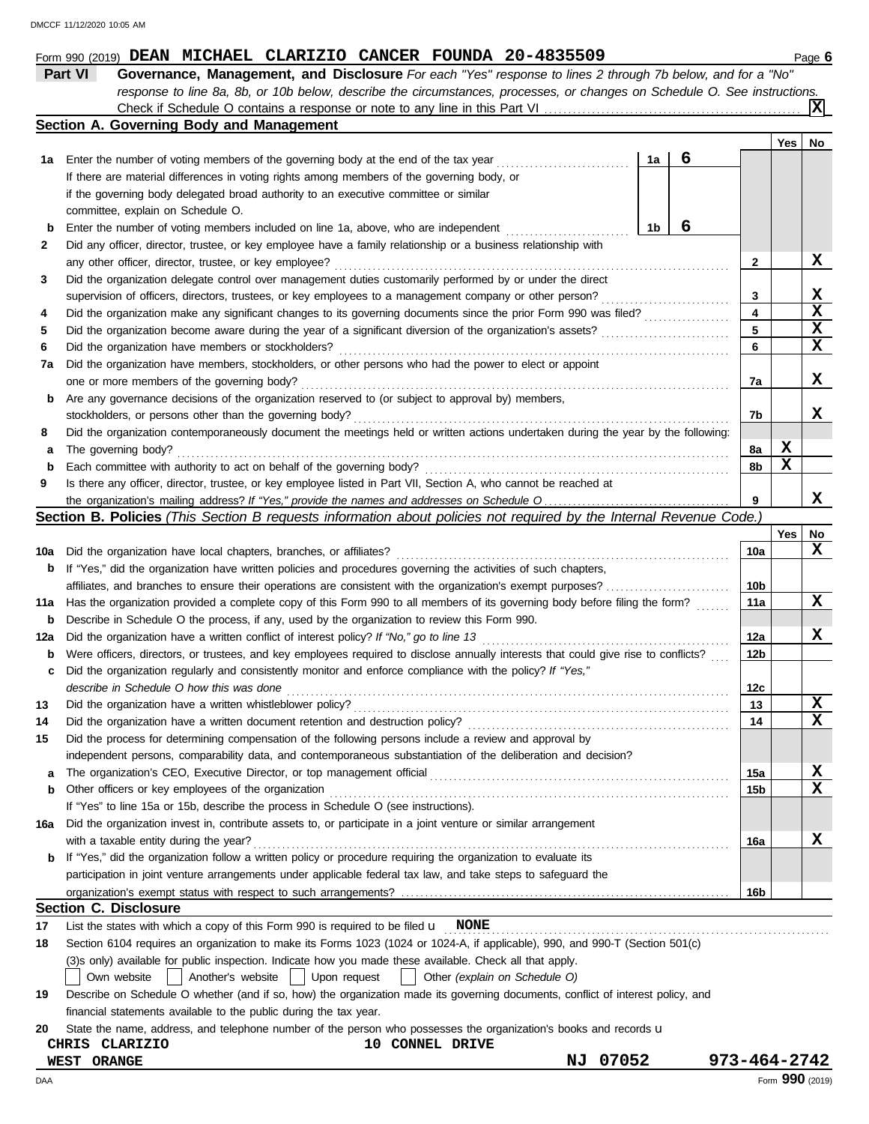|  |  |  | $_{\rm Form}$ 990 (2019) DEAN MICHAEL CLARIZIO CANCER FOUNDA 20-4835509 | Page $\bm{b}$ |  |
|--|--|--|-------------------------------------------------------------------------|---------------|--|
|  |  |  |                                                                         |               |  |

| Part VI | Governance, Management, and Disclosure For each "Yes" response to lines 2 through 7b below, and for a "No"                |                      |
|---------|---------------------------------------------------------------------------------------------------------------------------|----------------------|
|         | response to line 8a, 8b, or 10b below, describe the circumstances, processes, or changes on Schedule O. See instructions. |                      |
|         | Check if Schedule O contains a response or note to any line in this Part VI                                               | $\boxed{\mathbf{X}}$ |

|              | Section A. Governing Body and Management                                                                                                                                                                                |                 |     |    |
|--------------|-------------------------------------------------------------------------------------------------------------------------------------------------------------------------------------------------------------------------|-----------------|-----|----|
|              |                                                                                                                                                                                                                         |                 | Yes | No |
| 1а           | 6<br>Enter the number of voting members of the governing body at the end of the tax year<br>1a                                                                                                                          |                 |     |    |
|              | If there are material differences in voting rights among members of the governing body, or                                                                                                                              |                 |     |    |
|              | if the governing body delegated broad authority to an executive committee or similar                                                                                                                                    |                 |     |    |
|              | committee, explain on Schedule O.                                                                                                                                                                                       |                 |     |    |
| b            | 6<br>1b<br>Enter the number of voting members included on line 1a, above, who are independent                                                                                                                           |                 |     |    |
| $\mathbf{2}$ | Did any officer, director, trustee, or key employee have a family relationship or a business relationship with                                                                                                          |                 |     |    |
|              | any other officer, director, trustee, or key employee?                                                                                                                                                                  | 2               |     | X  |
| 3            | Did the organization delegate control over management duties customarily performed by or under the direct                                                                                                               |                 |     |    |
|              | supervision of officers, directors, trustees, or key employees to a management company or other person?                                                                                                                 | 3               |     | x  |
| 4            |                                                                                                                                                                                                                         | 4               |     | X  |
| 5            | Did the organization become aware during the year of a significant diversion of the organization's assets?                                                                                                              | 5               |     | X  |
| 6            | Did the organization have members or stockholders?                                                                                                                                                                      | 6               |     | X  |
| 7a           | Did the organization have members, stockholders, or other persons who had the power to elect or appoint                                                                                                                 |                 |     |    |
|              | one or more members of the governing body?                                                                                                                                                                              | 7a              |     | X  |
| b            | Are any governance decisions of the organization reserved to (or subject to approval by) members,                                                                                                                       |                 |     |    |
|              | stockholders, or persons other than the governing body?                                                                                                                                                                 | 7b              |     | x  |
| 8            | Did the organization contemporaneously document the meetings held or written actions undertaken during the year by the following:                                                                                       |                 |     |    |
| а            | The governing body?                                                                                                                                                                                                     | 8а              | X   |    |
| $\mathbf b$  | Each committee with authority to act on behalf of the governing body?                                                                                                                                                   | 8b              | X   |    |
| 9            | Is there any officer, director, trustee, or key employee listed in Part VII, Section A, who cannot be reached at                                                                                                        |                 |     |    |
|              |                                                                                                                                                                                                                         | 9               |     | x  |
|              | <b>Section B. Policies</b> (This Section B requests information about policies not required by the Internal Revenue Code.)                                                                                              |                 |     |    |
|              |                                                                                                                                                                                                                         |                 | Yes | No |
| 10a          | Did the organization have local chapters, branches, or affiliates?                                                                                                                                                      | 10a             |     | x  |
| b            | If "Yes," did the organization have written policies and procedures governing the activities of such chapters,                                                                                                          |                 |     |    |
|              | affiliates, and branches to ensure their operations are consistent with the organization's exempt purposes?                                                                                                             | 10 <sub>b</sub> |     |    |
| 11a          | Has the organization provided a complete copy of this Form 990 to all members of its governing body before filing the form?                                                                                             | 11a             |     | X  |
| b            | Describe in Schedule O the process, if any, used by the organization to review this Form 990.                                                                                                                           |                 |     |    |
| 12a          | Did the organization have a written conflict of interest policy? If "No," go to line 13                                                                                                                                 | 12a             |     | X  |
| b            | Were officers, directors, or trustees, and key employees required to disclose annually interests that could give rise to conflicts?                                                                                     | 12b             |     |    |
| c            | Did the organization regularly and consistently monitor and enforce compliance with the policy? If "Yes,"                                                                                                               |                 |     |    |
|              | describe in Schedule O how this was done                                                                                                                                                                                | 12с             |     | X  |
| 13           | Did the organization have a written whistleblower policy?                                                                                                                                                               | 13              |     | x  |
| 14           | Did the organization have a written document retention and destruction policy?                                                                                                                                          | 14              |     |    |
| 15           | Did the process for determining compensation of the following persons include a review and approval by<br>independent persons, comparability data, and contemporaneous substantiation of the deliberation and decision? |                 |     |    |
|              |                                                                                                                                                                                                                         |                 |     | х  |
| а            | Other officers or key employees of the organization                                                                                                                                                                     | 15a<br>15b      |     | X  |
| b            | If "Yes" to line 15a or 15b, describe the process in Schedule O (see instructions).                                                                                                                                     |                 |     |    |
| 16a          | Did the organization invest in, contribute assets to, or participate in a joint venture or similar arrangement                                                                                                          |                 |     |    |
|              | with a taxable entity during the year?                                                                                                                                                                                  | 16a             |     | X  |
| b            | If "Yes," did the organization follow a written policy or procedure requiring the organization to evaluate its                                                                                                          |                 |     |    |
|              | participation in joint venture arrangements under applicable federal tax law, and take steps to safeguard the                                                                                                           |                 |     |    |
|              |                                                                                                                                                                                                                         | 16b             |     |    |
|              | <b>Section C. Disclosure</b>                                                                                                                                                                                            |                 |     |    |
| 17           | List the states with which a copy of this Form 990 is required to be filed $\mathbf{u}$ NONE                                                                                                                            |                 |     |    |
| 18           | Section 6104 requires an organization to make its Forms 1023 (1024 or 1024-A, if applicable), 990, and 990-T (Section 501(c)                                                                                            |                 |     |    |
|              | (3)s only) available for public inspection. Indicate how you made these available. Check all that apply.                                                                                                                |                 |     |    |
|              |                                                                                                                                                                                                                         |                 |     |    |

Own website | Another's website | Upon request | Other *(explain on Schedule O)* 

| 19 Describe on Schedule O whether (and if so, how) the organization made its governing documents, conflict of interest policy, and |
|------------------------------------------------------------------------------------------------------------------------------------|
| financial statements available to the public during the tax year.                                                                  |

20 State the name, address, and telephone number of the person who possesses the organization's books and records u

**CHRIS CLARIZIO 10 CONNEL DRIVE**

**NJ** 07052 973-464-2742<br>Form **990** (2019)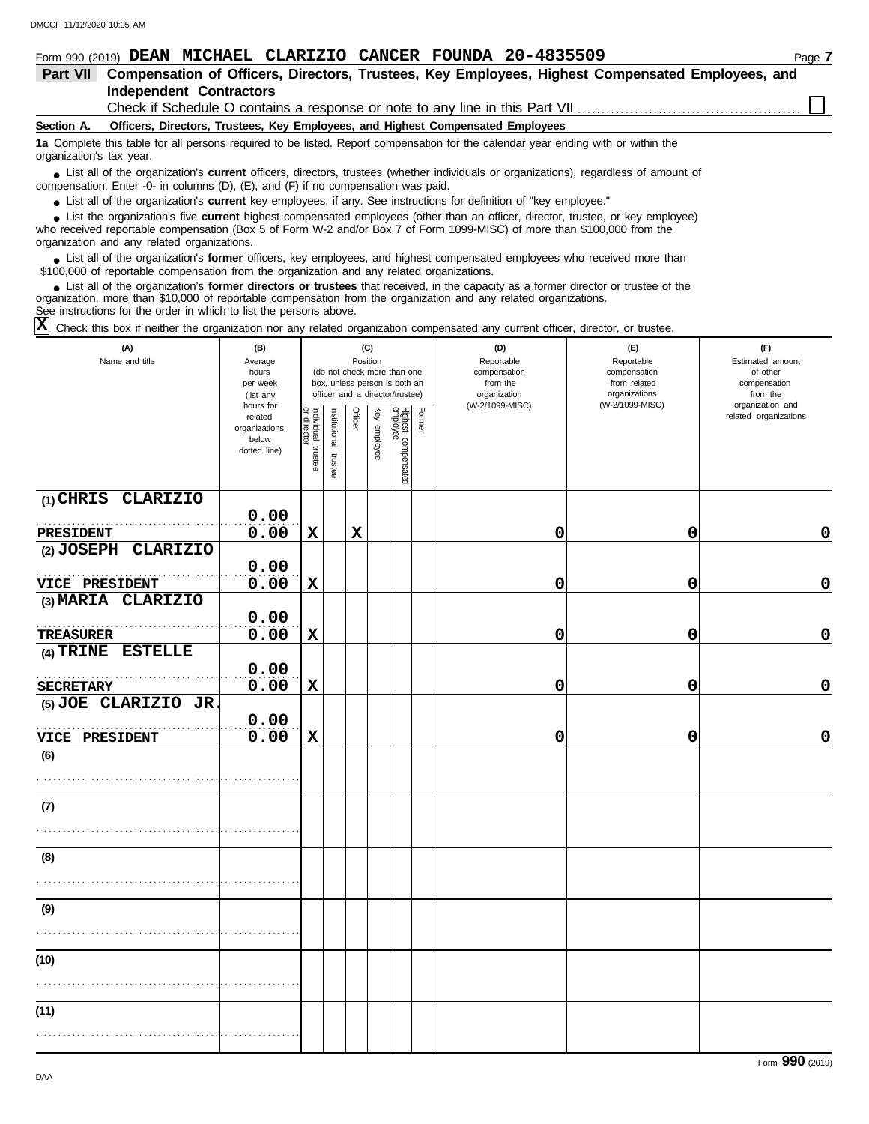| Form 990 (2019) DEAN MICHAEL CLARIZIO CANCER FOUNDA 20-4835509                                                                                                |                                                                                 |                                                                                                                                        | Page 7 |
|---------------------------------------------------------------------------------------------------------------------------------------------------------------|---------------------------------------------------------------------------------|----------------------------------------------------------------------------------------------------------------------------------------|--------|
| <b>Part VII</b>                                                                                                                                               |                                                                                 | Compensation of Officers, Directors, Trustees, Key Employees, Highest Compensated Employees, and                                       |        |
| Independent Contractors                                                                                                                                       |                                                                                 |                                                                                                                                        |        |
|                                                                                                                                                               |                                                                                 |                                                                                                                                        |        |
| Section A.                                                                                                                                                    | Officers, Directors, Trustees, Key Employees, and Highest Compensated Employees |                                                                                                                                        |        |
| 1a Complete this table for all persons required to be listed. Report compensation for the calendar year ending with or within the<br>organization's tax year. |                                                                                 |                                                                                                                                        |        |
| compensation. Enter -0- in columns $(D)$ , $(E)$ , and $(F)$ if no compensation was paid.                                                                     |                                                                                 | • List all of the organization's current officers, directors, trustees (whether individuals or organizations), regardless of amount of |        |

● List all of the organization's **current** key employees, if any. See instructions for definition of "key employee."

who received reportable compensation (Box 5 of Form W-2 and/or Box 7 of Form 1099-MISC) of more than \$100,000 from the organization and any related organizations. ■ List the organization's five **current** highest compensated employees (other than an officer, director, trustee, or key employee)<br> **•** Preceived reportable compensation (Box 5 of Form W.2 and/or Box 7 of Form 1000 MISC)

■ List all of the organization's **former** officers, key employees, and highest compensated employees who received more than<br> **•** 00,000 of reportable compensation from the ergonization and any related ergonizations \$100,000 of reportable compensation from the organization and any related organizations.

List all of the organization's **former directors or trustees** that received, in the capacity as a former director or trustee of the ● List all of the organization's former directors or trustees that received, in the capacity as a former director organization, more than \$10,000 of reportable compensation from the organization and any related organizati See instructions for the order in which to list the persons above.

 $\overline{X}$  Check this box if neither the organization nor any related organization compensated any current officer, director, or trustee.

| (A)<br>Name and title          | (B)<br>Average<br>hours<br>per week<br>(list any               | (C)<br>Position<br>(do not check more than one<br>box, unless person is both an<br>officer and a director/trustee) |                       |             |              |                                 |        | (D)<br>Reportable<br>compensation<br>from the<br>organization | (E)<br>Reportable<br>compensation<br>from related<br>organizations | (F)<br>Estimated amount<br>of other<br>compensation<br>from the |  |
|--------------------------------|----------------------------------------------------------------|--------------------------------------------------------------------------------------------------------------------|-----------------------|-------------|--------------|---------------------------------|--------|---------------------------------------------------------------|--------------------------------------------------------------------|-----------------------------------------------------------------|--|
|                                | hours for<br>related<br>organizations<br>below<br>dotted line) | Individual trustee<br>or director                                                                                  | Institutional trustee | Officer     | Key employee | Highest compensated<br>employee | Former | (W-2/1099-MISC)                                               | (W-2/1099-MISC)                                                    | organization and<br>related organizations                       |  |
| $(1)$ CHRIS<br><b>CLARIZIO</b> |                                                                |                                                                                                                    |                       |             |              |                                 |        |                                                               |                                                                    |                                                                 |  |
| PRESIDENT                      | 0.00<br>0.00                                                   | $\mathbf x$                                                                                                        |                       | $\mathbf x$ |              |                                 |        | 0                                                             | 0                                                                  | $\mathbf 0$                                                     |  |
| (2) JOSEPH CLARIZIO            |                                                                |                                                                                                                    |                       |             |              |                                 |        |                                                               |                                                                    |                                                                 |  |
|                                | 0.00                                                           |                                                                                                                    |                       |             |              |                                 |        |                                                               |                                                                    |                                                                 |  |
| VICE PRESIDENT                 | 0.00                                                           | $\mathbf x$                                                                                                        |                       |             |              |                                 |        | 0                                                             | 0                                                                  | $\mathbf 0$                                                     |  |
| (3) MARIA CLARIZIO             | 0.00                                                           |                                                                                                                    |                       |             |              |                                 |        |                                                               |                                                                    |                                                                 |  |
| <b>TREASURER</b>               | 0.00                                                           | $\mathbf x$                                                                                                        |                       |             |              |                                 |        | 0                                                             | 0                                                                  | $\mathbf 0$                                                     |  |
| (4) TRINE ESTELLE              |                                                                |                                                                                                                    |                       |             |              |                                 |        |                                                               |                                                                    |                                                                 |  |
| .                              | 0.00                                                           |                                                                                                                    |                       |             |              |                                 |        |                                                               |                                                                    |                                                                 |  |
| <b>SECRETARY</b>               | 0.00                                                           | $\mathbf x$                                                                                                        |                       |             |              |                                 |        | 0                                                             | 0                                                                  | $\mathbf 0$                                                     |  |
| (5) JOE CLARIZIO JR.           | 0.00                                                           |                                                                                                                    |                       |             |              |                                 |        |                                                               |                                                                    |                                                                 |  |
| VICE PRESIDENT                 | 0.00                                                           | $\mathbf x$                                                                                                        |                       |             |              |                                 |        | 0                                                             | 0                                                                  | $\mathbf 0$                                                     |  |
| (6)                            |                                                                |                                                                                                                    |                       |             |              |                                 |        |                                                               |                                                                    |                                                                 |  |
|                                |                                                                |                                                                                                                    |                       |             |              |                                 |        |                                                               |                                                                    |                                                                 |  |
| (7)                            |                                                                |                                                                                                                    |                       |             |              |                                 |        |                                                               |                                                                    |                                                                 |  |
|                                |                                                                |                                                                                                                    |                       |             |              |                                 |        |                                                               |                                                                    |                                                                 |  |
| (8)                            |                                                                |                                                                                                                    |                       |             |              |                                 |        |                                                               |                                                                    |                                                                 |  |
|                                |                                                                |                                                                                                                    |                       |             |              |                                 |        |                                                               |                                                                    |                                                                 |  |
| (9)                            |                                                                |                                                                                                                    |                       |             |              |                                 |        |                                                               |                                                                    |                                                                 |  |
|                                |                                                                |                                                                                                                    |                       |             |              |                                 |        |                                                               |                                                                    |                                                                 |  |
| (10)                           |                                                                |                                                                                                                    |                       |             |              |                                 |        |                                                               |                                                                    |                                                                 |  |
|                                |                                                                |                                                                                                                    |                       |             |              |                                 |        |                                                               |                                                                    |                                                                 |  |
| (11)                           |                                                                |                                                                                                                    |                       |             |              |                                 |        |                                                               |                                                                    |                                                                 |  |
|                                |                                                                |                                                                                                                    |                       |             |              |                                 |        |                                                               |                                                                    |                                                                 |  |

Form **990** (2019)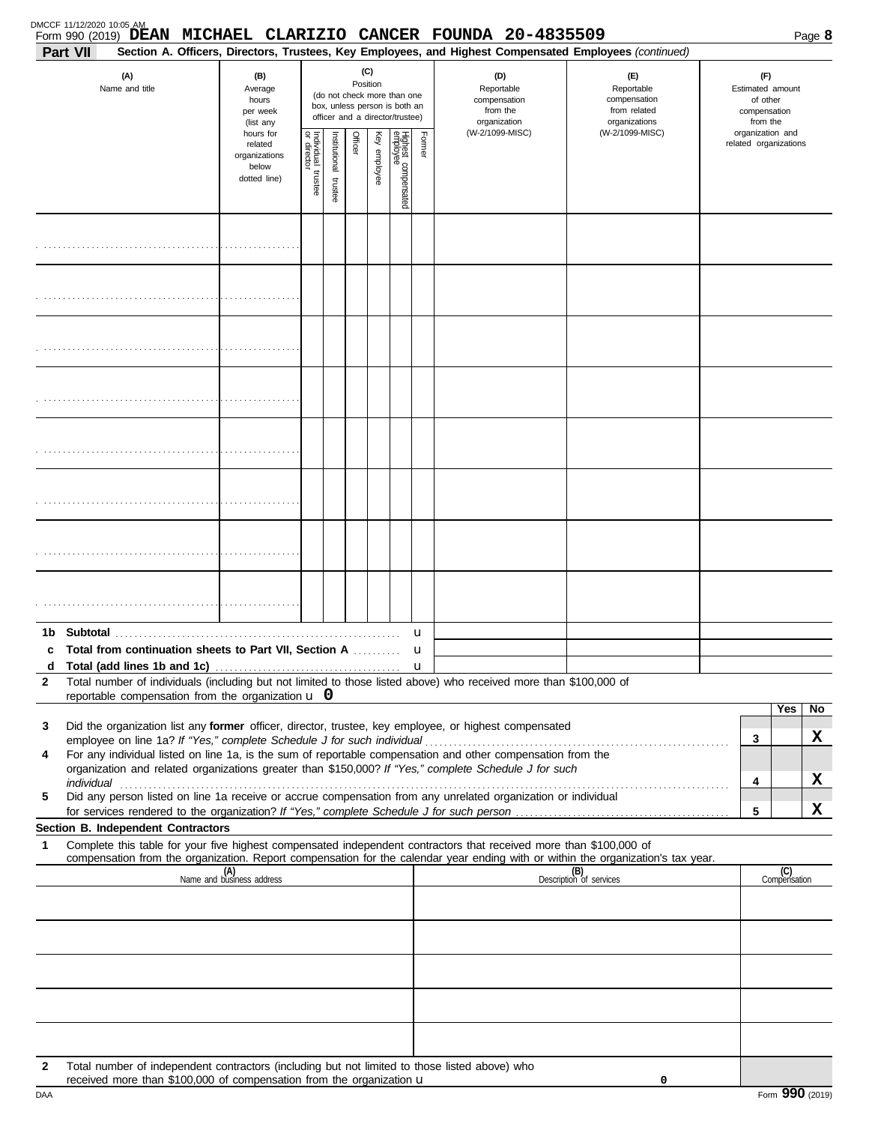| <b>Part VII</b> |                                                                                                                                                                       |                                                                |                                                                                                                                 |                      |         |              |                                 |                                                               | Form 990 (2019) DEAN MICHAEL CLARIZIO CANCER FOUNDA 20-4835509<br>Section A. Officers, Directors, Trustees, Key Employees, and Highest Compensated Employees (continued)                                             |                                                                                                                                  |                                                                 | Page 8    |
|-----------------|-----------------------------------------------------------------------------------------------------------------------------------------------------------------------|----------------------------------------------------------------|---------------------------------------------------------------------------------------------------------------------------------|----------------------|---------|--------------|---------------------------------|---------------------------------------------------------------|----------------------------------------------------------------------------------------------------------------------------------------------------------------------------------------------------------------------|----------------------------------------------------------------------------------------------------------------------------------|-----------------------------------------------------------------|-----------|
|                 | (A)<br>Name and title                                                                                                                                                 | (B)<br>Average<br>hours<br>per week                            | (C)<br>Position<br>(do not check more than one<br>box, unless person is both an<br>officer and a director/trustee)<br>(list any |                      |         |              |                                 | (D)<br>Reportable<br>compensation<br>from the<br>organization |                                                                                                                                                                                                                      | (E)<br>Reportable<br>compensation<br>from related<br>organizations                                                               | (F)<br>Estimated amount<br>of other<br>compensation<br>from the |           |
|                 |                                                                                                                                                                       | hours for<br>related<br>organizations<br>below<br>dotted line) | Individual trustee<br>or director                                                                                               | nstitutional trustee | Officer | Key employee | Highest compensated<br>employee | Former                                                        | (W-2/1099-MISC)                                                                                                                                                                                                      | (W-2/1099-MISC)                                                                                                                  | organization and<br>related organizations                       |           |
|                 |                                                                                                                                                                       |                                                                |                                                                                                                                 |                      |         |              |                                 |                                                               |                                                                                                                                                                                                                      |                                                                                                                                  |                                                                 |           |
|                 |                                                                                                                                                                       |                                                                |                                                                                                                                 |                      |         |              |                                 |                                                               |                                                                                                                                                                                                                      |                                                                                                                                  |                                                                 |           |
|                 |                                                                                                                                                                       |                                                                |                                                                                                                                 |                      |         |              |                                 |                                                               |                                                                                                                                                                                                                      |                                                                                                                                  |                                                                 |           |
|                 |                                                                                                                                                                       |                                                                |                                                                                                                                 |                      |         |              |                                 |                                                               |                                                                                                                                                                                                                      |                                                                                                                                  |                                                                 |           |
|                 |                                                                                                                                                                       |                                                                |                                                                                                                                 |                      |         |              |                                 |                                                               |                                                                                                                                                                                                                      |                                                                                                                                  |                                                                 |           |
|                 |                                                                                                                                                                       |                                                                |                                                                                                                                 |                      |         |              |                                 |                                                               |                                                                                                                                                                                                                      |                                                                                                                                  |                                                                 |           |
|                 |                                                                                                                                                                       |                                                                |                                                                                                                                 |                      |         |              |                                 |                                                               |                                                                                                                                                                                                                      |                                                                                                                                  |                                                                 |           |
|                 |                                                                                                                                                                       |                                                                |                                                                                                                                 |                      |         |              |                                 |                                                               |                                                                                                                                                                                                                      |                                                                                                                                  |                                                                 |           |
| c<br>d          | Total from continuation sheets to Part VII, Section A                                                                                                                 |                                                                |                                                                                                                                 |                      |         |              |                                 | u<br>u<br>u                                                   |                                                                                                                                                                                                                      |                                                                                                                                  |                                                                 |           |
| 2               | reportable compensation from the organization $\bf{u}$ 0                                                                                                              |                                                                |                                                                                                                                 |                      |         |              |                                 |                                                               | Total number of individuals (including but not limited to those listed above) who received more than \$100,000 of                                                                                                    |                                                                                                                                  |                                                                 |           |
| 3               |                                                                                                                                                                       |                                                                |                                                                                                                                 |                      |         |              |                                 |                                                               | Did the organization list any former officer, director, trustee, key employee, or highest compensated                                                                                                                |                                                                                                                                  |                                                                 | Yes<br>No |
| 4               |                                                                                                                                                                       |                                                                |                                                                                                                                 |                      |         |              |                                 |                                                               | For any individual listed on line 1a, is the sum of reportable compensation and other compensation from the<br>organization and related organizations greater than \$150,000? If "Yes," complete Schedule J for such |                                                                                                                                  | 3                                                               | x         |
| 5               |                                                                                                                                                                       |                                                                |                                                                                                                                 |                      |         |              |                                 |                                                               | Did any person listed on line 1a receive or accrue compensation from any unrelated organization or individual                                                                                                        |                                                                                                                                  | 4                                                               | x         |
|                 | for services rendered to the organization? If "Yes," complete Schedule J for such person<br>Section B. Independent Contractors                                        |                                                                |                                                                                                                                 |                      |         |              |                                 |                                                               |                                                                                                                                                                                                                      |                                                                                                                                  | 5                                                               | x         |
| 1               |                                                                                                                                                                       |                                                                |                                                                                                                                 |                      |         |              |                                 |                                                               | Complete this table for your five highest compensated independent contractors that received more than \$100,000 of                                                                                                   | compensation from the organization. Report compensation for the calendar year ending with or within the organization's tax year. |                                                                 |           |
|                 |                                                                                                                                                                       | (A)<br>Name and business address                               |                                                                                                                                 |                      |         |              |                                 |                                                               |                                                                                                                                                                                                                      | (B)<br>Description of services                                                                                                   | (C)<br>Compensation                                             |           |
|                 |                                                                                                                                                                       |                                                                |                                                                                                                                 |                      |         |              |                                 |                                                               |                                                                                                                                                                                                                      |                                                                                                                                  |                                                                 |           |
|                 |                                                                                                                                                                       |                                                                |                                                                                                                                 |                      |         |              |                                 |                                                               |                                                                                                                                                                                                                      |                                                                                                                                  |                                                                 |           |
|                 |                                                                                                                                                                       |                                                                |                                                                                                                                 |                      |         |              |                                 |                                                               |                                                                                                                                                                                                                      |                                                                                                                                  |                                                                 |           |
| $\mathbf{2}$    | Total number of independent contractors (including but not limited to those listed above) who<br>received more than \$100,000 of compensation from the organization u |                                                                |                                                                                                                                 |                      |         |              |                                 |                                                               |                                                                                                                                                                                                                      | 0                                                                                                                                |                                                                 |           |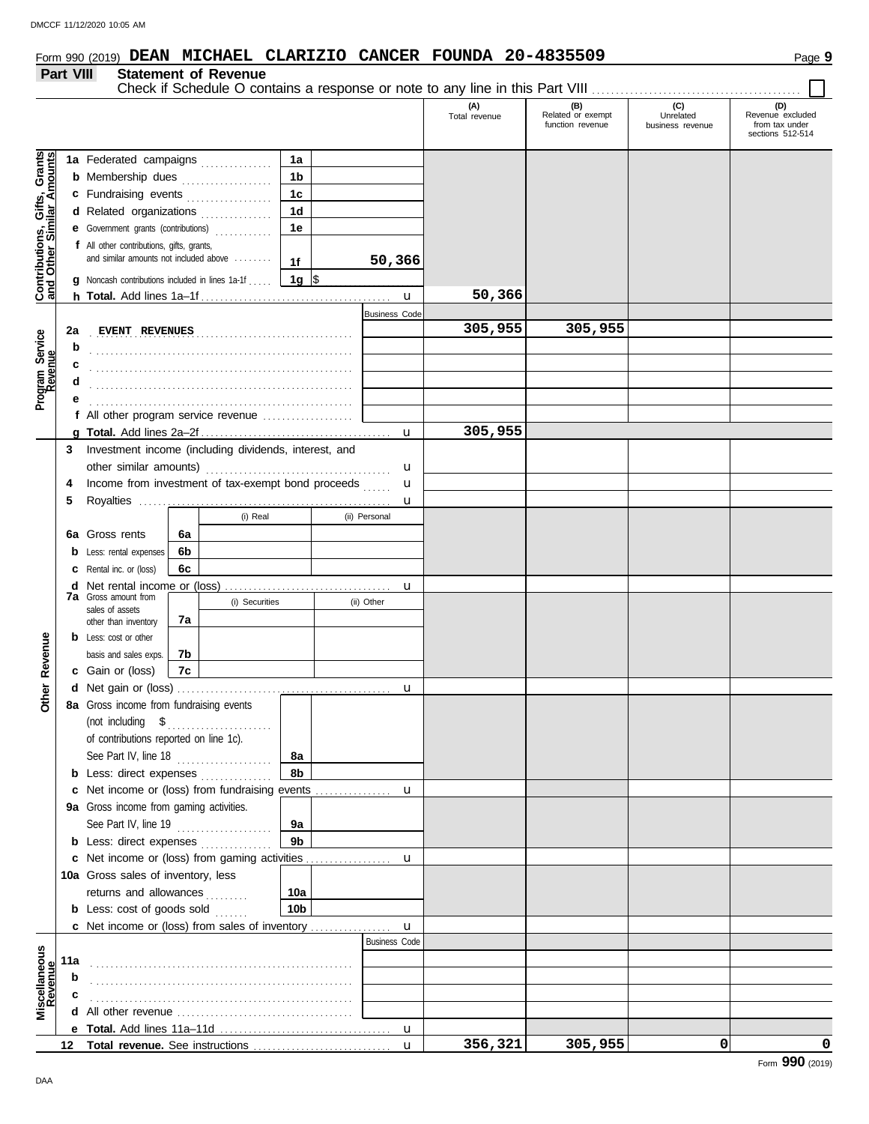#### **Form 990 (2019) DEAN MICHAEL CLARIZIO CANCER FOUNDA 20-4835509** Page 9

#### **Part VIII** Statement of Revenue

| <b>Statement of Revenue</b><br>Check if Schedule O contains a response or note to any line in this Part VIII |                      |                                       |                                             |                                    |
|--------------------------------------------------------------------------------------------------------------|----------------------|---------------------------------------|---------------------------------------------|------------------------------------|
|                                                                                                              | (A)<br>Total revenue | Related or exempt<br>function revenue | (C)<br><b>Jnrelated</b><br>business revenue | Revenue excluded<br>from tax under |

|                                                                  |     |                                                                                     |    |                |                |                           | (A)<br>Total revenue | (B)<br>Related or exempt<br>function revenue | (C)<br>Unrelated<br>business revenue | (D)<br>Revenue excluded<br>from tax under |
|------------------------------------------------------------------|-----|-------------------------------------------------------------------------------------|----|----------------|----------------|---------------------------|----------------------|----------------------------------------------|--------------------------------------|-------------------------------------------|
|                                                                  |     |                                                                                     |    |                |                |                           |                      |                                              |                                      | sections 512-514                          |
| <b>Contributions, Gifts, Grants</b><br>and Other Similar Amounts |     | 1a Federated campaigns                                                              |    |                | 1a             |                           |                      |                                              |                                      |                                           |
|                                                                  |     | <b>b</b> Membership dues <i></i>                                                    |    |                | 1 <sub>b</sub> |                           |                      |                                              |                                      |                                           |
|                                                                  |     | c Fundraising events                                                                |    |                | 1 <sub>c</sub> |                           |                      |                                              |                                      |                                           |
|                                                                  |     | d Related organizations                                                             |    |                | 1 <sub>d</sub> |                           |                      |                                              |                                      |                                           |
|                                                                  |     | e Government grants (contributions)                                                 |    |                | 1e             |                           |                      |                                              |                                      |                                           |
|                                                                  |     | f All other contributions, gifts, grants,<br>and similar amounts not included above |    |                | 1f             | 50,366                    |                      |                                              |                                      |                                           |
|                                                                  |     | <b>g</b> Noncash contributions included in lines 1a-1f                              |    |                | 1g $ $ \$      |                           |                      |                                              |                                      |                                           |
|                                                                  |     |                                                                                     |    |                |                | $\mathbf{u}$              | 50,366               |                                              |                                      |                                           |
|                                                                  |     |                                                                                     |    |                |                | <b>Business Code</b>      |                      |                                              |                                      |                                           |
|                                                                  | 2a  | <b>EVENT REVENUES</b>                                                               |    |                |                |                           | 305,955              | 305,955                                      |                                      |                                           |
| Program Service<br>Revenue                                       | b   |                                                                                     |    |                |                |                           |                      |                                              |                                      |                                           |
|                                                                  | с   |                                                                                     |    |                |                |                           |                      |                                              |                                      |                                           |
|                                                                  | d   |                                                                                     |    |                |                |                           |                      |                                              |                                      |                                           |
|                                                                  |     |                                                                                     |    |                |                |                           |                      |                                              |                                      |                                           |
|                                                                  |     | f All other program service revenue $\ldots$ , $\ldots$ , $\ldots$                  |    |                |                |                           |                      |                                              |                                      |                                           |
|                                                                  |     |                                                                                     |    |                |                | u                         | 305,955              |                                              |                                      |                                           |
|                                                                  | 3   | Investment income (including dividends, interest, and                               |    |                |                |                           |                      |                                              |                                      |                                           |
|                                                                  |     |                                                                                     |    |                |                | u                         |                      |                                              |                                      |                                           |
|                                                                  | 4   | Income from investment of tax-exempt bond proceeds                                  |    |                |                | u                         |                      |                                              |                                      |                                           |
|                                                                  | 5   |                                                                                     |    |                |                | u                         |                      |                                              |                                      |                                           |
|                                                                  |     |                                                                                     |    | (i) Real       |                | (ii) Personal             |                      |                                              |                                      |                                           |
|                                                                  |     | <b>6a</b> Gross rents                                                               | 6а |                |                |                           |                      |                                              |                                      |                                           |
|                                                                  |     | Less: rental expenses                                                               | 6b |                |                |                           |                      |                                              |                                      |                                           |
|                                                                  |     | Rental inc. or (loss)                                                               | 6с |                |                |                           |                      |                                              |                                      |                                           |
|                                                                  |     | <b>7a</b> Gross amount from                                                         |    | (i) Securities |                | u<br>(ii) Other           |                      |                                              |                                      |                                           |
|                                                                  |     | sales of assets                                                                     | 7а |                |                |                           |                      |                                              |                                      |                                           |
|                                                                  |     | other than inventory<br><b>b</b> Less: cost or other                                |    |                |                |                           |                      |                                              |                                      |                                           |
| Revenue                                                          |     | basis and sales exps.                                                               | 7b |                |                |                           |                      |                                              |                                      |                                           |
|                                                                  |     | c Gain or (loss)                                                                    | 7c |                |                |                           |                      |                                              |                                      |                                           |
|                                                                  |     |                                                                                     |    |                |                | u                         |                      |                                              |                                      |                                           |
| <b>Other</b>                                                     |     | 8a Gross income from fundraising events                                             |    |                |                |                           |                      |                                              |                                      |                                           |
|                                                                  |     |                                                                                     |    |                |                |                           |                      |                                              |                                      |                                           |
|                                                                  |     | of contributions reported on line 1c).                                              |    |                |                |                           |                      |                                              |                                      |                                           |
|                                                                  |     | See Part IV, line 18 $\ldots$                                                       |    |                | 8а             |                           |                      |                                              |                                      |                                           |
|                                                                  |     | <b>b</b> Less: direct expenses                                                      |    |                | 8b             |                           |                      |                                              |                                      |                                           |
|                                                                  |     | c Net income or (loss) from fundraising events                                      |    |                |                | u                         |                      |                                              |                                      |                                           |
|                                                                  |     | 9a Gross income from gaming activities.                                             |    |                |                |                           |                      |                                              |                                      |                                           |
|                                                                  |     | See Part IV, line 19                                                                |    |                | 9а             |                           |                      |                                              |                                      |                                           |
|                                                                  |     | <b>b</b> Less: direct expenses                                                      |    |                | 9 <sub>b</sub> |                           |                      |                                              |                                      |                                           |
|                                                                  |     | c Net income or (loss) from gaming activities                                       |    |                |                | u                         |                      |                                              |                                      |                                           |
|                                                                  |     | 10a Gross sales of inventory, less                                                  |    |                |                |                           |                      |                                              |                                      |                                           |
|                                                                  |     | returns and allowances                                                              |    |                | 10a            |                           |                      |                                              |                                      |                                           |
|                                                                  |     | <b>b</b> Less: cost of goods sold                                                   |    |                | 10b            |                           |                      |                                              |                                      |                                           |
|                                                                  |     | c Net income or (loss) from sales of inventory                                      |    |                |                | u<br><b>Business Code</b> |                      |                                              |                                      |                                           |
|                                                                  | 11a |                                                                                     |    |                |                |                           |                      |                                              |                                      |                                           |
|                                                                  | b   |                                                                                     |    |                |                |                           |                      |                                              |                                      |                                           |
|                                                                  | c   |                                                                                     |    |                |                |                           |                      |                                              |                                      |                                           |
| Miscellaneous<br>Revenue                                         |     |                                                                                     |    |                |                |                           |                      |                                              |                                      |                                           |
|                                                                  |     |                                                                                     |    |                |                | $\mathbf u$               |                      |                                              |                                      |                                           |
|                                                                  | 12  |                                                                                     |    |                |                | $\mathbf{u}$              | 356,321              | 305,955                                      | 0                                    | 0                                         |
|                                                                  |     |                                                                                     |    |                |                |                           |                      |                                              |                                      | Form 990 (2019)                           |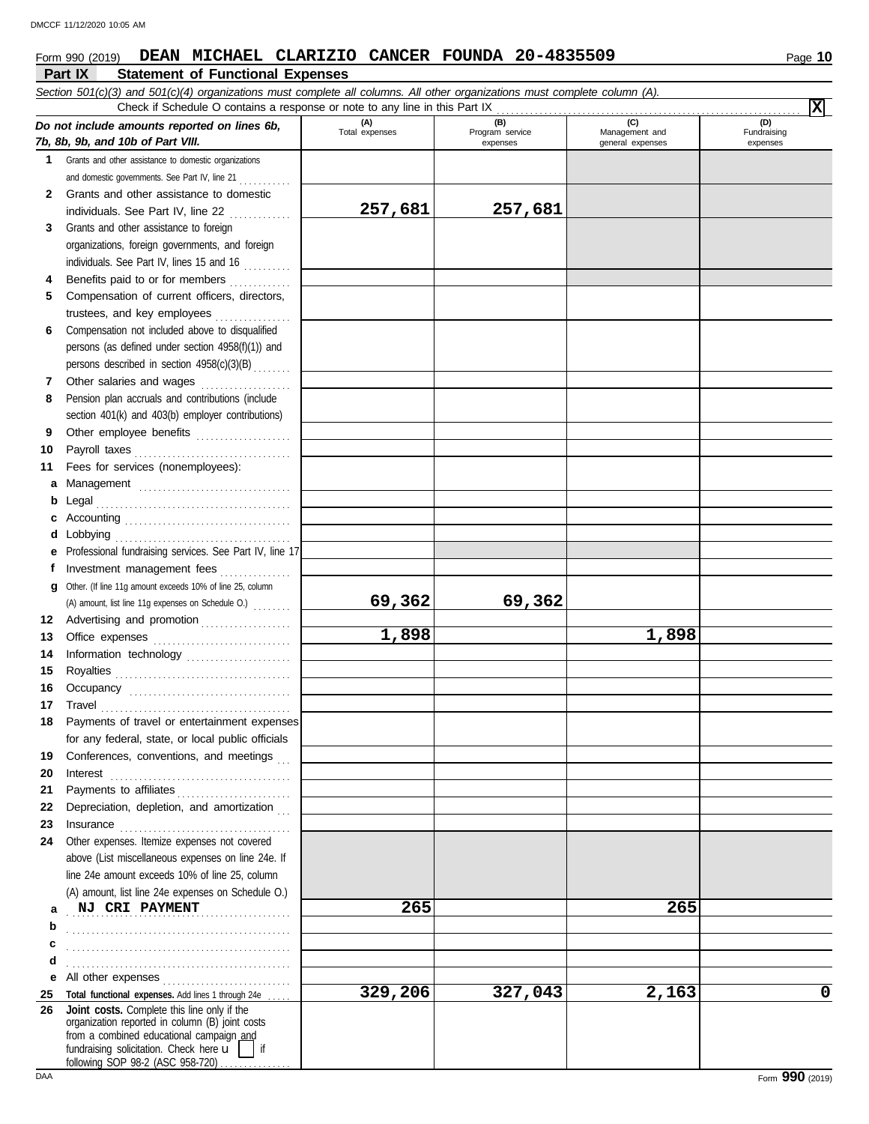#### Form 990 (2019) Page **10 DEAN MICHAEL CLARIZIO CANCER FOUNDA 20-4835509** Г **Part IX Statement of Functional Expenses** *Section 501(c)(3) and 501(c)(4) organizations must complete all columns. All other organizations must complete column (A).*

|              | Secion 501(C)(3) and 501(C)(4) organizations must complete all columns. All other organizations must complete column (A).<br>Check if Schedule O contains a response or note to any line in this Part IX                           |                       |                                    |                                           | $\overline{\mathbf{x}}$        |
|--------------|------------------------------------------------------------------------------------------------------------------------------------------------------------------------------------------------------------------------------------|-----------------------|------------------------------------|-------------------------------------------|--------------------------------|
|              | Do not include amounts reported on lines 6b,<br>7b, 8b, 9b, and 10b of Part VIII.                                                                                                                                                  | (A)<br>Total expenses | (B)<br>Program service<br>expenses | (C)<br>Management and<br>general expenses | (D)<br>Fundraising<br>expenses |
|              | <b>1</b> Grants and other assistance to domestic organizations                                                                                                                                                                     |                       |                                    |                                           |                                |
|              | and domestic governments. See Part IV, line 21                                                                                                                                                                                     |                       |                                    |                                           |                                |
| $\mathbf{2}$ | Grants and other assistance to domestic                                                                                                                                                                                            |                       |                                    |                                           |                                |
|              | individuals. See Part IV, line 22                                                                                                                                                                                                  | 257,681               | 257,681                            |                                           |                                |
| 3            | .<br>Grants and other assistance to foreign                                                                                                                                                                                        |                       |                                    |                                           |                                |
|              | organizations, foreign governments, and foreign                                                                                                                                                                                    |                       |                                    |                                           |                                |
|              | individuals. See Part IV, lines 15 and 16                                                                                                                                                                                          |                       |                                    |                                           |                                |
| 4            | Benefits paid to or for members                                                                                                                                                                                                    |                       |                                    |                                           |                                |
| 5            | Compensation of current officers, directors,                                                                                                                                                                                       |                       |                                    |                                           |                                |
|              | trustees, and key employees                                                                                                                                                                                                        |                       |                                    |                                           |                                |
| 6            | .<br>Compensation not included above to disqualified                                                                                                                                                                               |                       |                                    |                                           |                                |
|              | persons (as defined under section 4958(f)(1)) and                                                                                                                                                                                  |                       |                                    |                                           |                                |
|              | persons described in section 4958(c)(3)(B)                                                                                                                                                                                         |                       |                                    |                                           |                                |
| 7            | Other salaries and wages                                                                                                                                                                                                           |                       |                                    |                                           |                                |
| 8            | .<br>Pension plan accruals and contributions (include                                                                                                                                                                              |                       |                                    |                                           |                                |
|              | section 401(k) and 403(b) employer contributions)                                                                                                                                                                                  |                       |                                    |                                           |                                |
| 9            | Other employee benefits                                                                                                                                                                                                            |                       |                                    |                                           |                                |
| 10           | Payroll taxes                                                                                                                                                                                                                      |                       |                                    |                                           |                                |
| 11           | Fees for services (nonemployees):                                                                                                                                                                                                  |                       |                                    |                                           |                                |
| а            |                                                                                                                                                                                                                                    |                       |                                    |                                           |                                |
| b            | Legal                                                                                                                                                                                                                              |                       |                                    |                                           |                                |
| c            |                                                                                                                                                                                                                                    |                       |                                    |                                           |                                |
| d            | Lobbying                                                                                                                                                                                                                           |                       |                                    |                                           |                                |
|              | Professional fundraising services. See Part IV, line 17                                                                                                                                                                            |                       |                                    |                                           |                                |
| f            | Investment management fees                                                                                                                                                                                                         |                       |                                    |                                           |                                |
| a            | Other. (If line 11g amount exceeds 10% of line 25, column                                                                                                                                                                          |                       |                                    |                                           |                                |
|              | (A) amount, list line 11g expenses on Schedule O.)                                                                                                                                                                                 | 69,362                | 69,362                             |                                           |                                |
|              | 12 Advertising and promotion [11] Advertising and promotion                                                                                                                                                                        |                       |                                    |                                           |                                |
| 13           |                                                                                                                                                                                                                                    | 1,898                 |                                    | 1,898                                     |                                |
| 14           | Information technology                                                                                                                                                                                                             |                       |                                    |                                           |                                |
| 15           | Royalties                                                                                                                                                                                                                          |                       |                                    |                                           |                                |
| 16           |                                                                                                                                                                                                                                    |                       |                                    |                                           |                                |
| 17           | Travel                                                                                                                                                                                                                             |                       |                                    |                                           |                                |
| 18           | Payments of travel or entertainment expenses                                                                                                                                                                                       |                       |                                    |                                           |                                |
|              | for any federal, state, or local public officials                                                                                                                                                                                  |                       |                                    |                                           |                                |
| 19           | Conferences, conventions, and meetings                                                                                                                                                                                             |                       |                                    |                                           |                                |
| 20           | Interest                                                                                                                                                                                                                           |                       |                                    |                                           |                                |
| 21           |                                                                                                                                                                                                                                    |                       |                                    |                                           |                                |
| 22           | Depreciation, depletion, and amortization                                                                                                                                                                                          |                       |                                    |                                           |                                |
| 23           | Insurance                                                                                                                                                                                                                          |                       |                                    |                                           |                                |
| 24           | Other expenses. Itemize expenses not covered                                                                                                                                                                                       |                       |                                    |                                           |                                |
|              | above (List miscellaneous expenses on line 24e. If                                                                                                                                                                                 |                       |                                    |                                           |                                |
|              | line 24e amount exceeds 10% of line 25, column                                                                                                                                                                                     |                       |                                    |                                           |                                |
|              | (A) amount, list line 24e expenses on Schedule O.)                                                                                                                                                                                 |                       |                                    |                                           |                                |
| a            | NJ CRI PAYMENT<br>.                                                                                                                                                                                                                | 265                   |                                    | 265                                       |                                |
| b            |                                                                                                                                                                                                                                    |                       |                                    |                                           |                                |
| с            |                                                                                                                                                                                                                                    |                       |                                    |                                           |                                |
| d            |                                                                                                                                                                                                                                    |                       |                                    |                                           |                                |
| е            | All other expenses <b>constants</b> and the set of the set of the set of the set of the set of the set of the set of the set of the set of the set of the set of the set of the set of the set of the set of the set of the set of |                       |                                    |                                           |                                |
| 25           | Total functional expenses. Add lines 1 through 24e                                                                                                                                                                                 | 329,206               | 327,043                            | 2,163                                     | $\mathbf 0$                    |
| 26           | Joint costs. Complete this line only if the<br>organization reported in column (B) joint costs                                                                                                                                     |                       |                                    |                                           |                                |
|              | from a combined educational campaign and<br>fundraising solicitation. Check here $\mathbf u$<br>if                                                                                                                                 |                       |                                    |                                           |                                |

following SOP 98-2 (ASC 958-720) . . . . . . . . . . . . .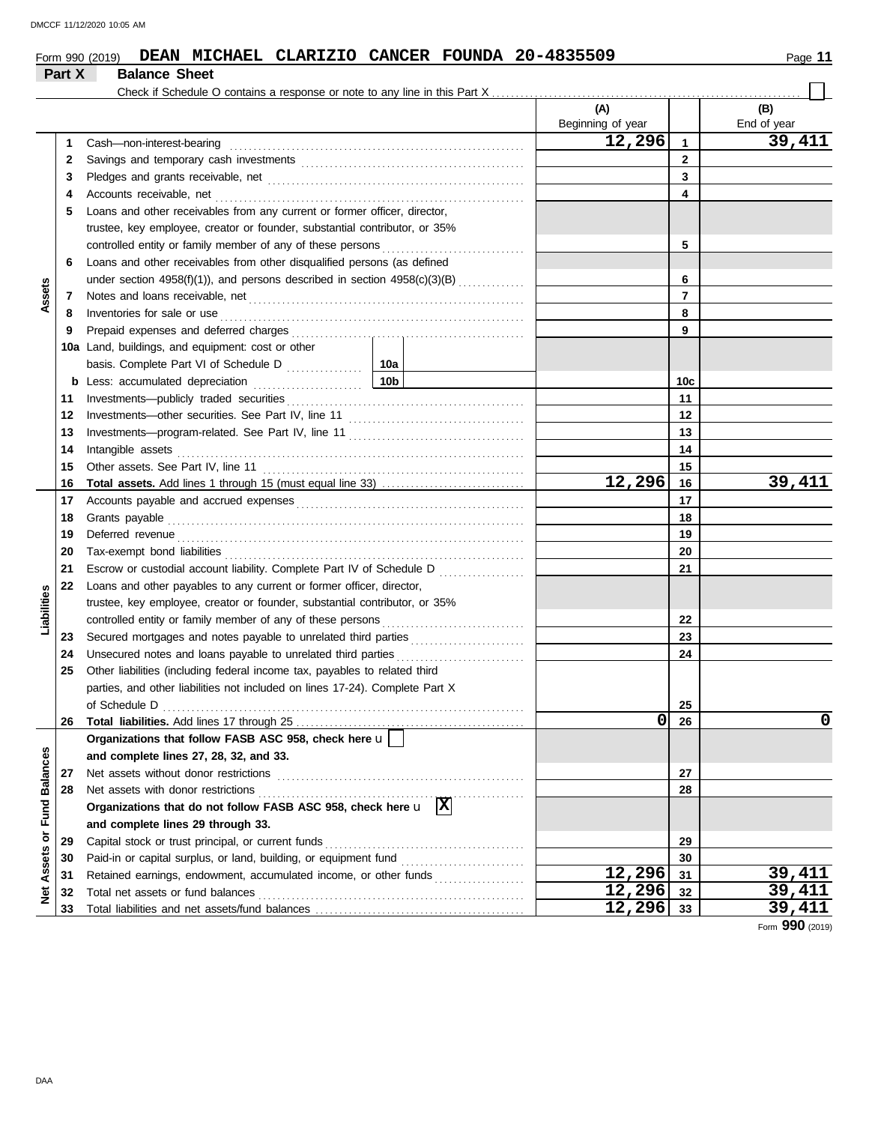| Form 990 (2019) |                      |  |  | DEAN MICHAEL CLARIZIO CANCER FOUNDA 20-4835509 | Page |
|-----------------|----------------------|--|--|------------------------------------------------|------|
| Part X          | <b>Balance Sheet</b> |  |  |                                                |      |

|                      |    |                                                                                                                                                                                                                                     |     | (A)<br>Beginning of year |                 | (B)<br>End of year |
|----------------------|----|-------------------------------------------------------------------------------------------------------------------------------------------------------------------------------------------------------------------------------------|-----|--------------------------|-----------------|--------------------|
|                      | 1  | Cash-non-interest-bearing                                                                                                                                                                                                           |     | 12,296                   | 1               | 39,411             |
|                      | 2  |                                                                                                                                                                                                                                     |     |                          | $\mathbf{2}$    |                    |
|                      | 3  |                                                                                                                                                                                                                                     |     |                          | 3               |                    |
|                      | 4  | Accounts receivable, net                                                                                                                                                                                                            |     |                          | 4               |                    |
|                      | 5  | Loans and other receivables from any current or former officer, director,                                                                                                                                                           |     |                          |                 |                    |
|                      |    | trustee, key employee, creator or founder, substantial contributor, or 35%                                                                                                                                                          |     |                          |                 |                    |
|                      |    | controlled entity or family member of any of these persons                                                                                                                                                                          |     |                          | 5               |                    |
|                      | 6  | Loans and other receivables from other disqualified persons (as defined                                                                                                                                                             |     |                          |                 |                    |
|                      |    |                                                                                                                                                                                                                                     |     |                          | 6               |                    |
| Assets               | 7  |                                                                                                                                                                                                                                     |     |                          | $\overline{7}$  |                    |
|                      | 8  | Inventories for sale or use                                                                                                                                                                                                         |     |                          | 8               |                    |
|                      | 9  |                                                                                                                                                                                                                                     |     |                          | 9               |                    |
|                      |    | 10a Land, buildings, and equipment: cost or other                                                                                                                                                                                   |     |                          |                 |                    |
|                      |    |                                                                                                                                                                                                                                     |     |                          |                 |                    |
|                      |    | <b>b</b> Less: accumulated depreciation                                                                                                                                                                                             | 10b |                          | 10 <sub>c</sub> |                    |
|                      | 11 |                                                                                                                                                                                                                                     |     |                          | 11              |                    |
|                      | 12 |                                                                                                                                                                                                                                     |     |                          | 12              |                    |
|                      | 13 |                                                                                                                                                                                                                                     |     |                          | 13              |                    |
|                      | 14 | Intangible assets                                                                                                                                                                                                                   |     |                          | 14              |                    |
|                      | 15 |                                                                                                                                                                                                                                     |     |                          | 15              |                    |
|                      | 16 |                                                                                                                                                                                                                                     |     | 12,296                   | 16              | 39,411             |
|                      | 17 |                                                                                                                                                                                                                                     |     |                          | 17              |                    |
|                      | 18 | Grants payable <i>communication</i> and all the contract of the contract of the contract of the contract of the contract of the contract of the contract of the contract of the contract of the contract of the contract of the con |     |                          | 18              |                    |
|                      | 19 | Deferred revenue contains and all the container and all the container and all the container and all the containing of the containing of the containing of the containing of the containing of the containing of the containing      |     | 19                       |                 |                    |
|                      | 20 |                                                                                                                                                                                                                                     |     |                          | 20              |                    |
|                      | 21 | Escrow or custodial account liability. Complete Part IV of Schedule D                                                                                                                                                               |     |                          | 21              |                    |
|                      | 22 | Loans and other payables to any current or former officer, director,                                                                                                                                                                |     |                          |                 |                    |
| Liabilities          |    | trustee, key employee, creator or founder, substantial contributor, or 35%                                                                                                                                                          |     |                          |                 |                    |
|                      |    |                                                                                                                                                                                                                                     |     |                          | 22              |                    |
|                      | 23 | Secured mortgages and notes payable to unrelated third parties                                                                                                                                                                      |     |                          | 23              |                    |
|                      | 24 | Unsecured notes and loans payable to unrelated third parties                                                                                                                                                                        |     |                          | 24              |                    |
|                      | 25 | Other liabilities (including federal income tax, payables to related third                                                                                                                                                          |     |                          |                 |                    |
|                      |    | parties, and other liabilities not included on lines 17-24). Complete Part X                                                                                                                                                        |     |                          |                 |                    |
|                      |    |                                                                                                                                                                                                                                     |     |                          | 25              |                    |
|                      | 26 | Total liabilities. Add lines 17 through 25                                                                                                                                                                                          |     | $\overline{0}$           | 26              |                    |
|                      |    | Organizations that follow FASB ASC 958, check here u                                                                                                                                                                                |     |                          |                 |                    |
|                      |    | and complete lines 27, 28, 32, and 33.                                                                                                                                                                                              |     |                          |                 |                    |
|                      | 27 | Net assets without donor restrictions                                                                                                                                                                                               |     |                          | 27              |                    |
|                      | 28 | Net assets with donor restrictions                                                                                                                                                                                                  |     |                          | 28              |                    |
| <b>Fund Balances</b> |    | Organizations that do not follow FASB ASC 958, check here $\mathbf{u}$  X                                                                                                                                                           |     |                          |                 |                    |
|                      |    | and complete lines 29 through 33.                                                                                                                                                                                                   |     |                          |                 |                    |
|                      | 29 | Capital stock or trust principal, or current funds                                                                                                                                                                                  |     |                          | 29              |                    |
|                      | 30 | Paid-in or capital surplus, or land, building, or equipment fund                                                                                                                                                                    |     |                          | 30              |                    |
| Assets or            | 31 |                                                                                                                                                                                                                                     |     | 12,296                   | 31              | 39,411             |
| ğ                    | 32 | Total net assets or fund balances                                                                                                                                                                                                   |     | 12,296                   | 32              | 39,411             |
|                      | 33 |                                                                                                                                                                                                                                     |     | $\overline{12, 296}$     | 33              | 39,411             |

Form **990** (2019)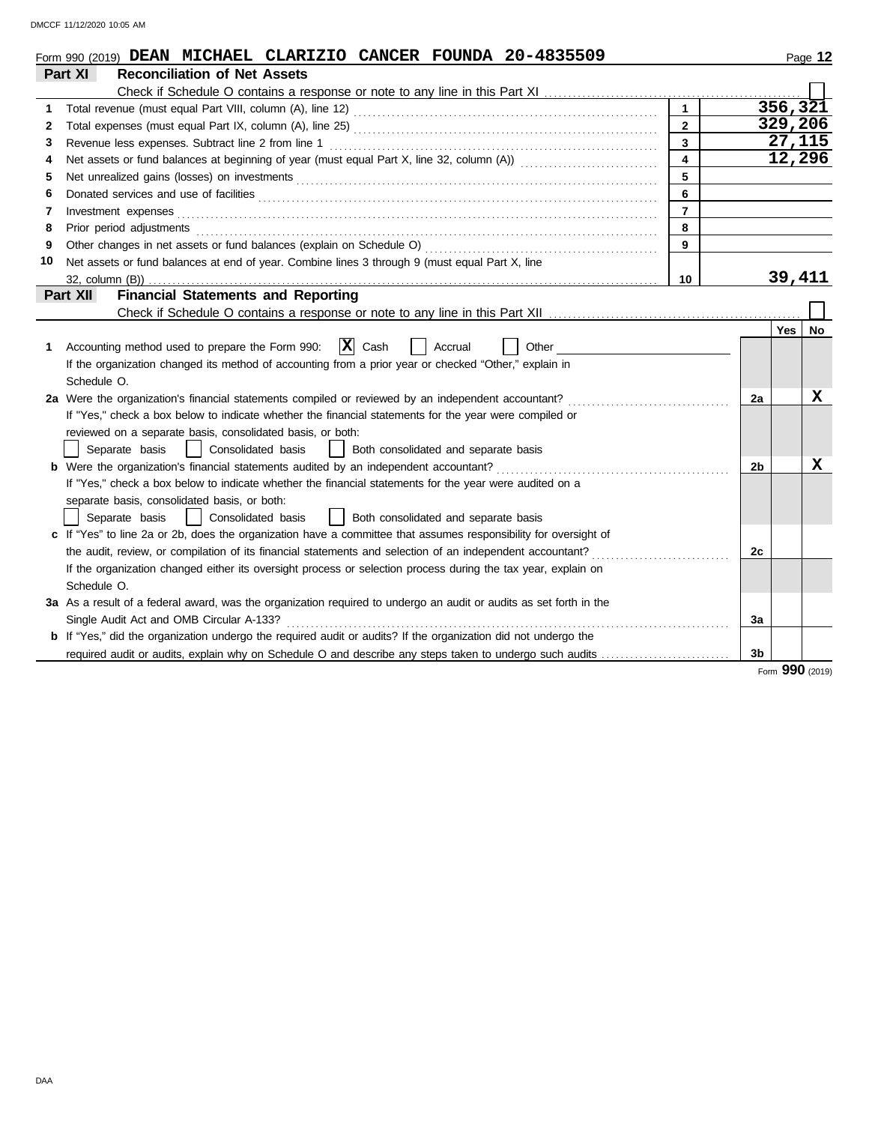|    | Form 990 (2019) DEAN MICHAEL CLARIZIO CANCER FOUNDA 20-4835509                                                               |                         |                |          | Page 12     |
|----|------------------------------------------------------------------------------------------------------------------------------|-------------------------|----------------|----------|-------------|
|    | <b>Reconciliation of Net Assets</b><br>Part XI                                                                               |                         |                |          |             |
|    |                                                                                                                              |                         |                |          |             |
| 1  |                                                                                                                              | $\mathbf{1}$            |                | 356, 321 |             |
| 2  |                                                                                                                              | $\overline{2}$          |                | 329,206  |             |
| 3  | Revenue less expenses. Subtract line 2 from line 1                                                                           | $\overline{3}$          |                |          | 27,115      |
| 4  |                                                                                                                              | $\overline{\mathbf{4}}$ |                |          | 12,296      |
| 5  | Net unrealized gains (losses) on investments [11] results and the university of the unrealized gains (losses) on investments | 5                       |                |          |             |
| 6  |                                                                                                                              | 6                       |                |          |             |
| 7  | Investment expenses <b>contract and the expenses</b>                                                                         | $\overline{7}$          |                |          |             |
| 8  |                                                                                                                              | 8                       |                |          |             |
| 9  |                                                                                                                              | 9                       |                |          |             |
| 10 | Net assets or fund balances at end of year. Combine lines 3 through 9 (must equal Part X, line                               |                         |                |          |             |
|    |                                                                                                                              | 10                      |                | 39,411   |             |
|    | <b>Financial Statements and Reporting</b><br>Part XII                                                                        |                         |                |          |             |
|    |                                                                                                                              |                         |                |          |             |
|    |                                                                                                                              |                         |                | Yes      | No          |
| 1. | $ \mathbf{X} $ Cash<br>Accounting method used to prepare the Form 990:<br>Other<br>Accrual                                   |                         |                |          |             |
|    | If the organization changed its method of accounting from a prior year or checked "Other," explain in                        |                         |                |          |             |
|    | Schedule O.                                                                                                                  |                         |                |          |             |
|    | 2a Were the organization's financial statements compiled or reviewed by an independent accountant?                           |                         | 2a             |          | X           |
|    | If "Yes," check a box below to indicate whether the financial statements for the year were compiled or                       |                         |                |          |             |
|    | reviewed on a separate basis, consolidated basis, or both:                                                                   |                         |                |          |             |
|    | Separate basis<br>  Consolidated basis<br>Both consolidated and separate basis<br>$\perp$                                    |                         |                |          |             |
|    | b Were the organization's financial statements audited by an independent accountant?                                         |                         | 2 <sub>b</sub> |          | $\mathbf x$ |
|    | If "Yes," check a box below to indicate whether the financial statements for the year were audited on a                      |                         |                |          |             |
|    | separate basis, consolidated basis, or both:                                                                                 |                         |                |          |             |
|    | Separate basis<br>  Consolidated basis<br>    Both consolidated and separate basis                                           |                         |                |          |             |
|    | c If "Yes" to line 2a or 2b, does the organization have a committee that assumes responsibility for oversight of             |                         |                |          |             |
|    | the audit, review, or compilation of its financial statements and selection of an independent accountant?                    |                         | 2c             |          |             |
|    | If the organization changed either its oversight process or selection process during the tax year, explain on                |                         |                |          |             |
|    | Schedule O.                                                                                                                  |                         |                |          |             |
|    | 3a As a result of a federal award, was the organization required to undergo an audit or audits as set forth in the           |                         |                |          |             |
|    | Single Audit Act and OMB Circular A-133?                                                                                     |                         | За             |          |             |
|    | <b>b</b> If "Yes," did the organization undergo the required audit or audits? If the organization did not undergo the        |                         |                |          |             |
|    |                                                                                                                              |                         | 3 <sub>b</sub> |          |             |

Form **990** (2019)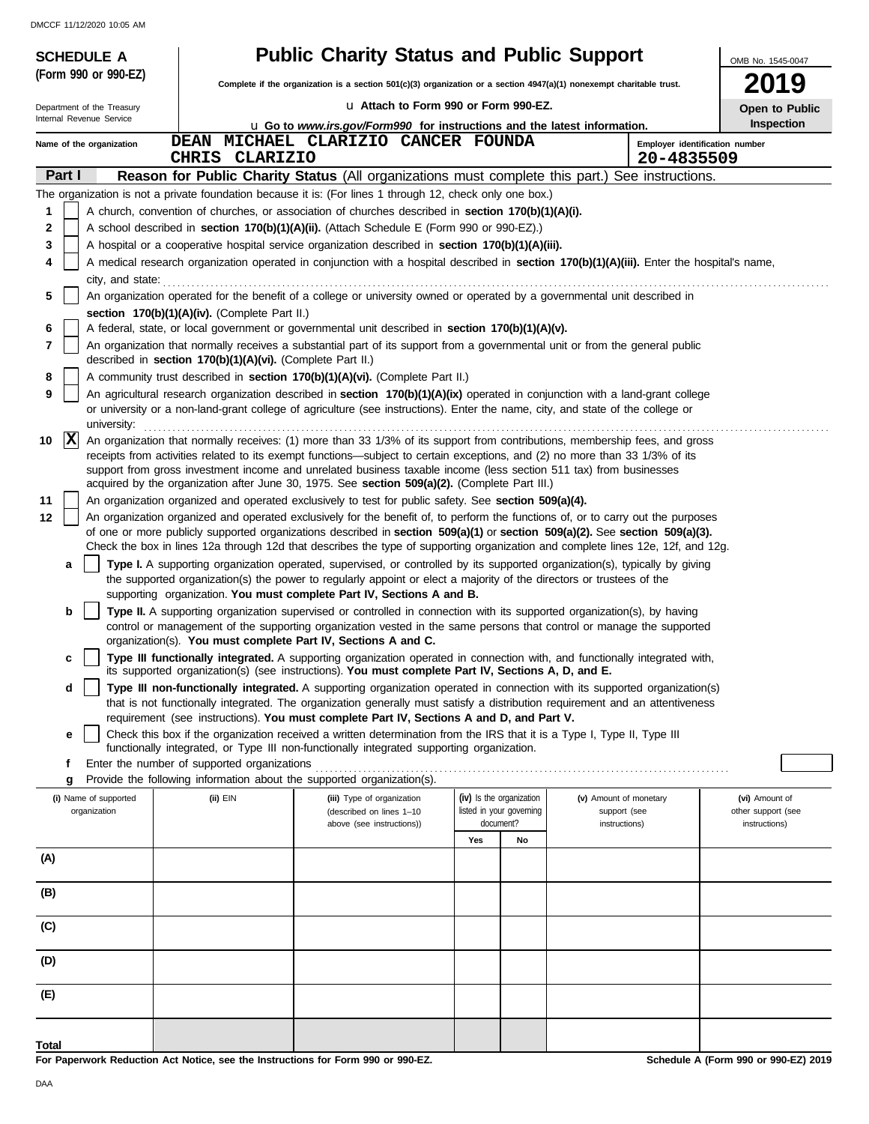| <b>SCHEDULE A</b>                     |                                                            | <b>Public Charity Status and Public Support</b>                                                                                                                                                                    |                                                                   |                                                                                                                                                                                                                                                                | OMB No. 1545-0047                                     |  |  |  |  |  |  |
|---------------------------------------|------------------------------------------------------------|--------------------------------------------------------------------------------------------------------------------------------------------------------------------------------------------------------------------|-------------------------------------------------------------------|----------------------------------------------------------------------------------------------------------------------------------------------------------------------------------------------------------------------------------------------------------------|-------------------------------------------------------|--|--|--|--|--|--|
| (Form 990 or 990-EZ)                  |                                                            | Complete if the organization is a section 501(c)(3) organization or a section 4947(a)(1) nonexempt charitable trust.                                                                                               |                                                                   |                                                                                                                                                                                                                                                                | 2019                                                  |  |  |  |  |  |  |
| Department of the Treasury            |                                                            | La Attach to Form 990 or Form 990-EZ.                                                                                                                                                                              |                                                                   |                                                                                                                                                                                                                                                                | Open to Public                                        |  |  |  |  |  |  |
| Internal Revenue Service              |                                                            | <b>u</b> Go to www.irs.gov/Form990 for instructions and the latest information.                                                                                                                                    |                                                                   |                                                                                                                                                                                                                                                                | <b>Inspection</b>                                     |  |  |  |  |  |  |
| Name of the organization              |                                                            | DEAN MICHAEL CLARIZIO CANCER FOUNDA                                                                                                                                                                                |                                                                   | Employer identification number                                                                                                                                                                                                                                 |                                                       |  |  |  |  |  |  |
| Part I                                | CHRIS CLARIZIO                                             |                                                                                                                                                                                                                    |                                                                   | 20-4835509<br>See instructions.                                                                                                                                                                                                                                |                                                       |  |  |  |  |  |  |
|                                       |                                                            | Reason for Public Charity Status (All organizations must complete this part.)<br>The organization is not a private foundation because it is: (For lines 1 through 12, check only one box.)                         |                                                                   |                                                                                                                                                                                                                                                                |                                                       |  |  |  |  |  |  |
| 1                                     |                                                            | A church, convention of churches, or association of churches described in section 170(b)(1)(A)(i).                                                                                                                 |                                                                   |                                                                                                                                                                                                                                                                |                                                       |  |  |  |  |  |  |
| 2                                     |                                                            | A school described in <b>section 170(b)(1)(A)(ii).</b> (Attach Schedule E (Form 990 or 990-EZ).)                                                                                                                   |                                                                   |                                                                                                                                                                                                                                                                |                                                       |  |  |  |  |  |  |
| 3                                     |                                                            | A hospital or a cooperative hospital service organization described in section 170(b)(1)(A)(iii).                                                                                                                  |                                                                   |                                                                                                                                                                                                                                                                |                                                       |  |  |  |  |  |  |
| 4                                     |                                                            |                                                                                                                                                                                                                    |                                                                   | A medical research organization operated in conjunction with a hospital described in section 170(b)(1)(A)(iii). Enter the hospital's name,                                                                                                                     |                                                       |  |  |  |  |  |  |
| city, and state:<br>5                 |                                                            | An organization operated for the benefit of a college or university owned or operated by a governmental unit described in                                                                                          |                                                                   |                                                                                                                                                                                                                                                                |                                                       |  |  |  |  |  |  |
|                                       | section 170(b)(1)(A)(iv). (Complete Part II.)              |                                                                                                                                                                                                                    |                                                                   |                                                                                                                                                                                                                                                                |                                                       |  |  |  |  |  |  |
| 6                                     |                                                            | A federal, state, or local government or governmental unit described in section 170(b)(1)(A)(v).                                                                                                                   |                                                                   |                                                                                                                                                                                                                                                                |                                                       |  |  |  |  |  |  |
| 7                                     |                                                            | An organization that normally receives a substantial part of its support from a governmental unit or from the general public                                                                                       |                                                                   |                                                                                                                                                                                                                                                                |                                                       |  |  |  |  |  |  |
| 8                                     | described in section 170(b)(1)(A)(vi). (Complete Part II.) | A community trust described in section 170(b)(1)(A)(vi). (Complete Part II.)                                                                                                                                       |                                                                   |                                                                                                                                                                                                                                                                |                                                       |  |  |  |  |  |  |
| 9                                     |                                                            |                                                                                                                                                                                                                    |                                                                   | An agricultural research organization described in section 170(b)(1)(A)(ix) operated in conjunction with a land-grant college                                                                                                                                  |                                                       |  |  |  |  |  |  |
|                                       |                                                            | or university or a non-land-grant college of agriculture (see instructions). Enter the name, city, and state of the college or                                                                                     |                                                                   |                                                                                                                                                                                                                                                                |                                                       |  |  |  |  |  |  |
| university:<br>$ {\bf x} $<br>10      |                                                            |                                                                                                                                                                                                                    |                                                                   | An organization that normally receives: (1) more than 33 1/3% of its support from contributions, membership fees, and gross                                                                                                                                    |                                                       |  |  |  |  |  |  |
|                                       |                                                            | receipts from activities related to its exempt functions—subject to certain exceptions, and (2) no more than 33 1/3% of its                                                                                        |                                                                   |                                                                                                                                                                                                                                                                |                                                       |  |  |  |  |  |  |
|                                       |                                                            | support from gross investment income and unrelated business taxable income (less section 511 tax) from businesses<br>acquired by the organization after June 30, 1975. See section 509(a)(2). (Complete Part III.) |                                                                   |                                                                                                                                                                                                                                                                |                                                       |  |  |  |  |  |  |
| 11                                    |                                                            | An organization organized and operated exclusively to test for public safety. See section 509(a)(4).                                                                                                               |                                                                   |                                                                                                                                                                                                                                                                |                                                       |  |  |  |  |  |  |
| 12                                    |                                                            |                                                                                                                                                                                                                    |                                                                   | An organization organized and operated exclusively for the benefit of, to perform the functions of, or to carry out the purposes                                                                                                                               |                                                       |  |  |  |  |  |  |
|                                       |                                                            |                                                                                                                                                                                                                    |                                                                   | of one or more publicly supported organizations described in section 509(a)(1) or section 509(a)(2). See section 509(a)(3).                                                                                                                                    |                                                       |  |  |  |  |  |  |
| a                                     |                                                            |                                                                                                                                                                                                                    |                                                                   | Check the box in lines 12a through 12d that describes the type of supporting organization and complete lines 12e, 12f, and 12g.<br>Type I. A supporting organization operated, supervised, or controlled by its supported organization(s), typically by giving |                                                       |  |  |  |  |  |  |
|                                       |                                                            | the supported organization(s) the power to regularly appoint or elect a majority of the directors or trustees of the<br>supporting organization. You must complete Part IV, Sections A and B.                      |                                                                   |                                                                                                                                                                                                                                                                |                                                       |  |  |  |  |  |  |
| b                                     |                                                            | Type II. A supporting organization supervised or controlled in connection with its supported organization(s), by having                                                                                            |                                                                   |                                                                                                                                                                                                                                                                |                                                       |  |  |  |  |  |  |
|                                       |                                                            | organization(s). You must complete Part IV, Sections A and C.                                                                                                                                                      |                                                                   | control or management of the supporting organization vested in the same persons that control or manage the supported                                                                                                                                           |                                                       |  |  |  |  |  |  |
| c                                     |                                                            |                                                                                                                                                                                                                    |                                                                   | Type III functionally integrated. A supporting organization operated in connection with, and functionally integrated with,                                                                                                                                     |                                                       |  |  |  |  |  |  |
|                                       |                                                            | its supported organization(s) (see instructions). You must complete Part IV, Sections A, D, and E.                                                                                                                 |                                                                   |                                                                                                                                                                                                                                                                |                                                       |  |  |  |  |  |  |
| d                                     |                                                            |                                                                                                                                                                                                                    |                                                                   | Type III non-functionally integrated. A supporting organization operated in connection with its supported organization(s)<br>that is not functionally integrated. The organization generally must satisfy a distribution requirement and an attentiveness      |                                                       |  |  |  |  |  |  |
|                                       |                                                            | requirement (see instructions). You must complete Part IV, Sections A and D, and Part V.                                                                                                                           |                                                                   |                                                                                                                                                                                                                                                                |                                                       |  |  |  |  |  |  |
| е                                     |                                                            | Check this box if the organization received a written determination from the IRS that it is a Type I, Type II, Type III                                                                                            |                                                                   |                                                                                                                                                                                                                                                                |                                                       |  |  |  |  |  |  |
| f                                     | Enter the number of supported organizations                | functionally integrated, or Type III non-functionally integrated supporting organization.                                                                                                                          |                                                                   |                                                                                                                                                                                                                                                                |                                                       |  |  |  |  |  |  |
| g                                     |                                                            | Provide the following information about the supported organization(s).                                                                                                                                             |                                                                   |                                                                                                                                                                                                                                                                |                                                       |  |  |  |  |  |  |
| (i) Name of supported<br>organization | $(ii)$ EIN                                                 | (iii) Type of organization<br>(described on lines 1-10<br>above (see instructions))                                                                                                                                | (iv) Is the organization<br>listed in your governing<br>document? | (v) Amount of monetary<br>support (see<br>instructions)                                                                                                                                                                                                        | (vi) Amount of<br>other support (see<br>instructions) |  |  |  |  |  |  |
|                                       |                                                            |                                                                                                                                                                                                                    | Yes<br>No                                                         |                                                                                                                                                                                                                                                                |                                                       |  |  |  |  |  |  |
| (A)                                   |                                                            |                                                                                                                                                                                                                    |                                                                   |                                                                                                                                                                                                                                                                |                                                       |  |  |  |  |  |  |
| (B)                                   |                                                            |                                                                                                                                                                                                                    |                                                                   |                                                                                                                                                                                                                                                                |                                                       |  |  |  |  |  |  |
|                                       |                                                            |                                                                                                                                                                                                                    |                                                                   |                                                                                                                                                                                                                                                                |                                                       |  |  |  |  |  |  |
| (C)                                   |                                                            |                                                                                                                                                                                                                    |                                                                   |                                                                                                                                                                                                                                                                |                                                       |  |  |  |  |  |  |
| (D)                                   |                                                            |                                                                                                                                                                                                                    |                                                                   |                                                                                                                                                                                                                                                                |                                                       |  |  |  |  |  |  |
| (E)                                   |                                                            |                                                                                                                                                                                                                    |                                                                   |                                                                                                                                                                                                                                                                |                                                       |  |  |  |  |  |  |
|                                       |                                                            |                                                                                                                                                                                                                    |                                                                   |                                                                                                                                                                                                                                                                |                                                       |  |  |  |  |  |  |
| Total                                 |                                                            |                                                                                                                                                                                                                    |                                                                   |                                                                                                                                                                                                                                                                |                                                       |  |  |  |  |  |  |

**For Paperwork Reduction Act Notice, see the Instructions for Form 990 or 990-EZ.**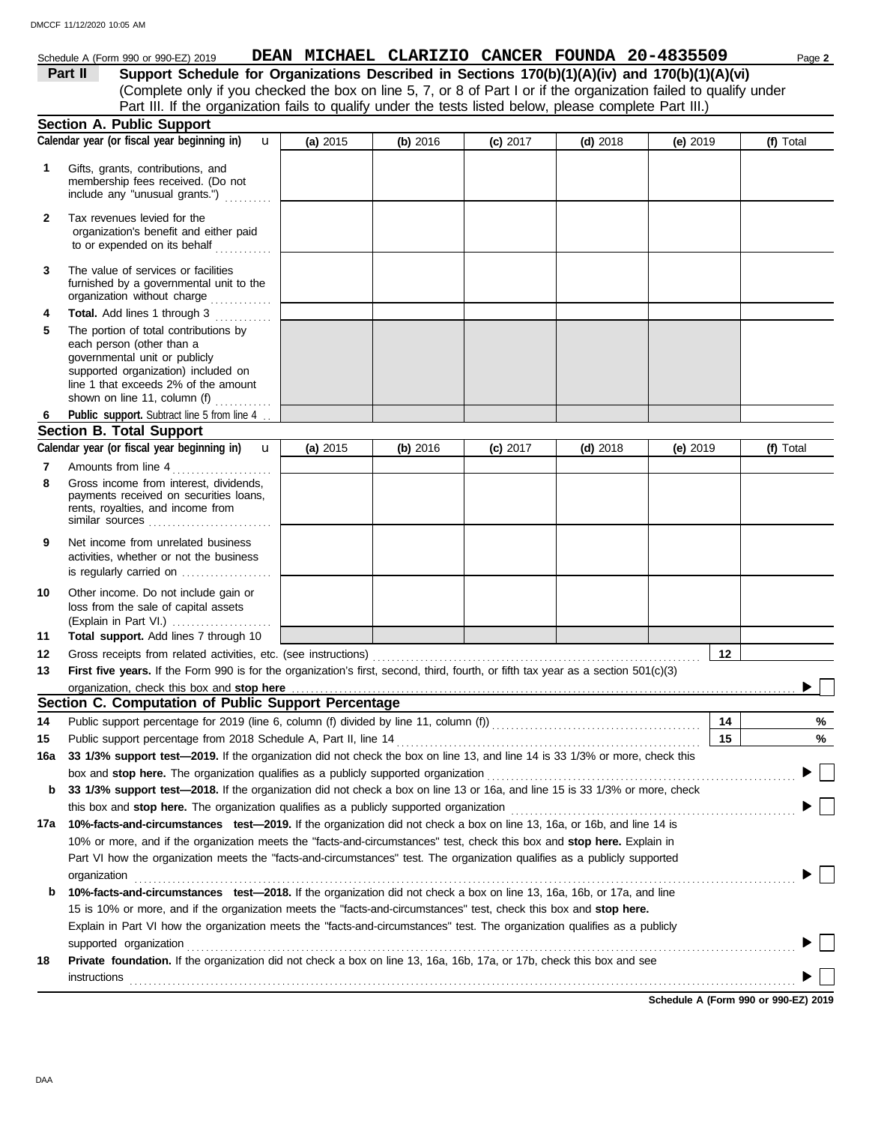Schedule A (Form 990 or 990-EZ) 2019 **DEAN MICHAEL CLARIZIO CANCER FOUNDA 20-4835509** Page 2 (Complete only if you checked the box on line 5, 7, or 8 of Part I or if the organization failed to qualify under **Part II** Support Schedule for Organizations Described in Sections 170(b)(1)(A)(iv) and 170(b)(1)(A)(vi) Part III. If the organization fails to qualify under the tests listed below, please complete Part III.)

|        | <b>Section A. Public Support</b>                                                                                                                                                                                                                                                                                                                                          |          |            |          |            |            |           |
|--------|---------------------------------------------------------------------------------------------------------------------------------------------------------------------------------------------------------------------------------------------------------------------------------------------------------------------------------------------------------------------------|----------|------------|----------|------------|------------|-----------|
|        | Calendar year (or fiscal year beginning in)<br>$\mathbf{u}$                                                                                                                                                                                                                                                                                                               | (a) 2015 | (b) $2016$ | (c) 2017 | $(d)$ 2018 | (e) $2019$ | (f) Total |
| 1      | Gifts, grants, contributions, and<br>membership fees received. (Do not<br>include any "unusual grants.")                                                                                                                                                                                                                                                                  |          |            |          |            |            |           |
| 2      | Tax revenues levied for the<br>organization's benefit and either paid<br>to or expended on its behalf                                                                                                                                                                                                                                                                     |          |            |          |            |            |           |
| 3      | The value of services or facilities<br>furnished by a governmental unit to the<br>organization without charge                                                                                                                                                                                                                                                             |          |            |          |            |            |           |
| 4<br>5 | Total. Add lines 1 through 3<br>The portion of total contributions by<br>each person (other than a<br>governmental unit or publicly<br>supported organization) included on<br>line 1 that exceeds 2% of the amount<br>shown on line 11, column (f) $\ldots$                                                                                                               |          |            |          |            |            |           |
| 6      | Public support. Subtract line 5 from line 4                                                                                                                                                                                                                                                                                                                               |          |            |          |            |            |           |
|        | <b>Section B. Total Support</b>                                                                                                                                                                                                                                                                                                                                           |          |            |          |            |            |           |
|        | Calendar year (or fiscal year beginning in)<br>$\mathbf{u}$                                                                                                                                                                                                                                                                                                               | (a) 2015 | (b) 2016   | (c) 2017 | $(d)$ 2018 | (e) $2019$ | (f) Total |
| 7<br>8 | Amounts from line 4<br>Gross income from interest, dividends,<br>payments received on securities loans,<br>rents, royalties, and income from<br>similar sources                                                                                                                                                                                                           |          |            |          |            |            |           |
| 9      | Net income from unrelated business<br>activities, whether or not the business<br>is regularly carried on                                                                                                                                                                                                                                                                  |          |            |          |            |            |           |
| 10     | Other income. Do not include gain or<br>loss from the sale of capital assets<br>(Explain in Part VI.)                                                                                                                                                                                                                                                                     |          |            |          |            |            |           |
| 11     | Total support. Add lines 7 through 10                                                                                                                                                                                                                                                                                                                                     |          |            |          |            |            |           |
| 12     |                                                                                                                                                                                                                                                                                                                                                                           |          |            |          |            | 12         |           |
| 13     | First five years. If the Form 990 is for the organization's first, second, third, fourth, or fifth tax year as a section 501(c)(3)                                                                                                                                                                                                                                        |          |            |          |            |            |           |
|        |                                                                                                                                                                                                                                                                                                                                                                           |          |            |          |            |            |           |
|        | Section C. Computation of Public Support Percentage                                                                                                                                                                                                                                                                                                                       |          |            |          |            |            |           |
| 14     | Public support percentage for 2019 (line 6, column (f) divided by line 11, column (f)) [[[[[[[[[[[[[[[[[[[[[[                                                                                                                                                                                                                                                             |          |            |          |            | 14         | %         |
| 15     |                                                                                                                                                                                                                                                                                                                                                                           |          |            |          |            | 15         | %         |
|        | 16a 33 1/3% support test-2019. If the organization did not check the box on line 13, and line 14 is 33 1/3% or more, check this                                                                                                                                                                                                                                           |          |            |          |            |            |           |
|        | box and stop here. The organization qualifies as a publicly supported organization                                                                                                                                                                                                                                                                                        |          |            |          |            |            |           |
| b      | 33 1/3% support test-2018. If the organization did not check a box on line 13 or 16a, and line 15 is 33 1/3% or more, check                                                                                                                                                                                                                                               |          |            |          |            |            |           |
|        |                                                                                                                                                                                                                                                                                                                                                                           |          |            |          |            |            |           |
| 17a    | 10%-facts-and-circumstances test-2019. If the organization did not check a box on line 13, 16a, or 16b, and line 14 is                                                                                                                                                                                                                                                    |          |            |          |            |            |           |
|        | 10% or more, and if the organization meets the "facts-and-circumstances" test, check this box and stop here. Explain in                                                                                                                                                                                                                                                   |          |            |          |            |            |           |
|        | Part VI how the organization meets the "facts-and-circumstances" test. The organization qualifies as a publicly supported                                                                                                                                                                                                                                                 |          |            |          |            |            |           |
|        | organization                                                                                                                                                                                                                                                                                                                                                              |          |            |          |            |            |           |
| b      | 10%-facts-and-circumstances test-2018. If the organization did not check a box on line 13, 16a, 16b, or 17a, and line<br>15 is 10% or more, and if the organization meets the "facts-and-circumstances" test, check this box and stop here.<br>Explain in Part VI how the organization meets the "facts-and-circumstances" test. The organization qualifies as a publicly |          |            |          |            |            |           |
|        | supported organization with a construction of the construction of the construction of the construction of the construction of the construction of the construction of the construction of the construction of the construction                                                                                                                                            |          |            |          |            |            |           |
| 18     | Private foundation. If the organization did not check a box on line 13, 16a, 16b, 17a, or 17b, check this box and see                                                                                                                                                                                                                                                     |          |            |          |            |            |           |
|        | <b>instructions</b>                                                                                                                                                                                                                                                                                                                                                       |          |            |          |            |            |           |
|        |                                                                                                                                                                                                                                                                                                                                                                           |          |            |          |            |            |           |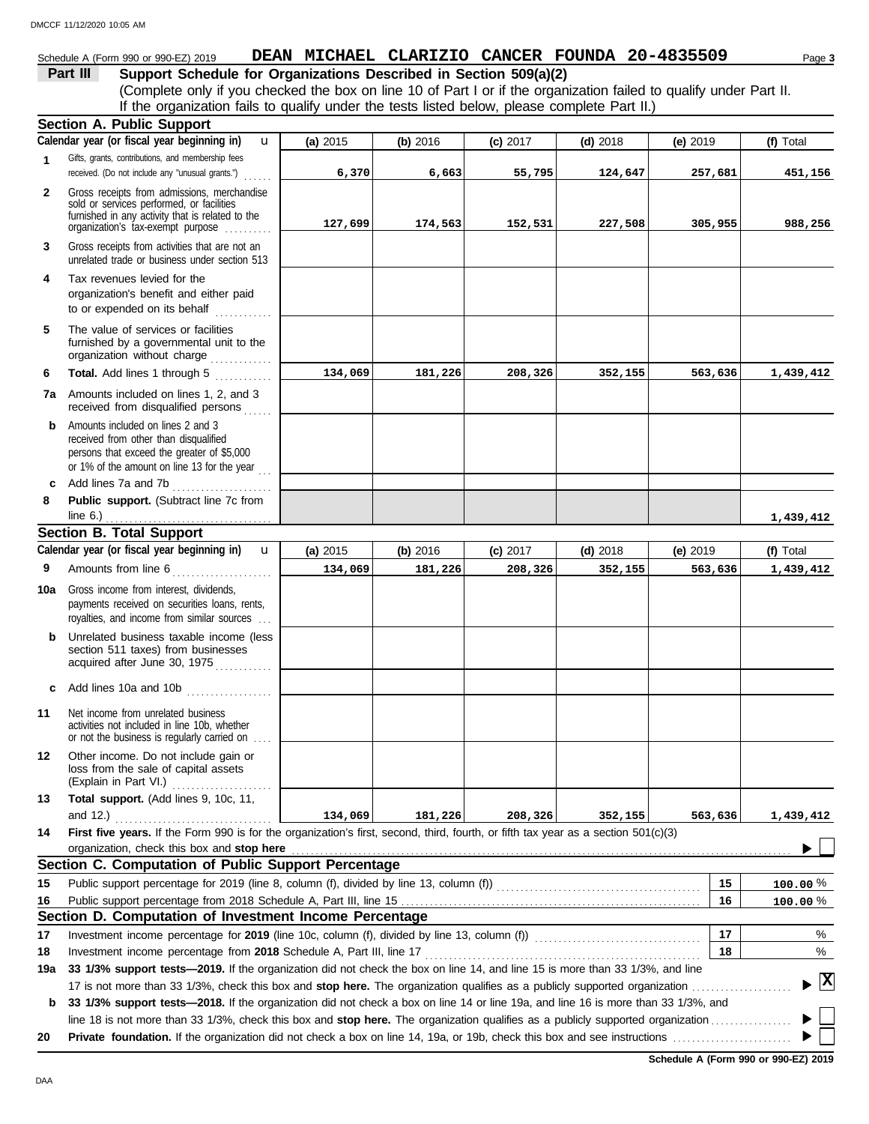#### Schedule A (Form 990 or 990-EZ) 2019 **DEAN MICHAEL CLARIZIO CANCER FOUNDA 20-4835509** Page 3

#### **Part III** Support Schedule for Organizations Described in Section 509(a)(2)

(Complete only if you checked the box on line 10 of Part I or if the organization failed to qualify under Part II. If the organization fails to qualify under the tests listed below, please complete Part II.)

|              | <b>Section A. Public Support</b>                                                                                                                                                  |          |          |            |            |            |                                    |
|--------------|-----------------------------------------------------------------------------------------------------------------------------------------------------------------------------------|----------|----------|------------|------------|------------|------------------------------------|
|              | Calendar year (or fiscal year beginning in)<br>$\mathbf{u}$                                                                                                                       | (a) 2015 | (b) 2016 | $(c)$ 2017 | $(d)$ 2018 | (e) $2019$ | (f) Total                          |
| 1            | Gifts, grants, contributions, and membership fees<br>received. (Do not include any "unusual grants.")                                                                             | 6,370    | 6,663    | 55,795     | 124,647    | 257,681    | 451,156                            |
| $\mathbf{2}$ | Gross receipts from admissions, merchandise<br>sold or services performed, or facilities<br>furnished in any activity that is related to the<br>organization's tax-exempt purpose | 127,699  | 174,563  | 152,531    | 227,508    | 305,955    | 988,256                            |
| 3            | Gross receipts from activities that are not an<br>unrelated trade or business under section 513                                                                                   |          |          |            |            |            |                                    |
| 4            | Tax revenues levied for the<br>organization's benefit and either paid<br>to or expended on its behalf                                                                             |          |          |            |            |            |                                    |
| 5            | The value of services or facilities<br>furnished by a governmental unit to the<br>organization without charge                                                                     |          |          |            |            |            |                                    |
| 6            | Total. Add lines 1 through 5<br>.                                                                                                                                                 | 134,069  | 181,226  | 208,326    | 352,155    | 563,636    | 1,439,412                          |
| 7a           | Amounts included on lines 1, 2, and 3<br>received from disqualified persons                                                                                                       |          |          |            |            |            |                                    |
| b            | Amounts included on lines 2 and 3<br>received from other than disqualified<br>persons that exceed the greater of \$5,000<br>or 1% of the amount on line 13 for the year $\ldots$  |          |          |            |            |            |                                    |
| c            | Add lines 7a and 7b<br>.                                                                                                                                                          |          |          |            |            |            |                                    |
| 8            | Public support. (Subtract line 7c from                                                                                                                                            |          |          |            |            |            |                                    |
|              | line $6.$ )<br><b>Section B. Total Support</b>                                                                                                                                    |          |          |            |            |            | 1,439,412                          |
|              | Calendar year (or fiscal year beginning in)<br>$\mathbf{u}$                                                                                                                       | (a) 2015 | (b) 2016 | $(c)$ 2017 | $(d)$ 2018 | (e) $2019$ | (f) Total                          |
| 9            | Amounts from line 6                                                                                                                                                               | 134,069  | 181,226  | 208,326    | 352,155    | 563,636    | 1,439,412                          |
|              | .                                                                                                                                                                                 |          |          |            |            |            |                                    |
| 10a          | Gross income from interest, dividends,<br>payments received on securities loans, rents,<br>royalties, and income from similar sources                                             |          |          |            |            |            |                                    |
| b            | Unrelated business taxable income (less<br>section 511 taxes) from businesses<br>acquired after June 30, 1975                                                                     |          |          |            |            |            |                                    |
| c            | Add lines 10a and 10b                                                                                                                                                             |          |          |            |            |            |                                    |
| 11           | Net income from unrelated business<br>activities not included in line 10b, whether<br>or not the business is regularly carried on                                                 |          |          |            |            |            |                                    |
| 12           | Other income. Do not include gain or<br>loss from the sale of capital assets<br>(Explain in Part VI.)<br>.                                                                        |          |          |            |            |            |                                    |
| 13           | Total support. (Add lines 9, 10c, 11,<br>and 12.)                                                                                                                                 | 134,069  | 181,226  | 208,326    | 352,155    | 563,636    | 1,439,412                          |
| 14           | First five years. If the Form 990 is for the organization's first, second, third, fourth, or fifth tax year as a section 501(c)(3)                                                |          |          |            |            |            |                                    |
|              | organization, check this box and stop here                                                                                                                                        |          |          |            |            |            |                                    |
|              | Section C. Computation of Public Support Percentage                                                                                                                               |          |          |            |            |            |                                    |
| 15           |                                                                                                                                                                                   |          |          |            |            | 15         | 100.00%                            |
| 16           | Public support percentage from 2018 Schedule A, Part III, line 15.                                                                                                                |          |          |            |            | 16         | 100.00%                            |
|              | Section D. Computation of Investment Income Percentage                                                                                                                            |          |          |            |            |            |                                    |
| 17           |                                                                                                                                                                                   |          |          |            |            | 17         | %                                  |
| 18           | Investment income percentage from 2018 Schedule A, Part III, line 17                                                                                                              |          |          |            |            | 18         | %                                  |
| 19a          | 33 1/3% support tests-2019. If the organization did not check the box on line 14, and line 15 is more than 33 1/3%, and line                                                      |          |          |            |            |            |                                    |
|              | 17 is not more than 33 1/3%, check this box and stop here. The organization qualifies as a publicly supported organization                                                        |          |          |            |            |            | $\blacktriangleright$ $\mathbf{X}$ |
| b            | 33 1/3% support tests-2018. If the organization did not check a box on line 14 or line 19a, and line 16 is more than 33 1/3%, and                                                 |          |          |            |            |            |                                    |
|              | line 18 is not more than 33 1/3%, check this box and stop here. The organization qualifies as a publicly supported organization <i>[1]</i>                                        |          |          |            |            |            |                                    |
| 20           |                                                                                                                                                                                   |          |          |            |            |            |                                    |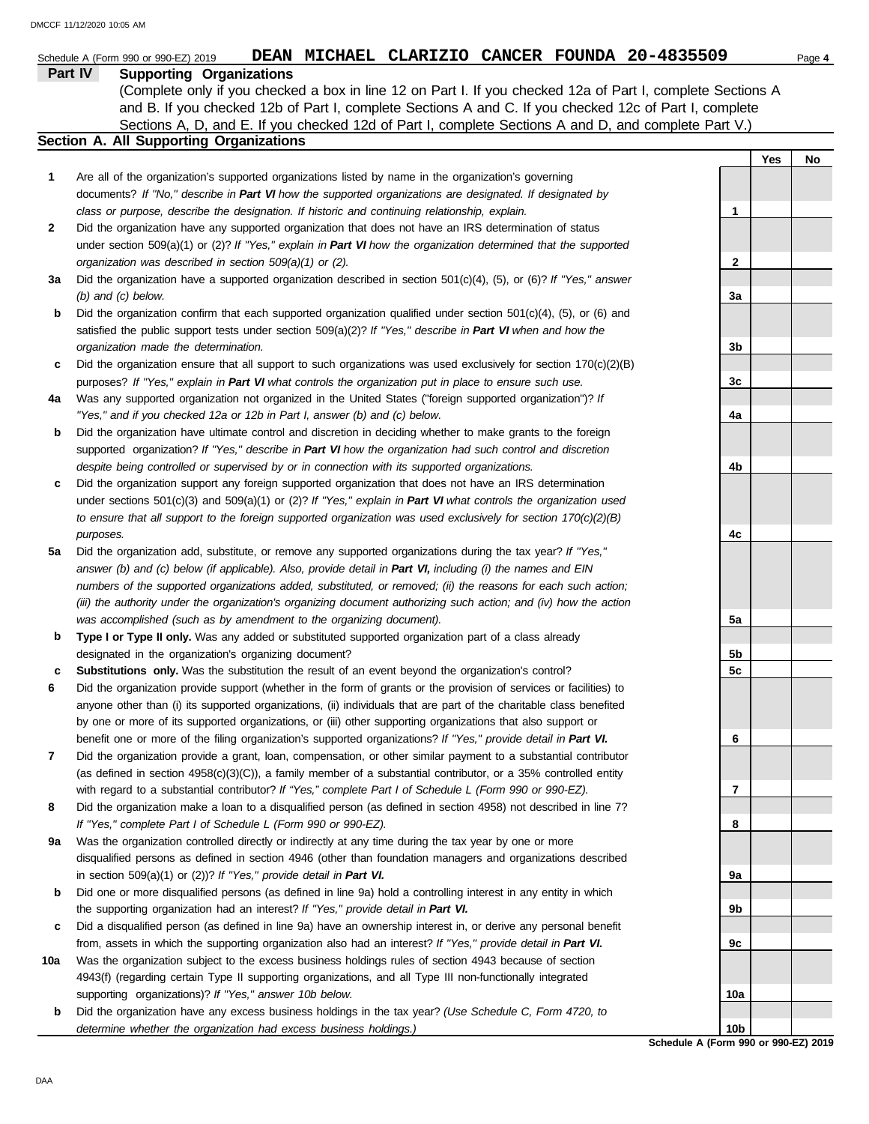|              | MCCF 11/12/2020 10:05 AM<br>DEAN MICHAEL CLARIZIO CANCER FOUNDA 20-4835509<br>Schedule A (Form 990 or 990-EZ) 2019                                                                                                                                                                                                                                                          |                |     | Page 4 |
|--------------|-----------------------------------------------------------------------------------------------------------------------------------------------------------------------------------------------------------------------------------------------------------------------------------------------------------------------------------------------------------------------------|----------------|-----|--------|
|              | Part IV<br><b>Supporting Organizations</b><br>(Complete only if you checked a box in line 12 on Part I. If you checked 12a of Part I, complete Sections A<br>and B. If you checked 12b of Part I, complete Sections A and C. If you checked 12c of Part I, complete<br>Sections A, D, and E. If you checked 12d of Part I, complete Sections A and D, and complete Part V.) |                |     |        |
|              | <b>Section A. All Supporting Organizations</b>                                                                                                                                                                                                                                                                                                                              |                |     |        |
|              |                                                                                                                                                                                                                                                                                                                                                                             |                | Yes | No     |
| 1            | Are all of the organization's supported organizations listed by name in the organization's governing                                                                                                                                                                                                                                                                        |                |     |        |
|              | documents? If "No," describe in Part VI how the supported organizations are designated. If designated by                                                                                                                                                                                                                                                                    |                |     |        |
|              | class or purpose, describe the designation. If historic and continuing relationship, explain.                                                                                                                                                                                                                                                                               | 1              |     |        |
| $\mathbf{2}$ | Did the organization have any supported organization that does not have an IRS determination of status                                                                                                                                                                                                                                                                      |                |     |        |
|              | under section 509(a)(1) or (2)? If "Yes," explain in Part VI how the organization determined that the supported                                                                                                                                                                                                                                                             |                |     |        |
|              | organization was described in section 509(a)(1) or (2).                                                                                                                                                                                                                                                                                                                     | $\mathbf 2$    |     |        |
| За           | Did the organization have a supported organization described in section $501(c)(4)$ , (5), or (6)? If "Yes," answer<br>$(b)$ and $(c)$ below.                                                                                                                                                                                                                               | 3a             |     |        |
| b            | Did the organization confirm that each supported organization qualified under section $501(c)(4)$ , $(5)$ , or $(6)$ and                                                                                                                                                                                                                                                    |                |     |        |
|              | satisfied the public support tests under section 509(a)(2)? If "Yes," describe in Part VI when and how the                                                                                                                                                                                                                                                                  |                |     |        |
|              | organization made the determination.                                                                                                                                                                                                                                                                                                                                        | 3b             |     |        |
| c            | Did the organization ensure that all support to such organizations was used exclusively for section $170(c)(2)(B)$                                                                                                                                                                                                                                                          |                |     |        |
|              | purposes? If "Yes," explain in Part VI what controls the organization put in place to ensure such use.                                                                                                                                                                                                                                                                      | 3c             |     |        |
| 4a           | Was any supported organization not organized in the United States ("foreign supported organization")? If                                                                                                                                                                                                                                                                    |                |     |        |
|              | "Yes," and if you checked 12a or 12b in Part I, answer (b) and (c) below.                                                                                                                                                                                                                                                                                                   | 4a             |     |        |
| b            | Did the organization have ultimate control and discretion in deciding whether to make grants to the foreign                                                                                                                                                                                                                                                                 |                |     |        |
|              | supported organization? If "Yes," describe in Part VI how the organization had such control and discretion                                                                                                                                                                                                                                                                  |                |     |        |
|              | despite being controlled or supervised by or in connection with its supported organizations.                                                                                                                                                                                                                                                                                | 4b             |     |        |
| c            | Did the organization support any foreign supported organization that does not have an IRS determination                                                                                                                                                                                                                                                                     |                |     |        |
|              | under sections $501(c)(3)$ and $509(a)(1)$ or (2)? If "Yes," explain in Part VI what controls the organization used                                                                                                                                                                                                                                                         |                |     |        |
|              | to ensure that all support to the foreign supported organization was used exclusively for section $170(c)(2)(B)$                                                                                                                                                                                                                                                            |                |     |        |
|              | purposes.                                                                                                                                                                                                                                                                                                                                                                   | 4c             |     |        |
| 5a           | Did the organization add, substitute, or remove any supported organizations during the tax year? If "Yes,"                                                                                                                                                                                                                                                                  |                |     |        |
|              | answer (b) and (c) below (if applicable). Also, provide detail in Part VI, including (i) the names and EIN                                                                                                                                                                                                                                                                  |                |     |        |
|              | numbers of the supported organizations added, substituted, or removed; (ii) the reasons for each such action;                                                                                                                                                                                                                                                               |                |     |        |
|              | (iii) the authority under the organization's organizing document authorizing such action; and (iv) how the action                                                                                                                                                                                                                                                           |                |     |        |
|              | was accomplished (such as by amendment to the organizing document).                                                                                                                                                                                                                                                                                                         | 5а             |     |        |
| b            | Type I or Type II only. Was any added or substituted supported organization part of a class already                                                                                                                                                                                                                                                                         |                |     |        |
|              | designated in the organization's organizing document?                                                                                                                                                                                                                                                                                                                       | 5b             |     |        |
| c            | Substitutions only. Was the substitution the result of an event beyond the organization's control?                                                                                                                                                                                                                                                                          | 5c             |     |        |
| 6            | Did the organization provide support (whether in the form of grants or the provision of services or facilities) to                                                                                                                                                                                                                                                          |                |     |        |
|              | anyone other than (i) its supported organizations, (ii) individuals that are part of the charitable class benefited                                                                                                                                                                                                                                                         |                |     |        |
|              | by one or more of its supported organizations, or (iii) other supporting organizations that also support or                                                                                                                                                                                                                                                                 |                |     |        |
|              | benefit one or more of the filing organization's supported organizations? If "Yes," provide detail in Part VI.                                                                                                                                                                                                                                                              | 6              |     |        |
| 7            | Did the organization provide a grant, loan, compensation, or other similar payment to a substantial contributor                                                                                                                                                                                                                                                             |                |     |        |
|              | (as defined in section $4958(c)(3)(C)$ ), a family member of a substantial contributor, or a 35% controlled entity                                                                                                                                                                                                                                                          |                |     |        |
|              | with regard to a substantial contributor? If "Yes," complete Part I of Schedule L (Form 990 or 990-EZ).                                                                                                                                                                                                                                                                     | $\overline{7}$ |     |        |
| 8            | Did the organization make a loan to a disqualified person (as defined in section 4958) not described in line 7?                                                                                                                                                                                                                                                             |                |     |        |
|              | If "Yes." complete Part I of Schedule L (Form 990 or 990-EZ).                                                                                                                                                                                                                                                                                                               | 8              |     |        |

- **9a** Was the organization controlled directly or indirectly at any time during the tax year by one or more disqualified persons as defined in section 4946 (other than foundation managers and organizations described in section 509(a)(1) or (2))? *If "Yes," provide detail in Part VI.*
- **b** Did one or more disqualified persons (as defined in line 9a) hold a controlling interest in any entity in which the supporting organization had an interest? *If "Yes," provide detail in Part VI.*
- **c** Did a disqualified person (as defined in line 9a) have an ownership interest in, or derive any personal benefit from, assets in which the supporting organization also had an interest? *If "Yes," provide detail in Part VI.*
- **10a** Was the organization subject to the excess business holdings rules of section 4943 because of section 4943(f) (regarding certain Type II supporting organizations, and all Type III non-functionally integrated supporting organizations)? *If "Yes," answer 10b below.*
	- **b** Did the organization have any excess business holdings in the tax year? *(Use Schedule C, Form 4720, to determine whether the organization had excess business holdings.)*

**Schedule A (Form 990 or 990-EZ) 2019 10b**

**9a**

**9b**

**9c**

**10a**

DAA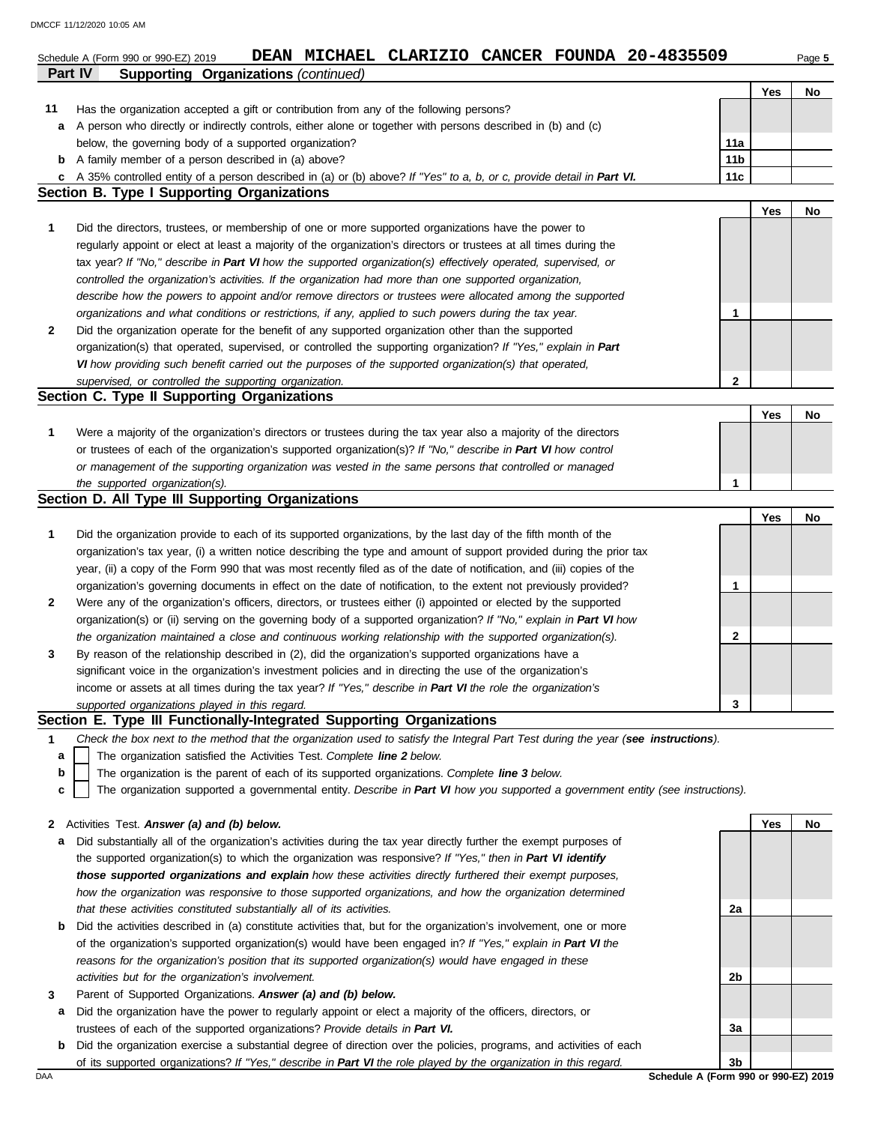|                | DEAN MICHAEL CLARIZIO CANCER FOUNDA 20-4835509<br>Schedule A (Form 990 or 990-EZ) 2019                                                                                     |                 |     | Page 5 |
|----------------|----------------------------------------------------------------------------------------------------------------------------------------------------------------------------|-----------------|-----|--------|
| <b>Part IV</b> | <b>Supporting Organizations (continued)</b>                                                                                                                                |                 |     |        |
|                |                                                                                                                                                                            |                 | Yes | No     |
| 11             | Has the organization accepted a gift or contribution from any of the following persons?                                                                                    |                 |     |        |
| a              | A person who directly or indirectly controls, either alone or together with persons described in (b) and (c)                                                               |                 |     |        |
|                | below, the governing body of a supported organization?                                                                                                                     | 11a             |     |        |
| b              | A family member of a person described in (a) above?                                                                                                                        | 11 <sub>b</sub> |     |        |
| c              | A 35% controlled entity of a person described in (a) or (b) above? If "Yes" to a, b, or c, provide detail in Part VI.<br><b>Section B. Type I Supporting Organizations</b> | 11c             |     |        |
|                |                                                                                                                                                                            |                 | Yes | No     |
| 1              | Did the directors, trustees, or membership of one or more supported organizations have the power to                                                                        |                 |     |        |
|                | regularly appoint or elect at least a majority of the organization's directors or trustees at all times during the                                                         |                 |     |        |
|                | tax year? If "No," describe in Part VI how the supported organization(s) effectively operated, supervised, or                                                              |                 |     |        |
|                | controlled the organization's activities. If the organization had more than one supported organization,                                                                    |                 |     |        |
|                | describe how the powers to appoint and/or remove directors or trustees were allocated among the supported                                                                  |                 |     |        |
|                | organizations and what conditions or restrictions, if any, applied to such powers during the tax year.                                                                     | 1               |     |        |
| 2              | Did the organization operate for the benefit of any supported organization other than the supported                                                                        |                 |     |        |
|                | organization(s) that operated, supervised, or controlled the supporting organization? If "Yes," explain in Part                                                            |                 |     |        |
|                | VI how providing such benefit carried out the purposes of the supported organization(s) that operated,                                                                     |                 |     |        |
|                | supervised, or controlled the supporting organization.                                                                                                                     | $\mathbf{2}$    |     |        |
|                | Section C. Type II Supporting Organizations                                                                                                                                |                 |     |        |
|                |                                                                                                                                                                            |                 | Yes | No     |
| 1              | Were a majority of the organization's directors or trustees during the tax year also a majority of the directors                                                           |                 |     |        |
|                | or trustees of each of the organization's supported organization(s)? If "No," describe in Part VI how control                                                              |                 |     |        |
|                | or management of the supporting organization was vested in the same persons that controlled or managed                                                                     |                 |     |        |
|                | the supported organization(s).                                                                                                                                             | 1               |     |        |
|                | Section D. All Type III Supporting Organizations                                                                                                                           |                 |     |        |
|                |                                                                                                                                                                            |                 | Yes | No     |
| 1              | Did the organization provide to each of its supported organizations, by the last day of the fifth month of the                                                             |                 |     |        |
|                | organization's tax year, (i) a written notice describing the type and amount of support provided during the prior tax                                                      |                 |     |        |
|                | year, (ii) a copy of the Form 990 that was most recently filed as of the date of notification, and (iii) copies of the                                                     |                 |     |        |
|                | organization's governing documents in effect on the date of notification, to the extent not previously provided?                                                           | 1               |     |        |
| 2              | Were any of the organization's officers, directors, or trustees either (i) appointed or elected by the supported                                                           |                 |     |        |
|                | organization(s) or (ii) serving on the governing body of a supported organization? If "No," explain in Part VI how                                                         |                 |     |        |
|                | the organization maintained a close and continuous working relationship with the supported organization(s).                                                                | 2               |     |        |
| 3              | By reason of the relationship described in (2), did the organization's supported organizations have a                                                                      |                 |     |        |
|                | significant voice in the organization's investment policies and in directing the use of the organization's                                                                 |                 |     |        |
|                | income or assets at all times during the tax year? If "Yes," describe in Part VI the role the organization's                                                               |                 |     |        |
|                | supported organizations played in this regard.                                                                                                                             | 3               |     |        |
|                | Section E. Type III Functionally-Integrated Supporting Organizations                                                                                                       |                 |     |        |
| 1              | Check the box next to the method that the organization used to satisfy the Integral Part Test during the year (see instructions).                                          |                 |     |        |
| a              | The organization satisfied the Activities Test. Complete line 2 below.                                                                                                     |                 |     |        |
| b              | The organization is the parent of each of its supported organizations. Complete line 3 below.                                                                              |                 |     |        |
| c              | The organization supported a governmental entity. Describe in Part VI how you supported a government entity (see instructions).                                            |                 |     |        |
|                | Activities Test. Answer (a) and (b) below.                                                                                                                                 |                 | Yes | No     |
| 2              | Did substantially all of the organization's activities during the tax year directly further the exempt purposes of                                                         |                 |     |        |
| а              | the supported organization(s) to which the organization was responsive? If "Yes," then in Part VI identify                                                                 |                 |     |        |
|                | those supported organizations and explain how these activities directly furthered their exempt purposes,                                                                   |                 |     |        |
|                | how the organization was responsive to those supported organizations, and how the organization determined                                                                  |                 |     |        |
|                | that these activities constituted substantially all of its activities.                                                                                                     | 2a              |     |        |
| b              | Did the activities described in (a) constitute activities that, but for the organization's involvement, one or more                                                        |                 |     |        |
|                | of the organization's supported organization(s) would have been engaged in? If "Yes," explain in Part VI the                                                               |                 |     |        |
|                | reasons for the organization's position that its supported organization(s) would have engaged in these                                                                     |                 |     |        |
|                | activities but for the organization's involvement.                                                                                                                         | 2b              |     |        |
| 3              | Parent of Supported Organizations. Answer (a) and (b) below.                                                                                                               |                 |     |        |
| а              | Did the organization have the power to regularly appoint or elect a majority of the officers, directors, or                                                                |                 |     |        |
|                | trustees of each of the supported organizations? Provide details in Part VI.                                                                                               | 3a              |     |        |

**b** Did the organization exercise a substantial degree of direction over the policies, programs, and activities of each of its supported organizations? *If "Yes," describe in Part VI the role played by the organization in this regard.*

DAA **Schedule A (Form 990 or 990-EZ) 2019 3b**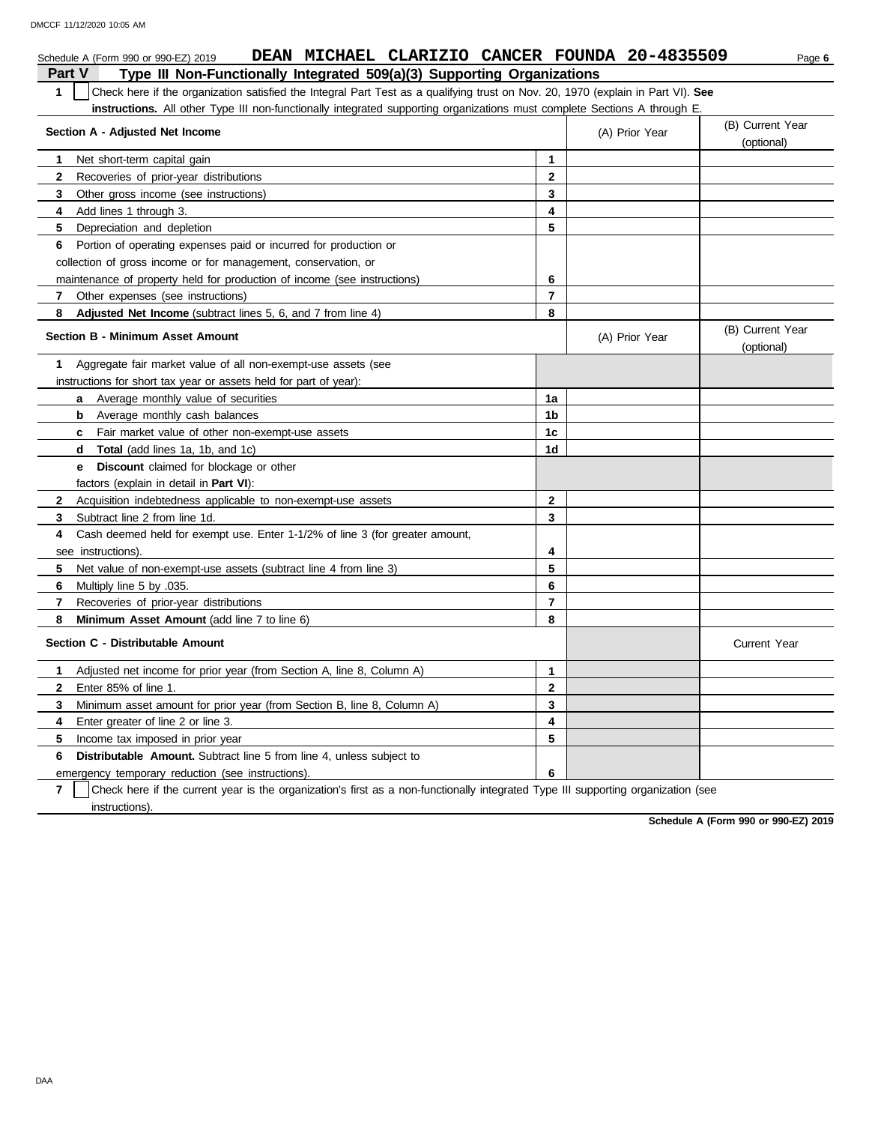|               | DEAN MICHAEL CLARIZIO CANCER FOUNDA 20-4835509<br>Schedule A (Form 990 or 990-EZ) 2019                                           |                         |                | Page 6                         |  |
|---------------|----------------------------------------------------------------------------------------------------------------------------------|-------------------------|----------------|--------------------------------|--|
| <b>Part V</b> | Type III Non-Functionally Integrated 509(a)(3) Supporting Organizations                                                          |                         |                |                                |  |
| $\mathbf{1}$  | Check here if the organization satisfied the Integral Part Test as a qualifying trust on Nov. 20, 1970 (explain in Part VI). See |                         |                |                                |  |
|               | <b>instructions.</b> All other Type III non-functionally integrated supporting organizations must complete Sections A through E. |                         |                |                                |  |
|               | Section A - Adjusted Net Income                                                                                                  |                         | (A) Prior Year | (B) Current Year               |  |
|               |                                                                                                                                  |                         |                | (optional)                     |  |
| 1             | Net short-term capital gain                                                                                                      | $\mathbf{1}$            |                |                                |  |
| $\mathbf{2}$  | Recoveries of prior-year distributions                                                                                           | $\mathbf{2}$            |                |                                |  |
| 3             | Other gross income (see instructions)                                                                                            | 3                       |                |                                |  |
| 4             | Add lines 1 through 3.                                                                                                           | 4                       |                |                                |  |
| 5             | Depreciation and depletion                                                                                                       | 5                       |                |                                |  |
| 6             | Portion of operating expenses paid or incurred for production or                                                                 |                         |                |                                |  |
|               | collection of gross income or for management, conservation, or                                                                   |                         |                |                                |  |
|               | maintenance of property held for production of income (see instructions)                                                         | 6                       |                |                                |  |
| 7             | Other expenses (see instructions)                                                                                                | 7                       |                |                                |  |
| 8             | Adjusted Net Income (subtract lines 5, 6, and 7 from line 4)                                                                     | 8                       |                |                                |  |
|               | <b>Section B - Minimum Asset Amount</b>                                                                                          |                         | (A) Prior Year | (B) Current Year<br>(optional) |  |
| 1             | Aggregate fair market value of all non-exempt-use assets (see                                                                    |                         |                |                                |  |
|               | instructions for short tax year or assets held for part of year):                                                                |                         |                |                                |  |
|               | <b>a</b> Average monthly value of securities                                                                                     | 1a                      |                |                                |  |
|               | Average monthly cash balances<br>b                                                                                               | 1b                      |                |                                |  |
|               | <b>c</b> Fair market value of other non-exempt-use assets                                                                        | 1c                      |                |                                |  |
|               | Total (add lines 1a, 1b, and 1c)<br>d                                                                                            | 1d                      |                |                                |  |
|               | <b>e</b> Discount claimed for blockage or other                                                                                  |                         |                |                                |  |
|               | factors (explain in detail in <b>Part VI)</b> :                                                                                  |                         |                |                                |  |
| $\mathbf{2}$  | Acquisition indebtedness applicable to non-exempt-use assets                                                                     | $\mathbf{2}$            |                |                                |  |
| 3             | Subtract line 2 from line 1d.                                                                                                    | 3                       |                |                                |  |
| 4             | Cash deemed held for exempt use. Enter 1-1/2% of line 3 (for greater amount,                                                     |                         |                |                                |  |
|               | see instructions).                                                                                                               | 4                       |                |                                |  |
| 5             | Net value of non-exempt-use assets (subtract line 4 from line 3)                                                                 | 5                       |                |                                |  |
| 6             | Multiply line 5 by .035.                                                                                                         | 6                       |                |                                |  |
| 7             | Recoveries of prior-year distributions                                                                                           | $\overline{7}$          |                |                                |  |
| 8             | Minimum Asset Amount (add line 7 to line 6)                                                                                      | 8                       |                |                                |  |
|               | Section C - Distributable Amount                                                                                                 |                         |                | <b>Current Year</b>            |  |
| 1             | Adjusted net income for prior year (from Section A, line 8, Column A)                                                            | 1                       |                |                                |  |
| $\mathbf{2}$  | Enter 85% of line 1.                                                                                                             | $\mathbf{2}$            |                |                                |  |
| 3             | Minimum asset amount for prior year (from Section B, line 8, Column A)                                                           | 3                       |                |                                |  |
| 4             | Enter greater of line 2 or line 3.                                                                                               | $\overline{\mathbf{4}}$ |                |                                |  |
| 5             | Income tax imposed in prior year                                                                                                 | 5                       |                |                                |  |
| 6             | <b>Distributable Amount.</b> Subtract line 5 from line 4, unless subject to                                                      |                         |                |                                |  |
|               | emergency temporary reduction (see instructions).                                                                                | 6                       |                |                                |  |

**7** | Check here if the current year is the organization's first as a non-functionally integrated Type III supporting organization (see instructions).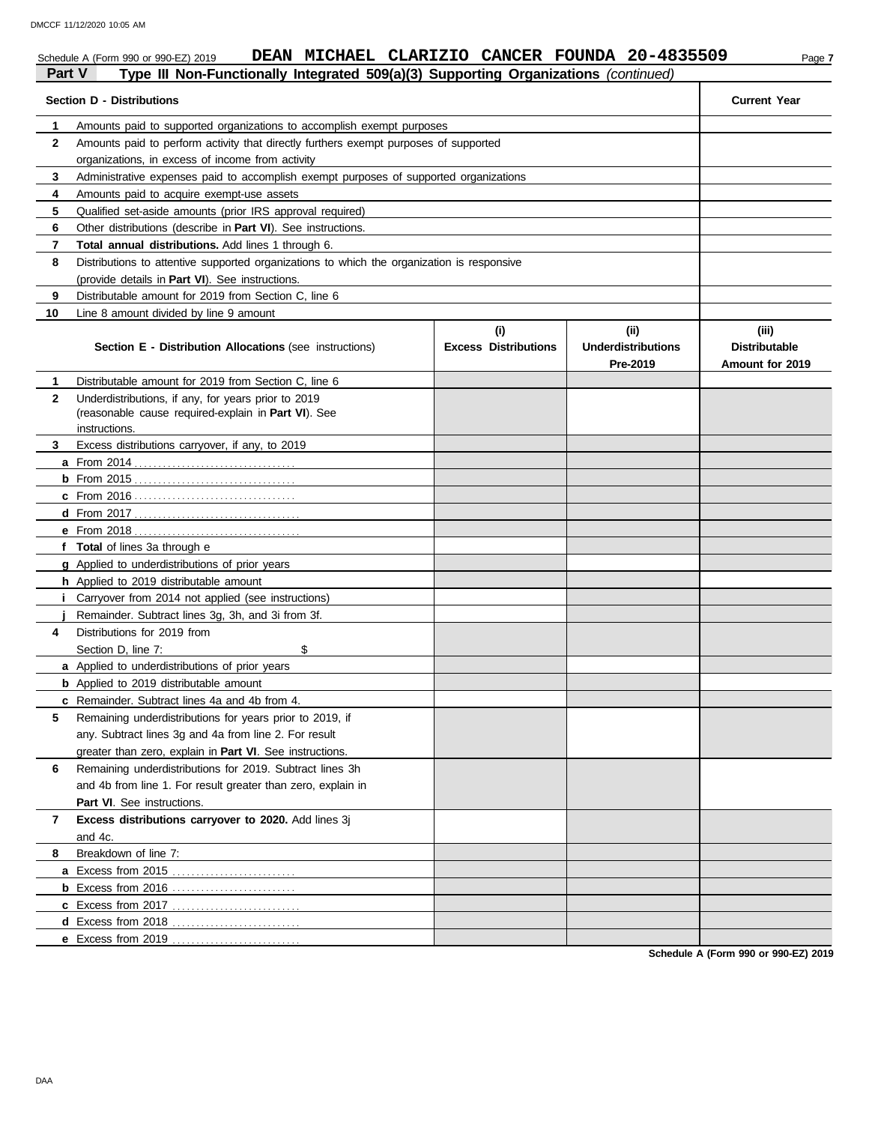#### Schedule A (Form 990 or 990-EZ) 2019 **DEAN MICHAEL CLARIZIO CANCER FOUNDA 20-4835509** Page 7 **Part V Type III Non-Functionally Integrated 509(a)(3) Supporting Organizations** *(continued)* **Section D - Distributions Current Year 1 2 3 4 5 6 7 8 9 10** Amounts paid to supported organizations to accomplish exempt purposes Amounts paid to perform activity that directly furthers exempt purposes of supported organizations, in excess of income from activity Administrative expenses paid to accomplish exempt purposes of supported organizations Amounts paid to acquire exempt-use assets Qualified set-aside amounts (prior IRS approval required) Other distributions (describe in **Part VI**). See instructions. **Total annual distributions.** Add lines 1 through 6. Distributions to attentive supported organizations to which the organization is responsive (provide details in **Part VI**). See instructions. Distributable amount for 2019 from Section C, line 6 Line 8 amount divided by line 9 amount **Section E - Distribution Allocations** (see instructions) **Excess Distributions (i) (ii) Underdistributions Pre-2019 (iii) Distributable Amount for 2019 8 7 6 5 4 3 2 1 a** From 2014 . . . . . . . . . . . . . . . . . . . . . . . . . . . . . . . . . . **b** From 2015 . . . . . . . . . . . . . . . . . . . . . . . . . . . . . . . . . . **c** From 2016 . . . . . . . . . . . . . . . . . . . . . . . . . . . . . . . . . . **d** From 2017 . . . . . . . . . . . . . . . . . . . . . . . . . . . . . . . . . . . **e** From 2018 . . . . . . . . . . . . . . . . . . . . . . . . . . . . . . . . . . . **f Total** of lines 3a through e **g** Applied to underdistributions of prior years **h** Applied to 2019 distributable amount **i** Carryover from 2014 not applied (see instructions) **j** Remainder. Subtract lines 3g, 3h, and 3i from 3f. **a** Applied to underdistributions of prior years **b** Applied to 2019 distributable amount **c** Remainder. Subtract lines 4a and 4b from 4. **a** Excess from 2015 . . . . . . . . . . . . . . . . . . . . . . . . . . **b** Excess from 2016 . . . . . . . . . . . . . . . . . . . . . . . . . . **c** Excess from 2017 . . . . . . . . . . . . . . . . . . . . . . . . . . . **d** Excess from 2018 . . . . . . . . . . . . . . . . . . . . . . . . . . . Distributable amount for 2019 from Section C, line 6 Underdistributions, if any, for years prior to 2019 (reasonable cause required-explain in **Part VI**). See Excess distributions carryover, if any, to 2019 Distributions for 2019 from Section D, line 7: \$ Remaining underdistributions for years prior to 2019, if any. Subtract lines 3g and 4a from line 2. For result greater than zero, explain in **Part VI**. See instructions. Remaining underdistributions for 2019. Subtract lines 3h and 4b from line 1. For result greater than zero, explain in **Part VI**. See instructions. **Excess distributions carryover to 2020.** Add lines 3j and 4c. Breakdown of line 7: instructions.

**Schedule A (Form 990 or 990-EZ) 2019**

**e** Excess from 2019 . . . . . . . . . . . . . . . . . . . . . . . . . . .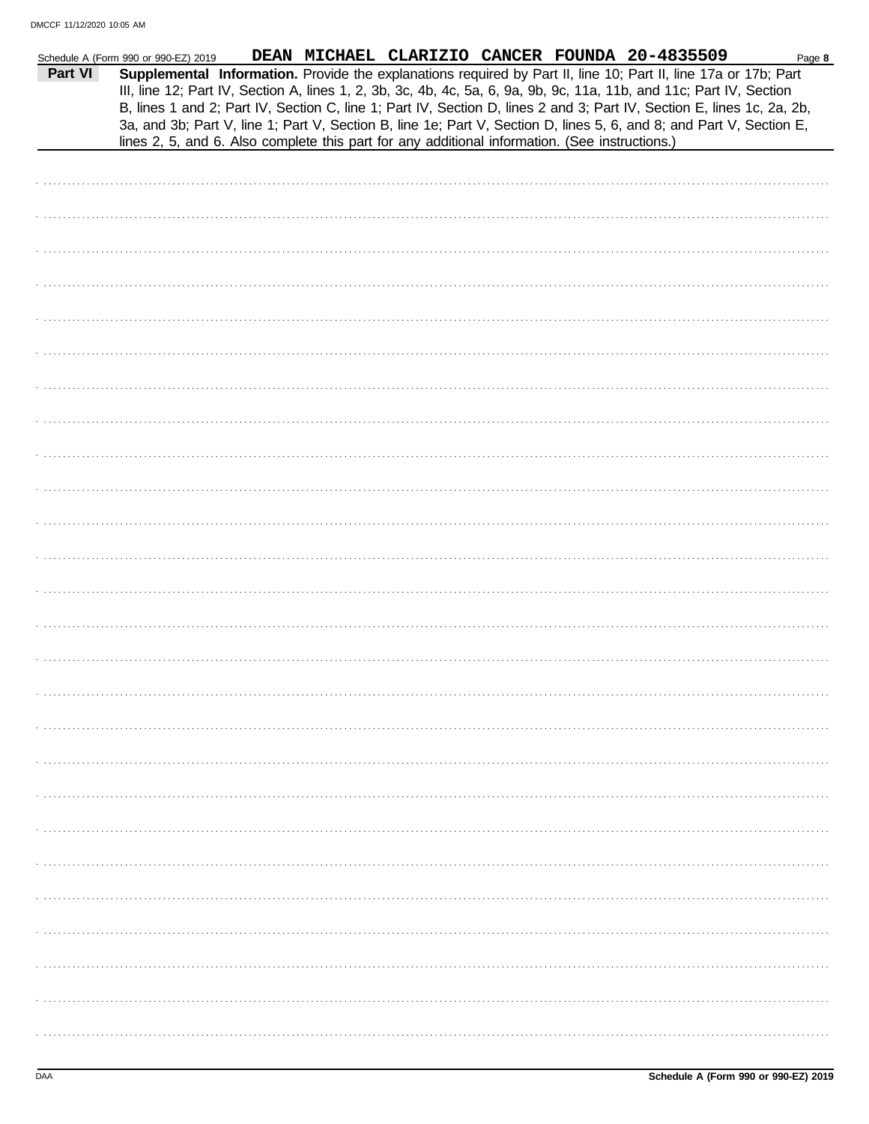|         | Schedule A (Form 990 or 990-EZ) 2019                                                           |  |  | DEAN MICHAEL CLARIZIO CANCER FOUNDA 20-4835509                                                                                                                                                                                                                                                                                                                                                                                                                                            | Page 8 |
|---------|------------------------------------------------------------------------------------------------|--|--|-------------------------------------------------------------------------------------------------------------------------------------------------------------------------------------------------------------------------------------------------------------------------------------------------------------------------------------------------------------------------------------------------------------------------------------------------------------------------------------------|--------|
| Part VI | lines 2, 5, and 6. Also complete this part for any additional information. (See instructions.) |  |  | Supplemental Information. Provide the explanations required by Part II, line 10; Part II, line 17a or 17b; Part<br>III, line 12; Part IV, Section A, lines 1, 2, 3b, 3c, 4b, 4c, 5a, 6, 9a, 9b, 9c, 11a, 11b, and 11c; Part IV, Section<br>B, lines 1 and 2; Part IV, Section C, line 1; Part IV, Section D, lines 2 and 3; Part IV, Section E, lines 1c, 2a, 2b,<br>3a, and 3b; Part V, line 1; Part V, Section B, line 1e; Part V, Section D, lines 5, 6, and 8; and Part V, Section E, |        |
|         |                                                                                                |  |  |                                                                                                                                                                                                                                                                                                                                                                                                                                                                                           |        |
|         |                                                                                                |  |  |                                                                                                                                                                                                                                                                                                                                                                                                                                                                                           |        |
|         |                                                                                                |  |  |                                                                                                                                                                                                                                                                                                                                                                                                                                                                                           |        |
|         |                                                                                                |  |  |                                                                                                                                                                                                                                                                                                                                                                                                                                                                                           |        |
|         |                                                                                                |  |  |                                                                                                                                                                                                                                                                                                                                                                                                                                                                                           |        |
|         |                                                                                                |  |  |                                                                                                                                                                                                                                                                                                                                                                                                                                                                                           |        |
|         |                                                                                                |  |  |                                                                                                                                                                                                                                                                                                                                                                                                                                                                                           |        |
|         |                                                                                                |  |  |                                                                                                                                                                                                                                                                                                                                                                                                                                                                                           |        |
|         |                                                                                                |  |  |                                                                                                                                                                                                                                                                                                                                                                                                                                                                                           |        |
|         |                                                                                                |  |  |                                                                                                                                                                                                                                                                                                                                                                                                                                                                                           |        |
|         |                                                                                                |  |  |                                                                                                                                                                                                                                                                                                                                                                                                                                                                                           |        |
|         |                                                                                                |  |  |                                                                                                                                                                                                                                                                                                                                                                                                                                                                                           |        |
|         |                                                                                                |  |  |                                                                                                                                                                                                                                                                                                                                                                                                                                                                                           |        |
|         |                                                                                                |  |  |                                                                                                                                                                                                                                                                                                                                                                                                                                                                                           |        |
|         |                                                                                                |  |  |                                                                                                                                                                                                                                                                                                                                                                                                                                                                                           |        |
|         |                                                                                                |  |  |                                                                                                                                                                                                                                                                                                                                                                                                                                                                                           |        |
|         |                                                                                                |  |  |                                                                                                                                                                                                                                                                                                                                                                                                                                                                                           |        |
|         |                                                                                                |  |  |                                                                                                                                                                                                                                                                                                                                                                                                                                                                                           |        |
|         |                                                                                                |  |  |                                                                                                                                                                                                                                                                                                                                                                                                                                                                                           |        |
|         |                                                                                                |  |  |                                                                                                                                                                                                                                                                                                                                                                                                                                                                                           |        |
|         |                                                                                                |  |  |                                                                                                                                                                                                                                                                                                                                                                                                                                                                                           |        |
|         |                                                                                                |  |  |                                                                                                                                                                                                                                                                                                                                                                                                                                                                                           |        |
|         |                                                                                                |  |  |                                                                                                                                                                                                                                                                                                                                                                                                                                                                                           |        |
|         |                                                                                                |  |  |                                                                                                                                                                                                                                                                                                                                                                                                                                                                                           |        |
|         |                                                                                                |  |  |                                                                                                                                                                                                                                                                                                                                                                                                                                                                                           |        |
|         |                                                                                                |  |  |                                                                                                                                                                                                                                                                                                                                                                                                                                                                                           |        |
|         |                                                                                                |  |  |                                                                                                                                                                                                                                                                                                                                                                                                                                                                                           |        |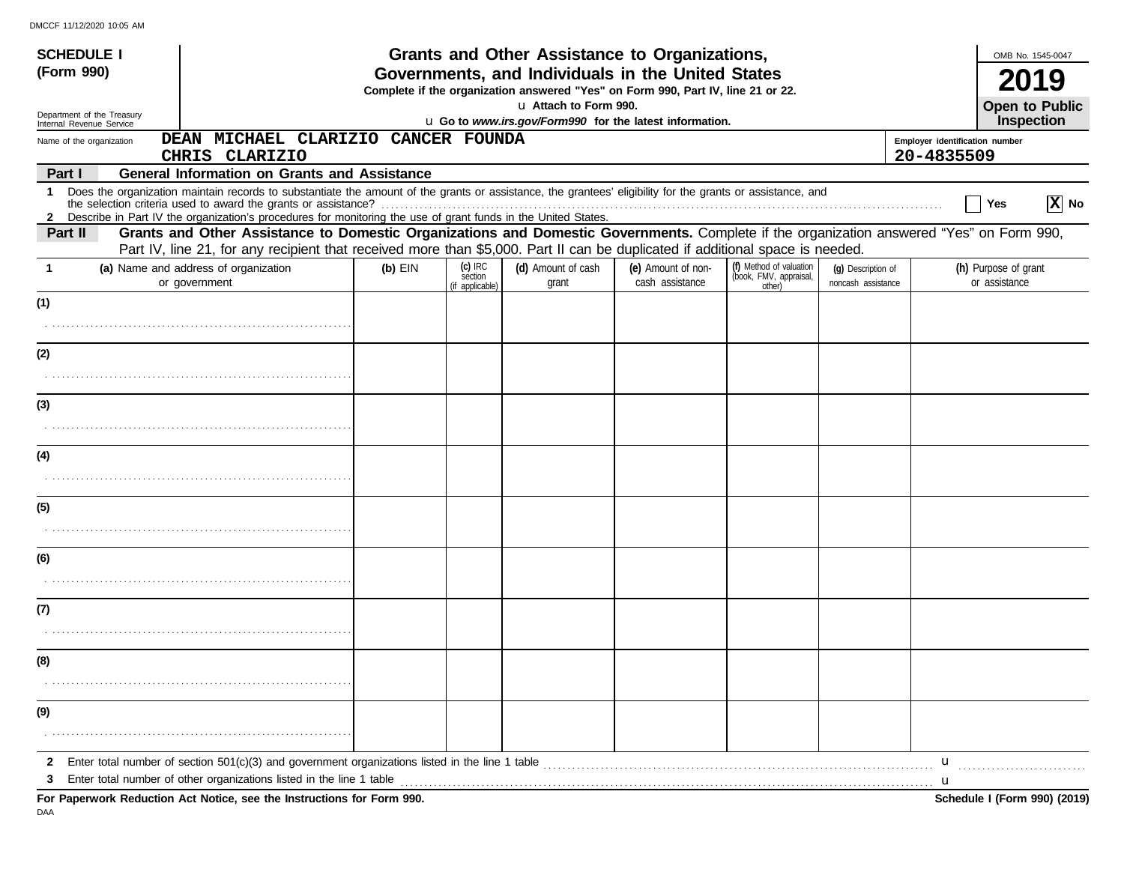| <b>SCHEDULE I</b>                                    |                                                                                                                                                                                                                                                                               |           |                    | Grants and Other Assistance to Organizations,                                                                                         |                                       |                                                             |                                          |                                | OMB No. 1545-0047                     |
|------------------------------------------------------|-------------------------------------------------------------------------------------------------------------------------------------------------------------------------------------------------------------------------------------------------------------------------------|-----------|--------------------|---------------------------------------------------------------------------------------------------------------------------------------|---------------------------------------|-------------------------------------------------------------|------------------------------------------|--------------------------------|---------------------------------------|
| (Form 990)                                           |                                                                                                                                                                                                                                                                               |           |                    | Governments, and Individuals in the United States<br>Complete if the organization answered "Yes" on Form 990, Part IV, line 21 or 22. |                                       |                                                             |                                          |                                |                                       |
| Department of the Treasury                           |                                                                                                                                                                                                                                                                               |           |                    | La Attach to Form 990.                                                                                                                |                                       |                                                             |                                          |                                | <b>Open to Public</b>                 |
| Internal Revenue Service<br>Name of the organization | DEAN MICHAEL CLARIZIO CANCER FOUNDA                                                                                                                                                                                                                                           |           |                    | u Go to www.irs.gov/Form990 for the latest information.                                                                               |                                       |                                                             |                                          | Employer identification number | Inspection                            |
|                                                      | CHRIS CLARIZIO                                                                                                                                                                                                                                                                |           |                    |                                                                                                                                       |                                       |                                                             |                                          | 20-4835509                     |                                       |
| <b>Part I</b>                                        | <b>General Information on Grants and Assistance</b>                                                                                                                                                                                                                           |           |                    |                                                                                                                                       |                                       |                                                             |                                          |                                |                                       |
| $\mathbf 1$                                          | Does the organization maintain records to substantiate the amount of the grants or assistance, the grantees' eligibility for the grants or assistance, and<br>2 Describe in Part IV the organization's procedures for monitoring the use of grant funds in the United States. |           |                    |                                                                                                                                       |                                       |                                                             |                                          |                                | $ \mathbf{X} $ No<br>Yes              |
| Part II                                              | Grants and Other Assistance to Domestic Organizations and Domestic Governments. Complete if the organization answered "Yes" on Form 990,                                                                                                                                      |           |                    |                                                                                                                                       |                                       |                                                             |                                          |                                |                                       |
|                                                      | Part IV, line 21, for any recipient that received more than \$5,000. Part II can be duplicated if additional space is needed.                                                                                                                                                 |           |                    |                                                                                                                                       |                                       |                                                             |                                          |                                |                                       |
| -1                                                   | (a) Name and address of organization<br>or government                                                                                                                                                                                                                         | $(b)$ EIN | (c) IRC<br>section | (d) Amount of cash<br>grant                                                                                                           | (e) Amount of non-<br>cash assistance | (f) Method of valuation<br>(book, FMV, appraisal,<br>other) | (g) Description of<br>noncash assistance |                                | (h) Purpose of grant<br>or assistance |
| (1)                                                  |                                                                                                                                                                                                                                                                               |           | (if applicable)    |                                                                                                                                       |                                       |                                                             |                                          |                                |                                       |
|                                                      |                                                                                                                                                                                                                                                                               |           |                    |                                                                                                                                       |                                       |                                                             |                                          |                                |                                       |
| (2)                                                  |                                                                                                                                                                                                                                                                               |           |                    |                                                                                                                                       |                                       |                                                             |                                          |                                |                                       |
|                                                      |                                                                                                                                                                                                                                                                               |           |                    |                                                                                                                                       |                                       |                                                             |                                          |                                |                                       |
| (3)                                                  |                                                                                                                                                                                                                                                                               |           |                    |                                                                                                                                       |                                       |                                                             |                                          |                                |                                       |
|                                                      |                                                                                                                                                                                                                                                                               |           |                    |                                                                                                                                       |                                       |                                                             |                                          |                                |                                       |
| (4)                                                  |                                                                                                                                                                                                                                                                               |           |                    |                                                                                                                                       |                                       |                                                             |                                          |                                |                                       |
|                                                      |                                                                                                                                                                                                                                                                               |           |                    |                                                                                                                                       |                                       |                                                             |                                          |                                |                                       |
| (5)                                                  |                                                                                                                                                                                                                                                                               |           |                    |                                                                                                                                       |                                       |                                                             |                                          |                                |                                       |
|                                                      |                                                                                                                                                                                                                                                                               |           |                    |                                                                                                                                       |                                       |                                                             |                                          |                                |                                       |
| (6)                                                  |                                                                                                                                                                                                                                                                               |           |                    |                                                                                                                                       |                                       |                                                             |                                          |                                |                                       |
|                                                      |                                                                                                                                                                                                                                                                               |           |                    |                                                                                                                                       |                                       |                                                             |                                          |                                |                                       |
| (7)                                                  |                                                                                                                                                                                                                                                                               |           |                    |                                                                                                                                       |                                       |                                                             |                                          |                                |                                       |
|                                                      |                                                                                                                                                                                                                                                                               |           |                    |                                                                                                                                       |                                       |                                                             |                                          |                                |                                       |
| (8)                                                  |                                                                                                                                                                                                                                                                               |           |                    |                                                                                                                                       |                                       |                                                             |                                          |                                |                                       |
|                                                      |                                                                                                                                                                                                                                                                               |           |                    |                                                                                                                                       |                                       |                                                             |                                          |                                |                                       |
| (9)                                                  |                                                                                                                                                                                                                                                                               |           |                    |                                                                                                                                       |                                       |                                                             |                                          |                                |                                       |
|                                                      |                                                                                                                                                                                                                                                                               |           |                    |                                                                                                                                       |                                       |                                                             |                                          |                                |                                       |
| 2                                                    |                                                                                                                                                                                                                                                                               |           |                    |                                                                                                                                       |                                       |                                                             |                                          | u                              |                                       |
| 3                                                    | Enter total number of other organizations listed in the line 1 table <i>manufacture in the content of the line</i> 1 table manufacture in the line 1 table<br>For Paperwork Reduction Act Notice, see the Instructions for Form 990.                                          |           |                    |                                                                                                                                       |                                       |                                                             |                                          |                                | Schedule I (Form 990) (2019)          |
|                                                      |                                                                                                                                                                                                                                                                               |           |                    |                                                                                                                                       |                                       |                                                             |                                          |                                |                                       |

DAA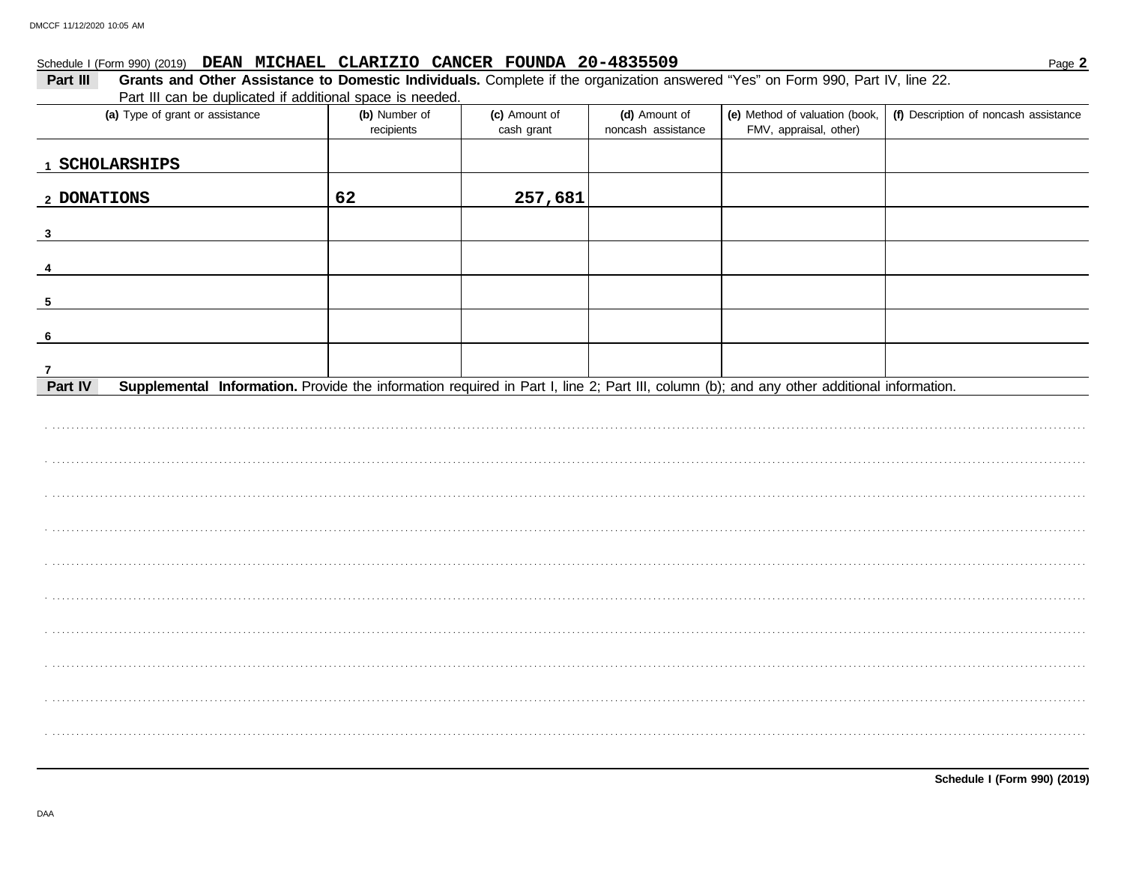#### Schedule I (Form 990) (2019) DEAN MICHAEL CLARIZIO CANCER FOUNDA 20-4835509

|  |  |  |  | Part III Grants and Other Assistance to Domestic Individuals. Complete if the organization answered "Yes" on Form 990, Part IV, line 22. |
|--|--|--|--|------------------------------------------------------------------------------------------------------------------------------------------|
|--|--|--|--|------------------------------------------------------------------------------------------------------------------------------------------|

#### Part III can be duplicated if additional space is needed.

| (a) Type of grant or assistance                                                                                                                      | (b) Number of<br>recipients | (c) Amount of<br>cash grant | (d) Amount of<br>noncash assistance | (e) Method of valuation (book,<br>FMV, appraisal, other) | (f) Description of noncash assistance |
|------------------------------------------------------------------------------------------------------------------------------------------------------|-----------------------------|-----------------------------|-------------------------------------|----------------------------------------------------------|---------------------------------------|
| 1 SCHOLARSHIPS                                                                                                                                       |                             |                             |                                     |                                                          |                                       |
| 2 DONATIONS                                                                                                                                          | 62                          | 257,681                     |                                     |                                                          |                                       |
| $\mathbf{3}$                                                                                                                                         |                             |                             |                                     |                                                          |                                       |
| 4                                                                                                                                                    |                             |                             |                                     |                                                          |                                       |
| -5                                                                                                                                                   |                             |                             |                                     |                                                          |                                       |
| $\overline{\phantom{a}}$                                                                                                                             |                             |                             |                                     |                                                          |                                       |
| $\overline{7}$                                                                                                                                       |                             |                             |                                     |                                                          |                                       |
| Supplemental Information. Provide the information required in Part I, line 2; Part III, column (b); and any other additional information.<br>Part IV |                             |                             |                                     |                                                          |                                       |
|                                                                                                                                                      |                             |                             |                                     |                                                          |                                       |
|                                                                                                                                                      |                             |                             |                                     |                                                          |                                       |
|                                                                                                                                                      |                             |                             |                                     |                                                          |                                       |
|                                                                                                                                                      |                             |                             |                                     |                                                          |                                       |
|                                                                                                                                                      |                             |                             |                                     |                                                          |                                       |
|                                                                                                                                                      |                             |                             |                                     |                                                          |                                       |
|                                                                                                                                                      |                             |                             |                                     |                                                          |                                       |
|                                                                                                                                                      |                             |                             |                                     |                                                          |                                       |
|                                                                                                                                                      |                             |                             |                                     |                                                          |                                       |
|                                                                                                                                                      |                             |                             |                                     |                                                          |                                       |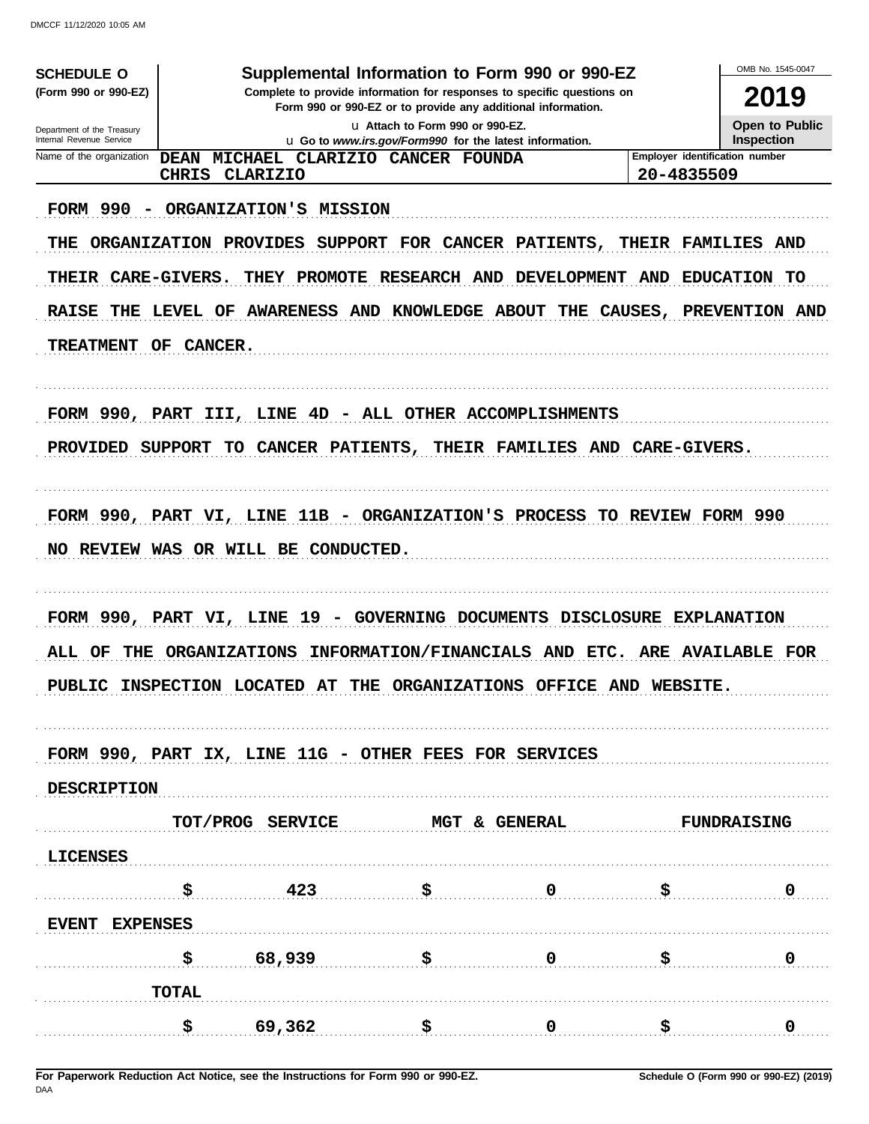| <b>SCHEDULE O</b>                                    |                                                                                                                                                | Supplemental Information to Form 990 or 990-EZ                          |                                  |                                                         |            | OMB No. 1545-0047                                   |  |  |  |
|------------------------------------------------------|------------------------------------------------------------------------------------------------------------------------------------------------|-------------------------------------------------------------------------|----------------------------------|---------------------------------------------------------|------------|-----------------------------------------------------|--|--|--|
| (Form 990 or 990-EZ)                                 | Complete to provide information for responses to specific questions on<br>2019<br>Form 990 or 990-EZ or to provide any additional information. |                                                                         |                                  |                                                         |            |                                                     |  |  |  |
| Department of the Treasury                           |                                                                                                                                                |                                                                         | La Attach to Form 990 or 990-EZ. |                                                         |            | <b>Open to Public</b>                               |  |  |  |
| Internal Revenue Service<br>Name of the organization | <b>DEAN</b>                                                                                                                                    | MICHAEL CLARIZIO CANCER FOUNDA                                          |                                  | u Go to www.irs.gov/Form990 for the latest information. |            | <b>Inspection</b><br>Employer identification number |  |  |  |
|                                                      | <b>CHRIS</b>                                                                                                                                   | <b>CLARIZIO</b>                                                         |                                  |                                                         | 20-4835509 |                                                     |  |  |  |
| FORM 990 -                                           |                                                                                                                                                | ORGANIZATION'S MISSION                                                  |                                  |                                                         |            |                                                     |  |  |  |
| THE                                                  |                                                                                                                                                | ORGANIZATION PROVIDES                                                   |                                  | SUPPORT FOR CANCER PATIENTS,                            |            | THEIR FAMILIES AND                                  |  |  |  |
| THEIR CARE-GIVERS.                                   |                                                                                                                                                | THEY PROMOTE RESEARCH AND DEVELOPMENT                                   |                                  |                                                         | AND        | <b>EDUCATION</b><br>TО                              |  |  |  |
| <b>RAISE THE</b>                                     | LEVEL OF                                                                                                                                       | AWARENESS AND KNOWLEDGE ABOUT THE CAUSES, PREVENTION AND                |                                  |                                                         |            |                                                     |  |  |  |
| TREATMENT OF CANCER.                                 |                                                                                                                                                |                                                                         |                                  |                                                         |            |                                                     |  |  |  |
|                                                      |                                                                                                                                                |                                                                         |                                  |                                                         |            |                                                     |  |  |  |
|                                                      |                                                                                                                                                | FORM 990, PART III, LINE 4D - ALL OTHER ACCOMPLISHMENTS                 |                                  |                                                         |            |                                                     |  |  |  |
| PROVIDED SUPPORT                                     |                                                                                                                                                | TO CANCER PATIENTS,                                                     |                                  | THEIR FAMILIES AND CARE-GIVERS.                         |            |                                                     |  |  |  |
|                                                      |                                                                                                                                                |                                                                         |                                  |                                                         |            |                                                     |  |  |  |
|                                                      |                                                                                                                                                | FORM 990, PART VI, LINE 11B - ORGANIZATION'S PROCESS TO REVIEW FORM 990 |                                  |                                                         |            |                                                     |  |  |  |
|                                                      |                                                                                                                                                | NO REVIEW WAS OR WILL BE CONDUCTED.                                     |                                  |                                                         |            |                                                     |  |  |  |
|                                                      |                                                                                                                                                |                                                                         |                                  |                                                         |            |                                                     |  |  |  |
|                                                      |                                                                                                                                                | FORM 990, PART VI, LINE 19 - GOVERNING DOCUMENTS DISCLOSURE EXPLANATION |                                  |                                                         |            |                                                     |  |  |  |
| ALL OF                                               |                                                                                                                                                | <b>THE ORGANIZATIONS</b>                                                |                                  | INFORMATION/FINANCIALS AND ETC.                         |            | <b>ARE AVAILABLE FOR</b>                            |  |  |  |
| PUBLIC                                               |                                                                                                                                                | INSPECTION LOCATED AT                                                   |                                  | THE ORGANIZATIONS OFFICE AND WEBSITE                    |            |                                                     |  |  |  |
|                                                      |                                                                                                                                                |                                                                         |                                  |                                                         |            |                                                     |  |  |  |
|                                                      |                                                                                                                                                | FORM 990, PART IX, LINE 11G - OTHER FEES FOR SERVICES                   |                                  |                                                         |            |                                                     |  |  |  |
| <b>DESCRIPTION</b>                                   |                                                                                                                                                |                                                                         |                                  |                                                         |            |                                                     |  |  |  |
|                                                      |                                                                                                                                                | TOT/PROG SERVICE                                                        |                                  | MGT & GENERAL                                           |            | <b>FUNDRAISING</b>                                  |  |  |  |
| <b>LICENSES</b>                                      |                                                                                                                                                |                                                                         |                                  |                                                         |            |                                                     |  |  |  |
|                                                      | \$                                                                                                                                             | 423                                                                     | \$                               | $\mathbf 0$                                             | \$         | 0                                                   |  |  |  |
|                                                      |                                                                                                                                                |                                                                         |                                  |                                                         |            |                                                     |  |  |  |
| EVENT EXPENSES                                       |                                                                                                                                                |                                                                         |                                  |                                                         |            |                                                     |  |  |  |
|                                                      |                                                                                                                                                | 68,939                                                                  | \$                               | $\mathbf 0$                                             | \$         | 0                                                   |  |  |  |
|                                                      | <b>TOTAL</b>                                                                                                                                   |                                                                         |                                  |                                                         |            |                                                     |  |  |  |
|                                                      |                                                                                                                                                | 69,362                                                                  | Ś.                               | $\mathbf 0$                                             | \$         | 0                                                   |  |  |  |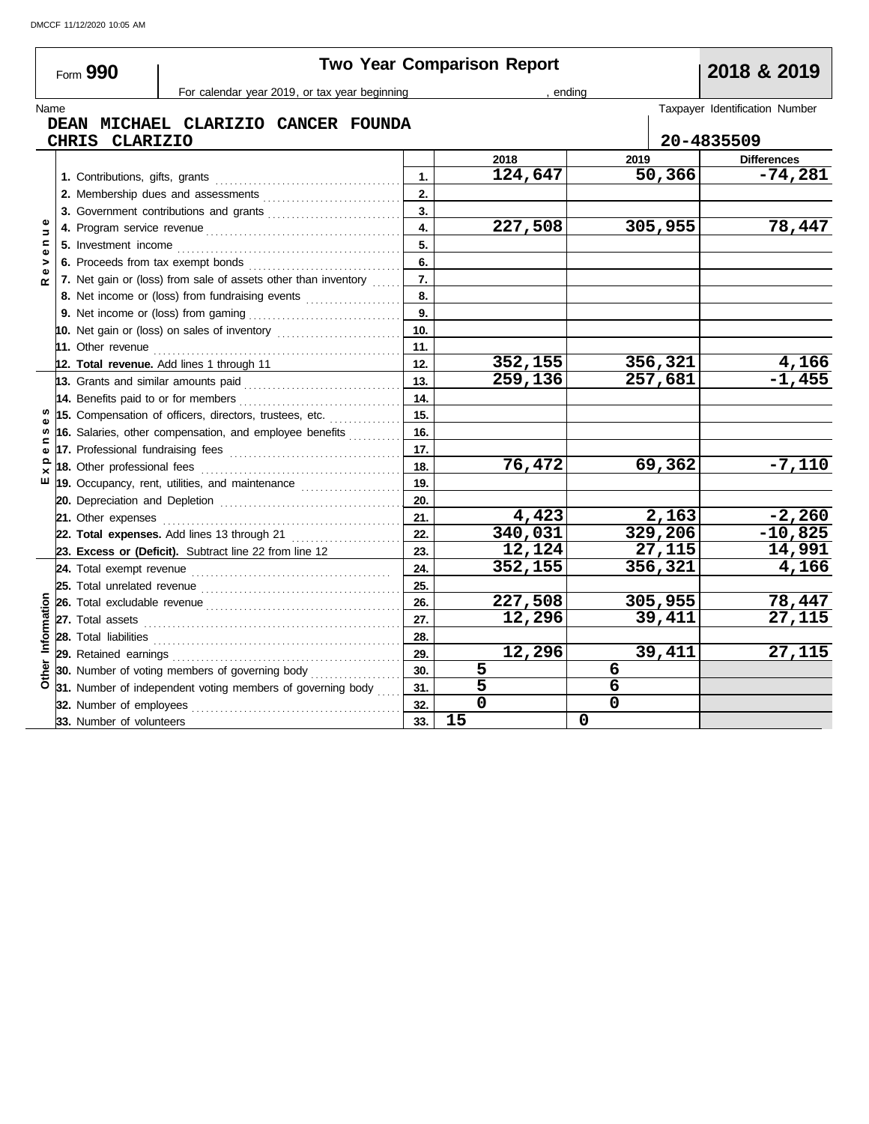#### DMCCF 11/12/2020 10:05 AM**Two Year Comparison Report 2018 & 2019** Form **990** For calendar year 2019, or tax year beginning and the set of the set of the set of the set of the set of the set of the set of the set of the set of the set of the set of the set of the set of the set of the set of the set Name Taxpayer Identification Number **DEAN MICHAEL CLARIZIO CANCER FOUNDA CHRIS CLARIZIO 20-4835509 2018 2019 Differences 124,647 50,366 -74,281 1. 1.** Contributions, gifts, grants . . . . . . . . . . . . . . . . . . . . . . . . . . . . . . . . . . . . . . . **2. 2.** Membership dues and assessments . . . . . . . . . . . . . . . . . . . . . . . . . . . . . **3. 3.** Government contributions and grants **......................... R e v e n u e 227,508 305,955 78,447 4. 4.** Program service revenue . . . . . . . . . . . . . . . . . . . . . . . . . . . . . . . . . . . . . . . . . **5. 5.** Investment income . . . . . . . . . . . . . . . . . . . . . . . . . . . . . . . . . . . . . . . . . . . . . . . **6. 6.** Proceeds from tax exempt bonds . . . . . . . . . . . . . . . . . . . . . . . . . . . . . . . . **7. 7.** Net gain or (loss) from sale of assets other than inventory  $\ldots$ **8. 8.** Net income or (loss) from fundraising events .................... **9.** Net income or (loss) from gaming . . . . . . . . . . . . . . . . . . . . . . . . . . . . . . . . **9. 10. 10.** Net gain or (loss) on sales of inventory ............................ **11.** Other revenue . . . . . . . . . . . . . . . . . . . . . . . . . . . . . . . . . . . . . . . . . . . . . . . . . . . . **11. 352,155 356,321 4,166 12. Total revenue.** Add lines 1 through 11 **12. 259,136 257,681 -1,455 13.** Grants and similar amounts paid . . . . . . . . . . . . . . . . . . . . . . . . . . . . . . . . . **13. 14. 14.** Benefits paid to or for members . . . . . . . . . . . . . . . . . . . . . . . . . . . . . . . . . . s, **15. E x p e n s e s 15.** Compensation of officers, directors, trustees, etc. . . . . . . . . . . . . . . . pense **16. 16.** Salaries, other compensation, and employee benefits *.........*... **17. 17.** Professional fundraising fees . . . . . . . . . . . . . . . . . . . . . . . . . . . . . . . . . . . . **76,472 69,362 -7,110 18. 18.** Other professional fees . . . . . . . . . . . . . . . . . . . . . . . . . . . . . . . . . . . . . . . . . .  $\tilde{E}$  X **19. 19.** Occupancy, rent, utilities, and maintenance *...................*... **20. 20.** Depreciation and Depletion . . . . . . . . . . . . . . . . . . . . . . . . . . . . . . . . . . . . . . . **4,423 2,163 -2,260 21. 21.** Other expenses . . . . . . . . . . . . . . . . . . . . . . . . . . . . . . . . . . . . . . . . . . . . . . . . . . **340,031 329,206 -10,825 22. Total expenses.** Add lines 13 through 21 . . . . . . . . . . . . . . . . . . . . . . . **22. 23. 12,124 27,115 14,991 Excess or (Deficit).** Subtract line 22 from line 12 **23. 352,155 356,321 4,166 24. 24.** Total exempt revenue . . . . . . . . . . . . . . . . . . . . . . . . . . . . . . . . . . . . . . . . . . **25. 25.** Total unrelated revenue . . . . . . . . . . . . . . . . . . . . . . . . . . . . . . . . . . . . . . . . . . Information **227,508 305,955 78,447 Other Information 26.** Total excludable revenue . . . . . . . . . . . . . . . . . . . . . . . . . . . . . . . . . . . . . . . . . **26. 12,296 39,411 27,115 27.** Total assets **27.** Total liabilities . . . . . . . . . . . . . . . . . . . . . . . . . . . . . . . . . . . . . . . . . . . . . . . . . . . . **28. 28. 12,296 39,411 27,115** Retained earnings . . . . . . . . . . . . . . . . . . . . . . . . . . . . . . . . . . . . . . . . . . . . . . . . **29. 29.** Other **30.** Number of voting members of governing body ................... **5 6 30. 31. 5 6 31.** Number of independent voting members of governing body  $\ldots$ **32.** Number of employees . . . . . . . . . . . . . . . . . . . . . . . . . . . . . . . . . . . . . . . . . . . . **0 0 32.**

**15 0**

**33.** Number of volunteers **33.**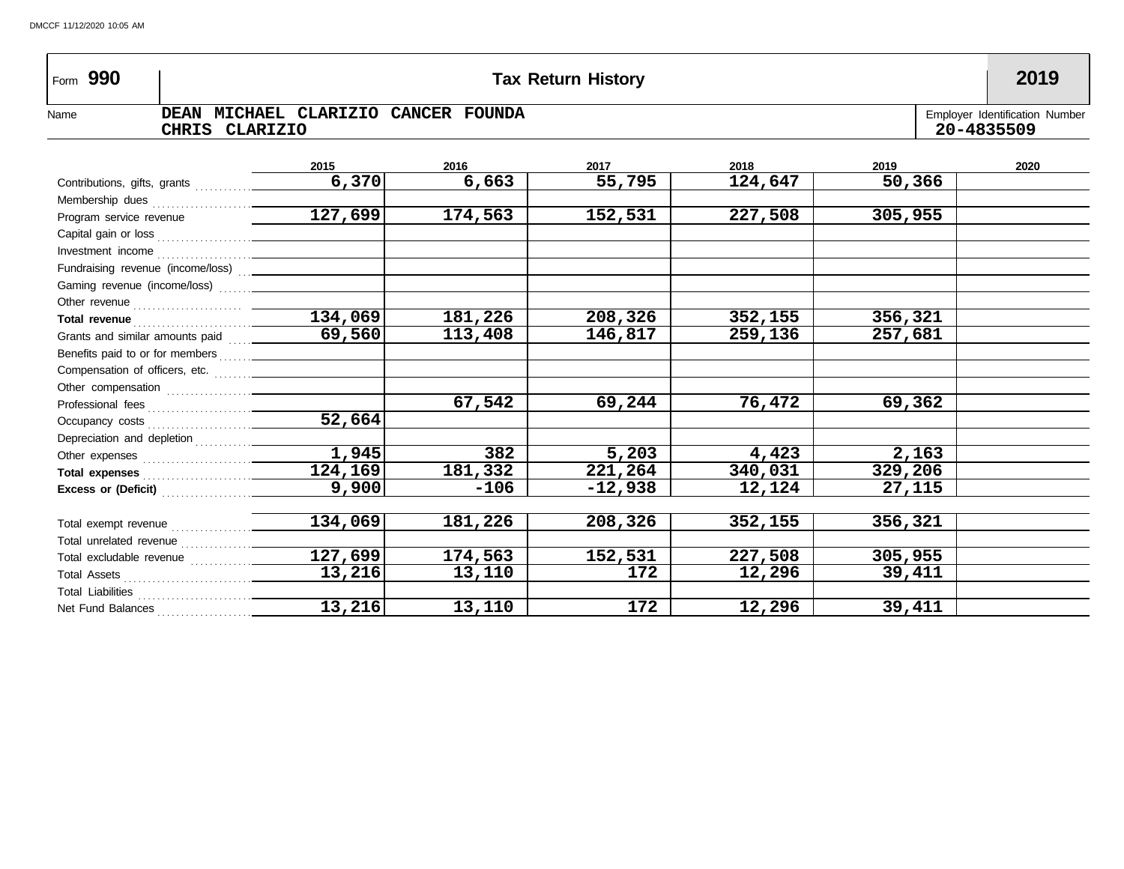| Form 990                                                                                                                                                                                                                             | <b>Tax Return History</b>                    |                                                        |         |           |         |         | 2019                                         |
|--------------------------------------------------------------------------------------------------------------------------------------------------------------------------------------------------------------------------------------|----------------------------------------------|--------------------------------------------------------|---------|-----------|---------|---------|----------------------------------------------|
| Name                                                                                                                                                                                                                                 | <b>CHRIS</b>                                 | DEAN MICHAEL CLARIZIO CANCER FOUNDA<br><b>CLARIZIO</b> |         |           |         |         | Employer Identification Number<br>20-4835509 |
|                                                                                                                                                                                                                                      |                                              | 2015                                                   | 2016    | 2017      | 2018    | 2019    | 2020                                         |
|                                                                                                                                                                                                                                      |                                              | 6,370                                                  | 6,663   | 55,795    | 124,647 | 50,366  |                                              |
|                                                                                                                                                                                                                                      |                                              |                                                        |         |           |         |         |                                              |
| Program service revenue                                                                                                                                                                                                              |                                              | 127,699                                                | 174,563 | 152,531   | 227,508 | 305,955 |                                              |
|                                                                                                                                                                                                                                      |                                              |                                                        |         |           |         |         |                                              |
|                                                                                                                                                                                                                                      |                                              |                                                        |         |           |         |         |                                              |
|                                                                                                                                                                                                                                      | Fundraising revenue (income/loss)  _________ |                                                        |         |           |         |         |                                              |
|                                                                                                                                                                                                                                      |                                              |                                                        |         |           |         |         |                                              |
|                                                                                                                                                                                                                                      |                                              |                                                        |         |           |         |         |                                              |
| Total revenue <b>contract and the contract of the contract of the contract of the contract of the contract of the contract of the contract of the contract of the contract of the contract of the contract of the contract of th</b> |                                              | 134,069                                                | 181,226 | 208,326   | 352,155 | 356,321 |                                              |
| Grants and similar amounts paid [11] [12] [13] Crants and similar amounts paid                                                                                                                                                       |                                              | 69,560                                                 | 113,408 | 146,817   | 259,136 | 257,681 |                                              |
|                                                                                                                                                                                                                                      |                                              |                                                        |         |           |         |         |                                              |
|                                                                                                                                                                                                                                      |                                              |                                                        |         |           |         |         |                                              |
|                                                                                                                                                                                                                                      |                                              |                                                        |         |           |         |         |                                              |
|                                                                                                                                                                                                                                      |                                              |                                                        | 67,542  | 69,244    | 76,472  | 69,362  |                                              |
|                                                                                                                                                                                                                                      |                                              | 52,664                                                 |         |           |         |         |                                              |
|                                                                                                                                                                                                                                      |                                              |                                                        |         |           |         |         |                                              |
|                                                                                                                                                                                                                                      |                                              | 1,945                                                  | 382     | 5,203     | 4,423   | 2,163   |                                              |
|                                                                                                                                                                                                                                      |                                              | $\overline{124, 169}$                                  | 181,332 | 221,264   | 340,031 | 329,206 |                                              |
|                                                                                                                                                                                                                                      |                                              | 9,900                                                  | $-106$  | $-12,938$ | 12,124  | 27,115  |                                              |
|                                                                                                                                                                                                                                      |                                              |                                                        |         |           |         |         |                                              |
|                                                                                                                                                                                                                                      |                                              | 134,069                                                | 181,226 | 208,326   | 352,155 | 356,321 |                                              |
|                                                                                                                                                                                                                                      |                                              |                                                        |         |           |         |         |                                              |
|                                                                                                                                                                                                                                      |                                              | $\overline{127,699}$                                   | 174,563 | 152,531   | 227,508 | 305,955 |                                              |
|                                                                                                                                                                                                                                      |                                              | 13,216                                                 | 13,110  | 172       | 12,296  | 39,411  |                                              |
|                                                                                                                                                                                                                                      |                                              |                                                        |         |           |         |         |                                              |
| Net Fund Balances                                                                                                                                                                                                                    |                                              | 13,216                                                 | 13,110  | 172       | 12,296  | 39,411  |                                              |